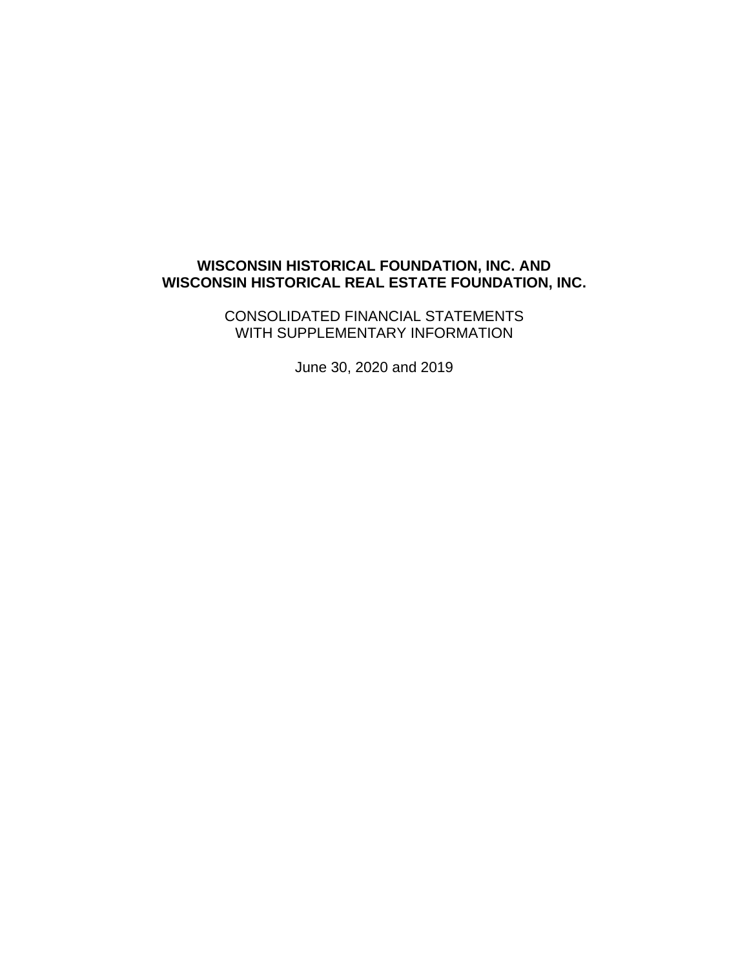## **WISCONSIN HISTORICAL FOUNDATION, INC. AND WISCONSIN HISTORICAL REAL ESTATE FOUNDATION, INC.**

CONSOLIDATED FINANCIAL STATEMENTS WITH SUPPLEMENTARY INFORMATION

June 30, 2020 and 2019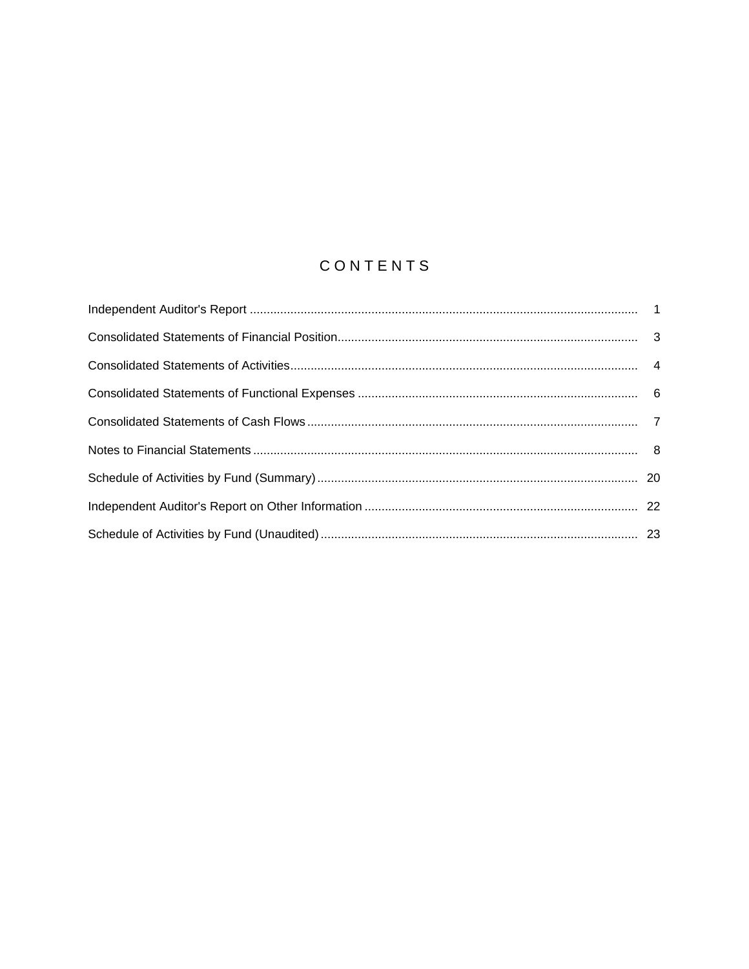# CONTENTS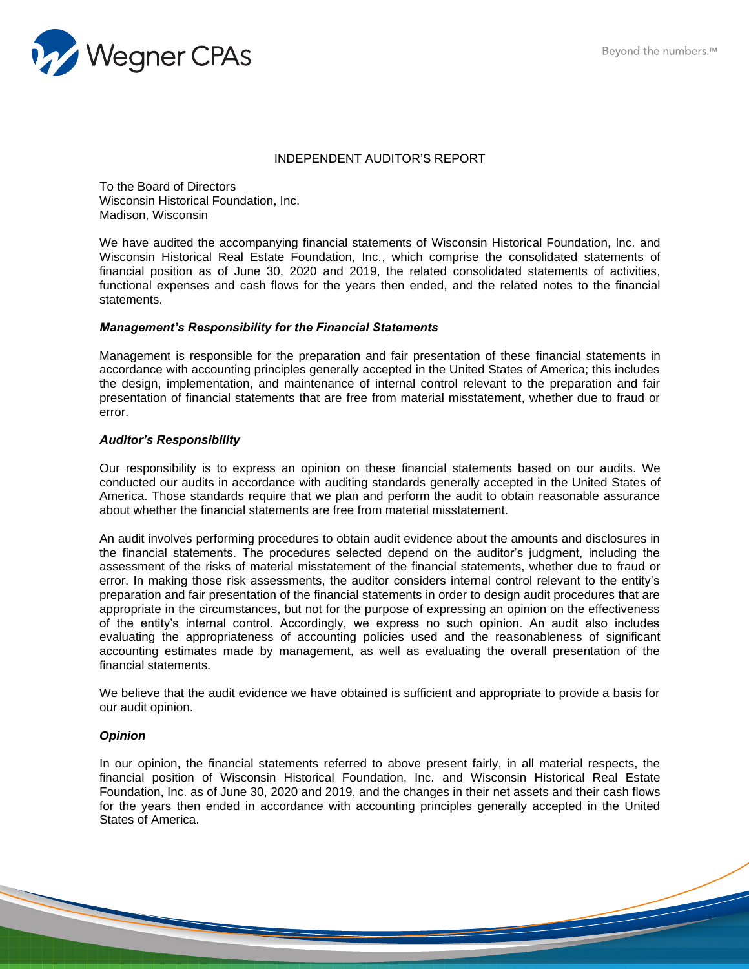

#### INDEPENDENT AUDITOR'S REPORT

To the Board of Directors Wisconsin Historical Foundation, Inc. Madison, Wisconsin

We have audited the accompanying financial statements of Wisconsin Historical Foundation, Inc. and Wisconsin Historical Real Estate Foundation, Inc., which comprise the consolidated statements of financial position as of June 30, 2020 and 2019, the related consolidated statements of activities, functional expenses and cash flows for the years then ended, and the related notes to the financial statements.

#### *Management's Responsibility for the Financial Statements*

Management is responsible for the preparation and fair presentation of these financial statements in accordance with accounting principles generally accepted in the United States of America; this includes the design, implementation, and maintenance of internal control relevant to the preparation and fair presentation of financial statements that are free from material misstatement, whether due to fraud or error.

#### *Auditor's Responsibility*

Our responsibility is to express an opinion on these financial statements based on our audits. We conducted our audits in accordance with auditing standards generally accepted in the United States of America. Those standards require that we plan and perform the audit to obtain reasonable assurance about whether the financial statements are free from material misstatement.

An audit involves performing procedures to obtain audit evidence about the amounts and disclosures in the financial statements. The procedures selected depend on the auditor's judgment, including the assessment of the risks of material misstatement of the financial statements, whether due to fraud or error. In making those risk assessments, the auditor considers internal control relevant to the entity's preparation and fair presentation of the financial statements in order to design audit procedures that are appropriate in the circumstances, but not for the purpose of expressing an opinion on the effectiveness of the entity's internal control. Accordingly, we express no such opinion. An audit also includes evaluating the appropriateness of accounting policies used and the reasonableness of significant accounting estimates made by management, as well as evaluating the overall presentation of the financial statements.

We believe that the audit evidence we have obtained is sufficient and appropriate to provide a basis for our audit opinion.

#### *Opinion*

In our opinion, the financial statements referred to above present fairly, in all material respects, the financial position of Wisconsin Historical Foundation, Inc. and Wisconsin Historical Real Estate Foundation, Inc. as of June 30, 2020 and 2019, and the changes in their net assets and their cash flows for the years then ended in accordance with accounting principles generally accepted in the United States of America.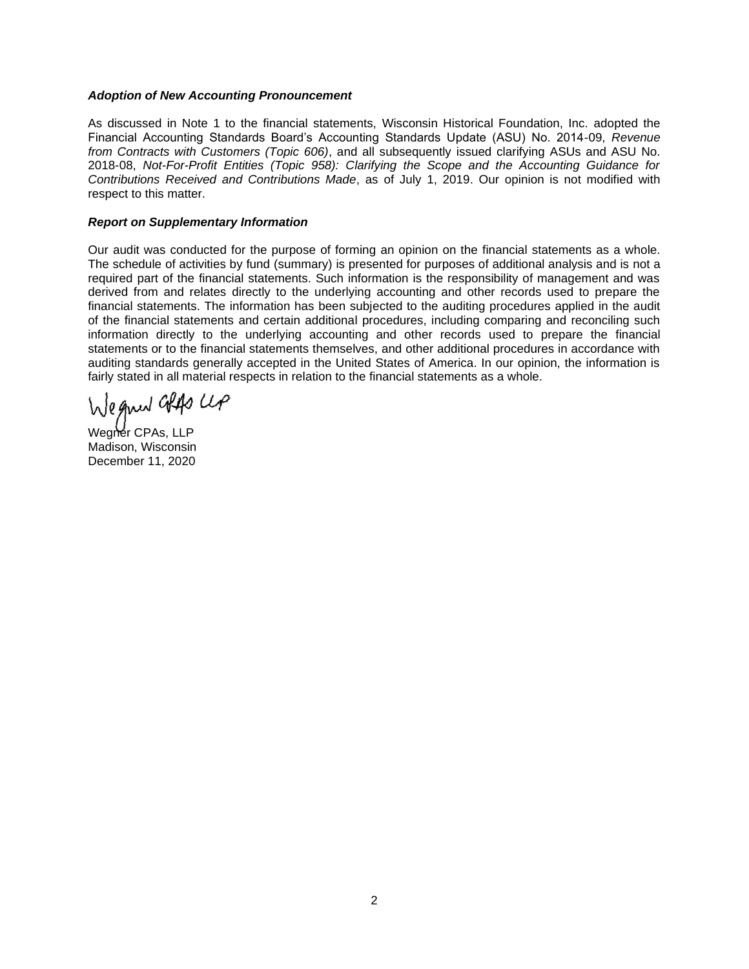#### *Adoption of New Accounting Pronouncement*

As discussed in Note 1 to the financial statements, Wisconsin Historical Foundation, Inc. adopted the Financial Accounting Standards Board's Accounting Standards Update (ASU) No. 2014-09, *Revenue from Contracts with Customers (Topic 606)*, and all subsequently issued clarifying ASUs and ASU No. 2018-08, *Not-For-Profit Entities (Topic 958): Clarifying the Scope and the Accounting Guidance for Contributions Received and Contributions Made*, as of July 1, 2019. Our opinion is not modified with respect to this matter.

#### *Report on Supplementary Information*

Our audit was conducted for the purpose of forming an opinion on the financial statements as a whole. The schedule of activities by fund (summary) is presented for purposes of additional analysis and is not a required part of the financial statements. Such information is the responsibility of management and was derived from and relates directly to the underlying accounting and other records used to prepare the financial statements. The information has been subjected to the auditing procedures applied in the audit of the financial statements and certain additional procedures, including comparing and reconciling such information directly to the underlying accounting and other records used to prepare the financial statements or to the financial statements themselves, and other additional procedures in accordance with auditing standards generally accepted in the United States of America. In our opinion, the information is fairly stated in all material respects in relation to the financial statements as a whole.

Wegner also up

Wegner CPAs, LLP Madison, Wisconsin December 11, 2020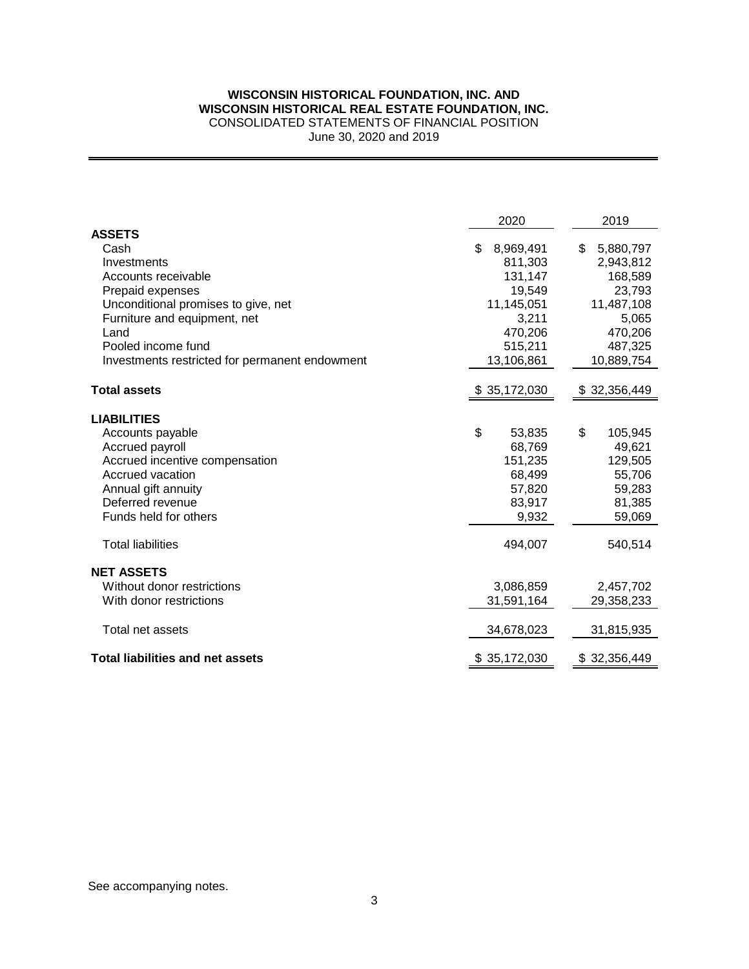#### **WISCONSIN HISTORICAL FOUNDATION, INC. AND** CONSOLIDATED STATEMENTS OF FINANCIAL POSITION June 30, 2020 and 2019 **WISCONSIN HISTORICAL REAL ESTATE FOUNDATION, INC.**

|                                                    | 2020             | 2019              |
|----------------------------------------------------|------------------|-------------------|
| <b>ASSETS</b>                                      |                  |                   |
| Cash                                               | \$<br>8,969,491  | \$<br>5,880,797   |
| Investments                                        | 811,303          | 2,943,812         |
| Accounts receivable                                | 131,147          | 168,589           |
| Prepaid expenses                                   | 19,549           | 23,793            |
| Unconditional promises to give, net                | 11,145,051       | 11,487,108        |
| Furniture and equipment, net                       | 3,211            | 5,065             |
| Land                                               | 470,206          | 470,206           |
| Pooled income fund                                 | 515,211          | 487,325           |
| Investments restricted for permanent endowment     | 13,106,861       | 10,889,754        |
| <b>Total assets</b>                                | \$35,172,030     | \$32,356,449      |
| <b>LIABILITIES</b>                                 |                  |                   |
|                                                    | \$               | \$                |
| Accounts payable                                   | 53,835<br>68,769 | 105,945<br>49,621 |
| Accrued payroll                                    |                  |                   |
| Accrued incentive compensation<br>Accrued vacation | 151,235          | 129,505           |
|                                                    | 68,499           | 55,706            |
| Annual gift annuity                                | 57,820           | 59,283            |
| Deferred revenue                                   | 83,917           | 81,385            |
| Funds held for others                              | 9,932            | 59,069            |
| <b>Total liabilities</b>                           | 494,007          | 540,514           |
| <b>NET ASSETS</b>                                  |                  |                   |
| Without donor restrictions                         | 3,086,859        | 2,457,702         |
| With donor restrictions                            | 31,591,164       | 29,358,233        |
| Total net assets                                   | 34,678,023       | 31,815,935        |
| <b>Total liabilities and net assets</b>            | \$35,172,030     | \$32,356,449      |

See accompanying notes.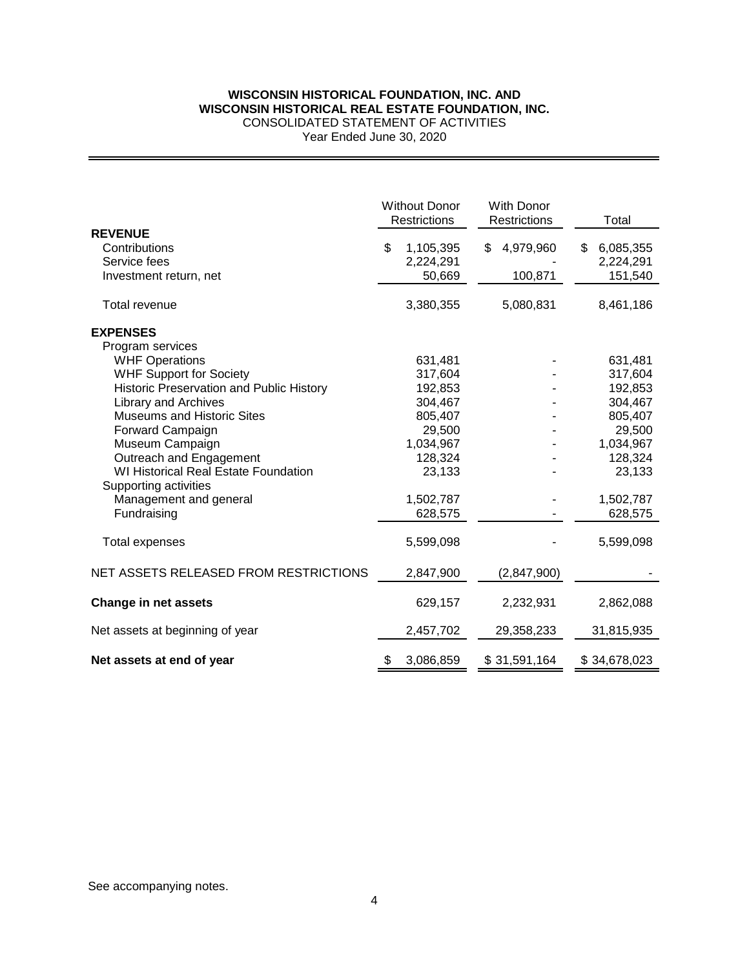## **WISCONSIN HISTORICAL FOUNDATION, INC. AND WISCONSIN HISTORICAL REAL ESTATE FOUNDATION, INC.** CONSOLIDATED STATEMENT OF ACTIVITIES

Year Ended June 30, 2020

|                                          |    | <b>Without Donor</b><br><b>Restrictions</b> | <b>With Donor</b><br>Restrictions | Total           |
|------------------------------------------|----|---------------------------------------------|-----------------------------------|-----------------|
| <b>REVENUE</b>                           |    |                                             |                                   |                 |
| Contributions                            | \$ | 1,105,395                                   | \$<br>4,979,960                   | \$<br>6,085,355 |
| Service fees                             |    | 2,224,291                                   |                                   | 2,224,291       |
| Investment return, net                   |    | 50,669                                      | 100,871                           | 151,540         |
| Total revenue                            |    | 3,380,355                                   | 5,080,831                         | 8,461,186       |
| <b>EXPENSES</b>                          |    |                                             |                                   |                 |
| Program services                         |    |                                             |                                   |                 |
| <b>WHF Operations</b>                    |    | 631,481                                     |                                   | 631,481         |
| <b>WHF Support for Society</b>           |    | 317,604                                     |                                   | 317,604         |
| Historic Preservation and Public History |    | 192,853                                     |                                   | 192,853         |
| <b>Library and Archives</b>              |    | 304,467                                     |                                   | 304,467         |
| <b>Museums and Historic Sites</b>        |    | 805,407                                     |                                   | 805,407         |
| Forward Campaign                         |    | 29,500                                      |                                   | 29,500          |
| Museum Campaign                          |    | 1,034,967                                   |                                   | 1,034,967       |
| Outreach and Engagement                  |    | 128,324                                     |                                   | 128,324         |
| WI Historical Real Estate Foundation     |    | 23,133                                      |                                   | 23,133          |
| Supporting activities                    |    |                                             |                                   |                 |
| Management and general                   |    | 1,502,787                                   |                                   | 1,502,787       |
| Fundraising                              |    | 628,575                                     |                                   | 628,575         |
| Total expenses                           |    | 5,599,098                                   |                                   | 5,599,098       |
| NET ASSETS RELEASED FROM RESTRICTIONS    |    | 2,847,900                                   | (2,847,900)                       |                 |
| <b>Change in net assets</b>              |    | 629,157                                     | 2,232,931                         | 2,862,088       |
| Net assets at beginning of year          |    | 2,457,702                                   | 29,358,233                        | 31,815,935      |
| Net assets at end of year                | \$ | 3,086,859                                   | \$31,591,164                      | \$34,678,023    |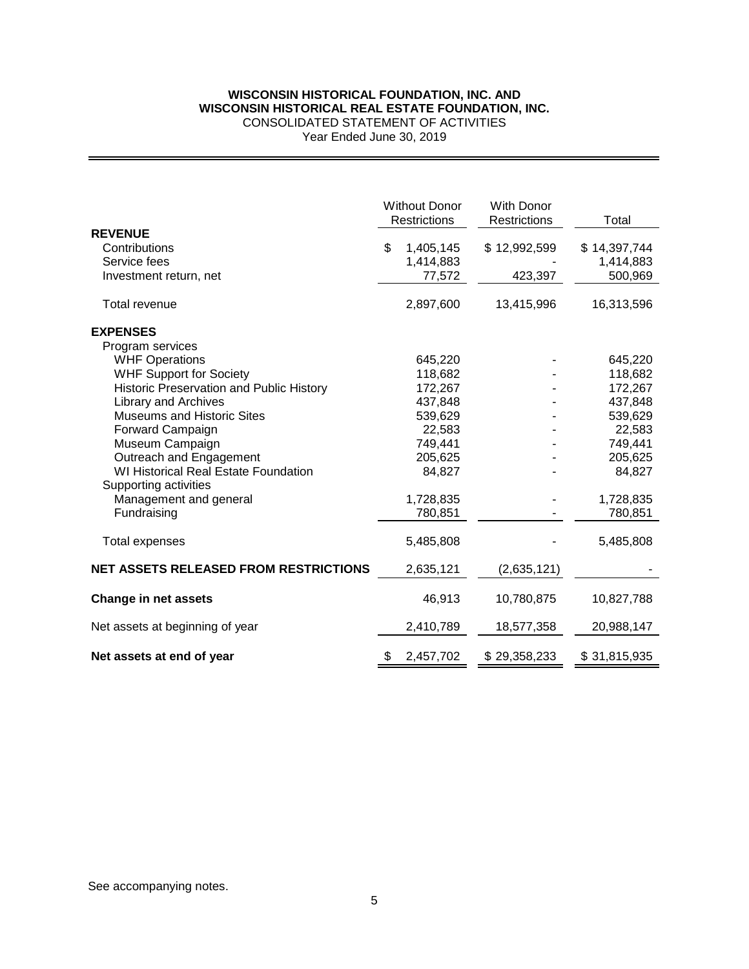## **WISCONSIN HISTORICAL FOUNDATION, INC. AND** CONSOLIDATED STATEMENT OF ACTIVITIES **WISCONSIN HISTORICAL REAL ESTATE FOUNDATION, INC.**

Year Ended June 30, 2019

|                                                 | <b>Without Donor</b><br><b>Restrictions</b> | With Donor<br>Restrictions | Total        |
|-------------------------------------------------|---------------------------------------------|----------------------------|--------------|
| <b>REVENUE</b>                                  |                                             |                            |              |
| Contributions                                   | \$<br>1,405,145                             | \$12,992,599               | \$14,397,744 |
| Service fees                                    | 1,414,883                                   |                            | 1,414,883    |
| Investment return, net                          | 77,572                                      | 423,397                    | 500,969      |
| Total revenue                                   | 2,897,600                                   | 13,415,996                 | 16,313,596   |
| <b>EXPENSES</b>                                 |                                             |                            |              |
| Program services                                |                                             |                            |              |
| <b>WHF Operations</b>                           | 645,220                                     |                            | 645,220      |
| <b>WHF Support for Society</b>                  | 118,682                                     |                            | 118,682      |
| <b>Historic Preservation and Public History</b> | 172,267                                     |                            | 172,267      |
| <b>Library and Archives</b>                     | 437,848                                     |                            | 437,848      |
| <b>Museums and Historic Sites</b>               | 539,629                                     |                            | 539,629      |
| Forward Campaign                                | 22,583                                      |                            | 22,583       |
| Museum Campaign                                 | 749,441                                     |                            | 749,441      |
| Outreach and Engagement                         | 205,625                                     |                            | 205,625      |
| WI Historical Real Estate Foundation            | 84,827                                      |                            | 84,827       |
| Supporting activities                           |                                             |                            |              |
| Management and general                          | 1,728,835                                   |                            | 1,728,835    |
| Fundraising                                     | 780,851                                     |                            | 780,851      |
| <b>Total expenses</b>                           | 5,485,808                                   |                            | 5,485,808    |
| NET ASSETS RELEASED FROM RESTRICTIONS           | 2,635,121                                   | (2,635,121)                |              |
| <b>Change in net assets</b>                     | 46,913                                      | 10,780,875                 | 10,827,788   |
| Net assets at beginning of year                 | 2,410,789                                   | 18,577,358                 | 20,988,147   |
| Net assets at end of year                       | \$<br>2,457,702                             | \$29,358,233               | \$31,815,935 |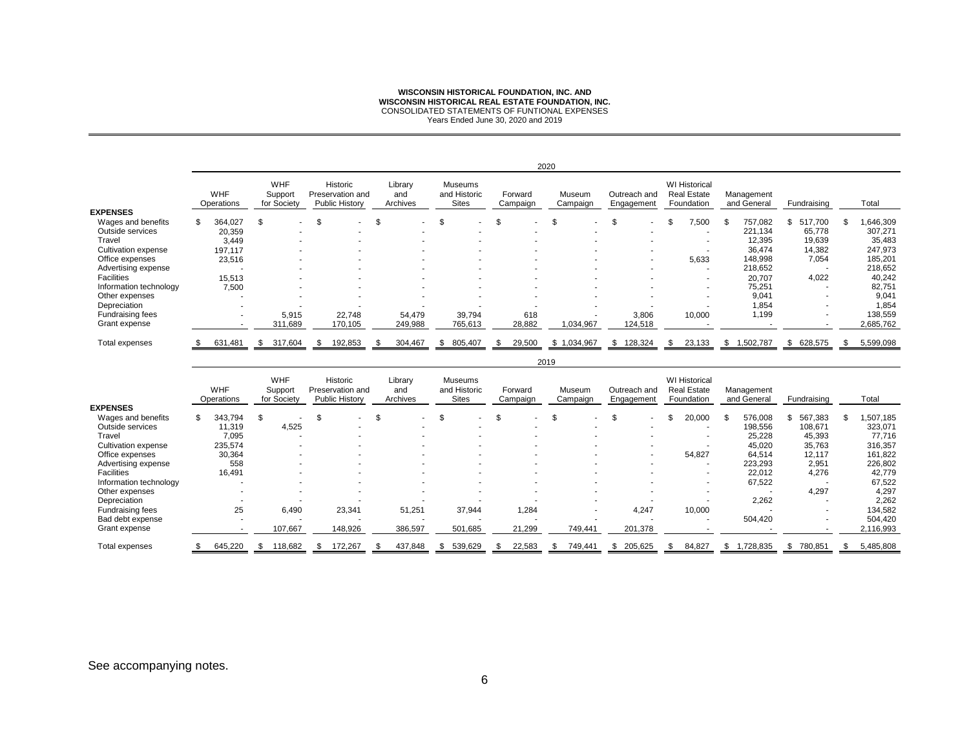# WISCONSIN HISTORICAL FOUNDATION, INC. AND<br>WISCONSIN HISTORICAL REAL ESTATE FOUNDATION, INC.<br>CONSOLIDATED STATEMENTS OF FUNTIONAL EXPENSES<br>Years Ended June 30, 2020 and 2019

|                                       |                          |     |                                      |                                                              |                            |                                  |                          | 2020                     |                            |      |                                                          |    |                           |                          |     |           |
|---------------------------------------|--------------------------|-----|--------------------------------------|--------------------------------------------------------------|----------------------------|----------------------------------|--------------------------|--------------------------|----------------------------|------|----------------------------------------------------------|----|---------------------------|--------------------------|-----|-----------|
|                                       | <b>WHF</b><br>Operations |     | <b>WHF</b><br>Support<br>for Society | <b>Historic</b><br>Preservation and<br><b>Public History</b> | Library<br>and<br>Archives | Museums<br>and Historic<br>Sites | Forward<br>Campaign      | Museum<br>Campaign       | Outreach and<br>Engagement |      | <b>WI Historical</b><br><b>Real Estate</b><br>Foundation |    | Management<br>and General | Fundraising              |     | Total     |
| <b>EXPENSES</b><br>Wages and benefits | \$                       | \$  |                                      | \$                                                           |                            | \$                               |                          |                          |                            |      |                                                          | -9 |                           |                          |     |           |
| Outside services                      | 364,027                  |     | $\sim$                               | . .                                                          | \$                         |                                  | \$<br>$\sim$             | \$<br>$\sim$             | . .                        | ъ.   | 7,500                                                    |    | 757,082<br>221.134        | 517,700                  | -96 | ,646,309  |
|                                       | 20,359                   |     |                                      |                                                              | $\overline{\phantom{a}}$   |                                  |                          |                          | $\sim$                     |      |                                                          |    |                           | 65,778                   |     | 307,271   |
| Travel                                | 3,449                    |     |                                      |                                                              |                            |                                  | ۰.                       |                          |                            |      |                                                          |    | 12,395                    | 19,639                   |     | 35,483    |
| <b>Cultivation expense</b>            | 197,117                  |     | $\sim$                               |                                                              |                            |                                  | ۰.                       | $\overline{\phantom{a}}$ |                            |      |                                                          |    | 36,474                    | 14,382                   |     | 247,973   |
| Office expenses                       | 23,516                   |     |                                      |                                                              |                            |                                  | ۰.                       |                          |                            |      | 5,633                                                    |    | 148,998                   | 7,054                    |     | 185,201   |
| Advertising expense                   |                          |     |                                      |                                                              |                            |                                  |                          |                          | $\sim$                     |      | $\overline{\phantom{a}}$                                 |    | 218,652                   | $\overline{\phantom{a}}$ |     | 218,652   |
| <b>Facilities</b>                     | 15,513                   |     | $\sim$                               |                                                              | $\overline{\phantom{a}}$   |                                  |                          |                          | $\sim$                     |      |                                                          |    | 20.707                    | 4,022                    |     | 40,242    |
| Information technology                | 7,500                    |     |                                      |                                                              |                            |                                  | ۰.                       |                          |                            |      |                                                          |    | 75,251                    | $\overline{\phantom{a}}$ |     | 82,751    |
| Other expenses                        |                          |     |                                      |                                                              |                            |                                  |                          |                          |                            |      |                                                          |    | 9,041                     | $\sim$                   |     | 9,041     |
| Depreciation                          |                          |     | $\overline{\phantom{a}}$             |                                                              |                            |                                  | $\overline{\phantom{a}}$ | $\overline{\phantom{a}}$ |                            |      |                                                          |    | 1,854                     | $\blacksquare$           |     | 1,854     |
| Fundraising fees                      |                          |     | 5,915                                | 22,748                                                       | 54,479                     | 39,794                           | 618                      |                          | 3,806                      |      | 10,000                                                   |    | 1,199                     | $\overline{\phantom{a}}$ |     | 138,559   |
| Grant expense                         |                          |     | 311,689                              | 170,105                                                      | 249,988                    | 765,613                          | 28,882                   | 1,034,967                | 124,518                    |      |                                                          |    |                           | $\overline{\phantom{a}}$ |     | 2,685,762 |
| Total expenses                        | 631,481                  | \$. | 317,604                              | 192,853                                                      | 304,467                    | \$<br>805,407                    | 29,500                   | \$1,034,967              | 128,324                    | - 35 | 23,133                                                   | \$ | 1,502,787                 | 628,575<br>\$            |     | 5,599,098 |

|                            |                          |                                      |                                                       |     |                            |                                         |                     | 2019 |                          |                            |                                                   |                           |                          |           |
|----------------------------|--------------------------|--------------------------------------|-------------------------------------------------------|-----|----------------------------|-----------------------------------------|---------------------|------|--------------------------|----------------------------|---------------------------------------------------|---------------------------|--------------------------|-----------|
|                            | <b>WHF</b><br>Operations | <b>WHF</b><br>Support<br>for Society | Historic<br>Preservation and<br><b>Public History</b> |     | Library<br>and<br>Archives | Museums<br>and Historic<br><b>Sites</b> | Forward<br>Campaign |      | Museum<br>Campaign       | Outreach and<br>Engagement | <b>WI Historical</b><br>Real Estate<br>Foundation | Management<br>and General | Fundraising              | Total     |
| <b>EXPENSES</b>            |                          |                                      |                                                       |     |                            |                                         |                     |      |                          |                            |                                                   |                           |                          |           |
| Wages and benefits         | 343,794                  | \$                                   | \$<br>$\sim$                                          | \$. |                            | \$<br>$\sim$                            | \$<br>$\sim$        | - \$ | $\sim$                   | \$                         | 20,000                                            | 576,008                   | 567,383                  | 1,507,185 |
| Outside services           | 11,319                   | 4,525                                |                                                       |     |                            |                                         |                     |      |                          |                            |                                                   | 198,556                   | 108,671                  | 323,071   |
| Travel                     | 7,095                    |                                      |                                                       |     |                            |                                         | ۰.                  |      |                          |                            |                                                   | 25,228                    | 45,393                   | 77,716    |
| <b>Cultivation expense</b> | 235,574                  |                                      |                                                       |     |                            |                                         |                     |      |                          |                            |                                                   | 45,020                    | 35,763                   | 316,357   |
| Office expenses            | 30,364                   |                                      |                                                       |     |                            |                                         | ۰.                  |      |                          |                            | 54,827                                            | 64,514                    | 12,117                   | 161,822   |
| Advertising expense        | 558                      |                                      |                                                       |     |                            |                                         |                     |      |                          | ۰.                         |                                                   | 223,293                   | 2,951                    | 226,802   |
| Facilities                 | 16,491                   |                                      |                                                       |     |                            |                                         |                     |      | $\overline{\phantom{a}}$ |                            |                                                   | 22,012                    | 4,276                    | 42,779    |
| Information technology     |                          |                                      |                                                       |     |                            |                                         | ۰.                  |      |                          |                            | $\sim$                                            | 67,522                    | $\overline{\phantom{a}}$ | 67,522    |
| Other expenses             |                          |                                      |                                                       |     | .                          |                                         | ۰.                  |      |                          |                            |                                                   |                           | 4,297                    | 4,297     |
| Depreciation               |                          |                                      |                                                       |     |                            |                                         |                     |      |                          |                            |                                                   | 2,262                     | $\overline{\phantom{a}}$ | 2,262     |
| Fundraising fees           | 25                       | 6,490                                | 23,341                                                |     | 51,251                     | 37,944                                  | 1,284               |      | $\overline{\phantom{a}}$ | 4,247                      | 10,000                                            |                           | $\overline{\phantom{a}}$ | 134,582   |
| Bad debt expense           |                          |                                      |                                                       |     |                            |                                         |                     |      |                          |                            |                                                   | 504,420                   | $\sim$                   | 504,420   |
| Grant expense              |                          | 107,667                              | 148,926                                               |     | 386,597                    | 501,685                                 | 21,299              |      | 749,441                  | 201,378                    |                                                   |                           |                          | 2,116,993 |
| <b>Total expenses</b>      | 645,220                  | 118,682                              | \$<br>172,267                                         |     | 437,848                    | 539,629                                 | 22,583              |      | 749,441                  | 205,625                    | 84,827                                            | ,728,835                  | 780,851<br>S             | 5,485,808 |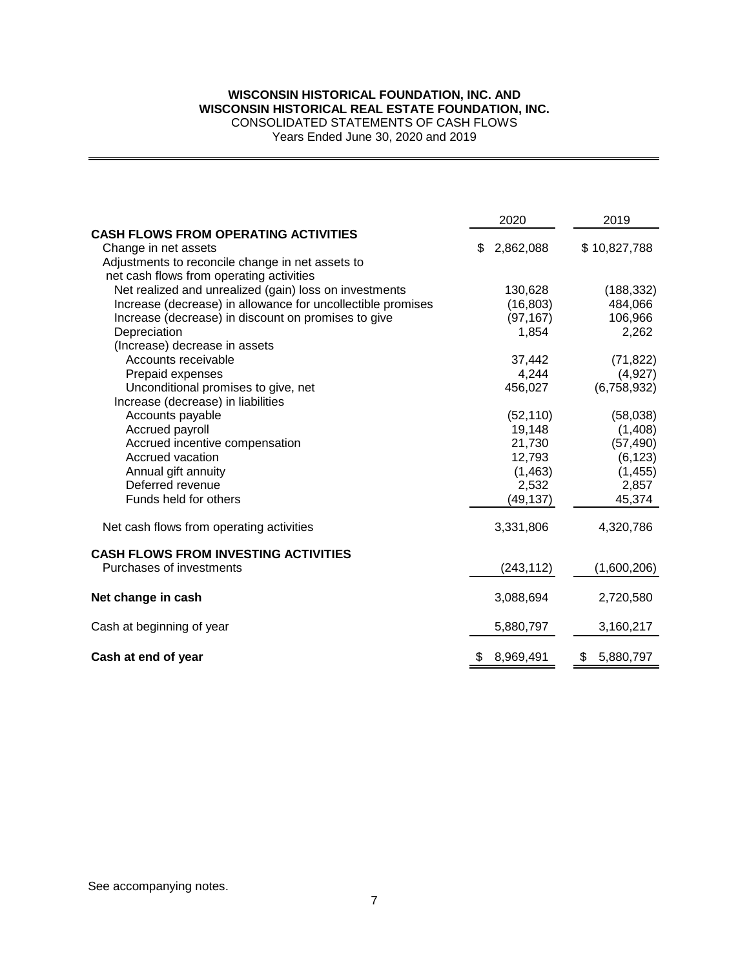#### **WISCONSIN HISTORICAL FOUNDATION, INC. AND WISCONSIN HISTORICAL REAL ESTATE FOUNDATION, INC.**

CONSOLIDATED STATEMENTS OF CASH FLOWS

Years Ended June 30, 2020 and 2019

|                                                             | 2020            | 2019            |
|-------------------------------------------------------------|-----------------|-----------------|
| <b>CASH FLOWS FROM OPERATING ACTIVITIES</b>                 |                 |                 |
| Change in net assets                                        | \$<br>2,862,088 | \$10,827,788    |
| Adjustments to reconcile change in net assets to            |                 |                 |
| net cash flows from operating activities                    |                 |                 |
| Net realized and unrealized (gain) loss on investments      | 130,628         | (188, 332)      |
| Increase (decrease) in allowance for uncollectible promises | (16, 803)       | 484,066         |
| Increase (decrease) in discount on promises to give         | (97, 167)       | 106,966         |
| Depreciation                                                | 1,854           | 2,262           |
| (Increase) decrease in assets                               |                 |                 |
| Accounts receivable                                         | 37,442          | (71, 822)       |
| Prepaid expenses                                            | 4,244           | (4,927)         |
| Unconditional promises to give, net                         | 456,027         | (6,758,932)     |
| Increase (decrease) in liabilities                          |                 |                 |
| Accounts payable                                            | (52, 110)       | (58,038)        |
| Accrued payroll                                             | 19,148          | (1,408)         |
| Accrued incentive compensation                              | 21,730          | (57, 490)       |
| Accrued vacation                                            | 12,793          | (6, 123)        |
| Annual gift annuity                                         | (1,463)         | (1, 455)        |
| Deferred revenue                                            | 2,532           | 2,857           |
| Funds held for others                                       | (49, 137)       | 45,374          |
| Net cash flows from operating activities                    | 3,331,806       | 4,320,786       |
|                                                             |                 |                 |
| <b>CASH FLOWS FROM INVESTING ACTIVITIES</b>                 |                 |                 |
| Purchases of investments                                    | (243, 112)      | (1,600,206)     |
| Net change in cash                                          | 3,088,694       | 2,720,580       |
| Cash at beginning of year                                   | 5,880,797       | 3,160,217       |
| Cash at end of year                                         | \$<br>8,969,491 | \$<br>5,880,797 |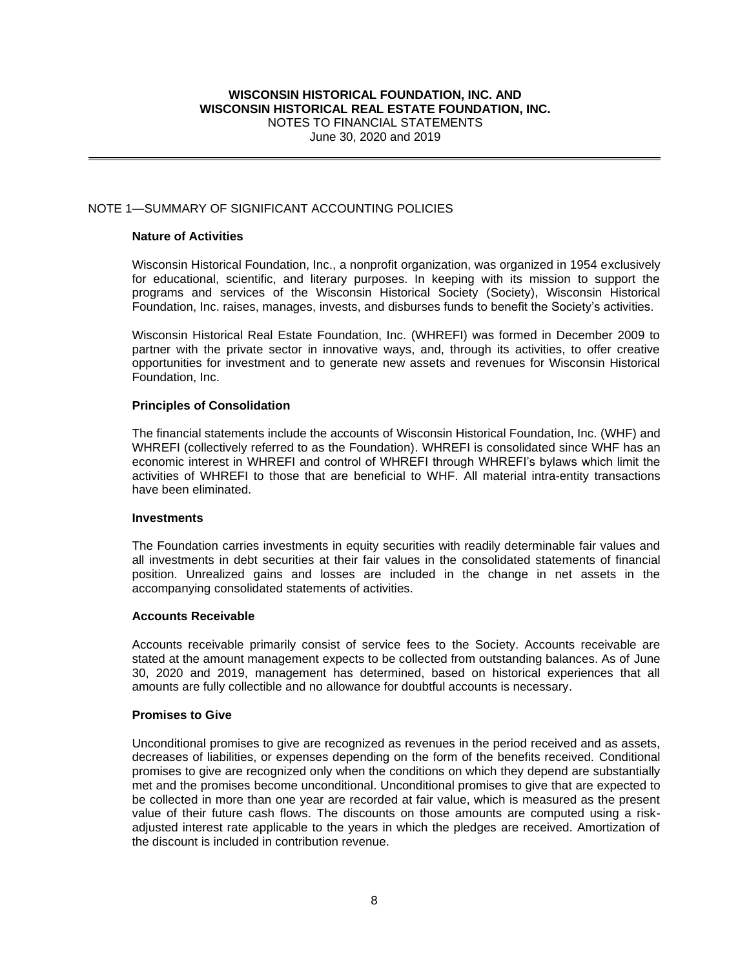June 30, 2020 and 2019

## NOTE 1—SUMMARY OF SIGNIFICANT ACCOUNTING POLICIES

#### **Nature of Activities**

Wisconsin Historical Foundation, Inc., a nonprofit organization, was organized in 1954 exclusively for educational, scientific, and literary purposes. In keeping with its mission to support the programs and services of the Wisconsin Historical Society (Society), Wisconsin Historical Foundation, Inc. raises, manages, invests, and disburses funds to benefit the Society's activities.

Wisconsin Historical Real Estate Foundation, Inc. (WHREFI) was formed in December 2009 to partner with the private sector in innovative ways, and, through its activities, to offer creative opportunities for investment and to generate new assets and revenues for Wisconsin Historical Foundation, Inc.

#### **Principles of Consolidation**

The financial statements include the accounts of Wisconsin Historical Foundation, Inc. (WHF) and WHREFI (collectively referred to as the Foundation). WHREFI is consolidated since WHF has an economic interest in WHREFI and control of WHREFI through WHREFI's bylaws which limit the activities of WHREFI to those that are beneficial to WHF. All material intra-entity transactions have been eliminated.

## **Investments**

The Foundation carries investments in equity securities with readily determinable fair values and all investments in debt securities at their fair values in the consolidated statements of financial position. Unrealized gains and losses are included in the change in net assets in the accompanying consolidated statements of activities.

#### **Accounts Receivable**

Accounts receivable primarily consist of service fees to the Society. Accounts receivable are stated at the amount management expects to be collected from outstanding balances. As of June 30, 2020 and 2019, management has determined, based on historical experiences that all amounts are fully collectible and no allowance for doubtful accounts is necessary.

#### **Promises to Give**

Unconditional promises to give are recognized as revenues in the period received and as assets, decreases of liabilities, or expenses depending on the form of the benefits received. Conditional promises to give are recognized only when the conditions on which they depend are substantially met and the promises become unconditional. Unconditional promises to give that are expected to be collected in more than one year are recorded at fair value, which is measured as the present value of their future cash flows. The discounts on those amounts are computed using a riskadjusted interest rate applicable to the years in which the pledges are received. Amortization of the discount is included in contribution revenue.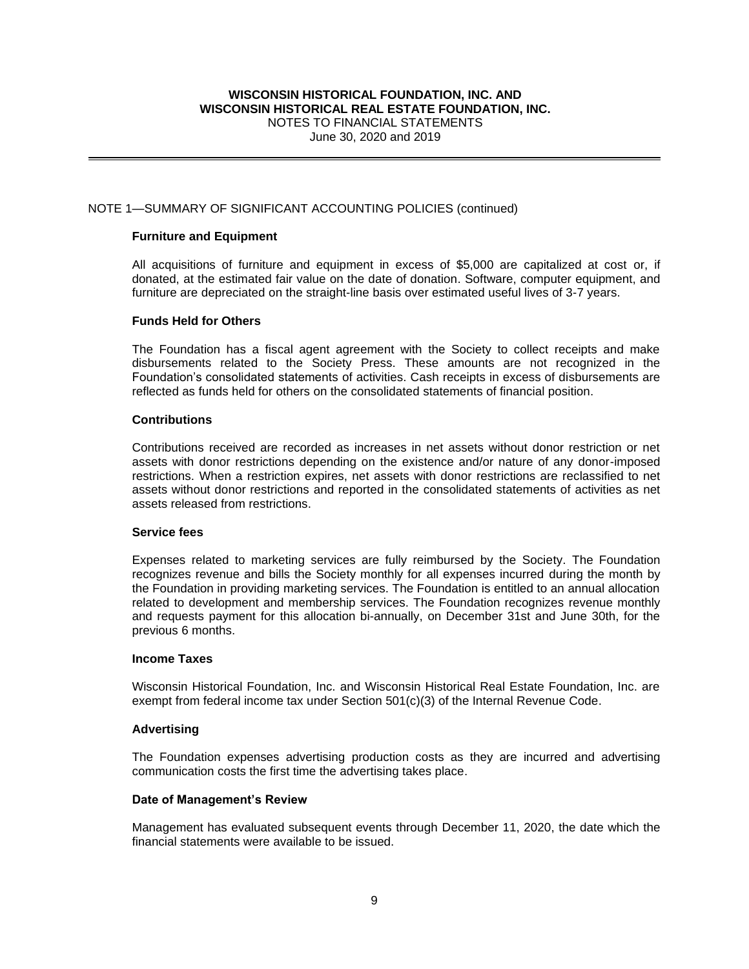#### NOTE 1—SUMMARY OF SIGNIFICANT ACCOUNTING POLICIES (continued)

#### **Furniture and Equipment**

All acquisitions of furniture and equipment in excess of \$5,000 are capitalized at cost or, if donated, at the estimated fair value on the date of donation. Software, computer equipment, and furniture are depreciated on the straight-line basis over estimated useful lives of 3-7 years.

#### **Funds Held for Others**

The Foundation has a fiscal agent agreement with the Society to collect receipts and make disbursements related to the Society Press. These amounts are not recognized in the Foundation's consolidated statements of activities. Cash receipts in excess of disbursements are reflected as funds held for others on the consolidated statements of financial position.

#### **Contributions**

Contributions received are recorded as increases in net assets without donor restriction or net assets with donor restrictions depending on the existence and/or nature of any donor-imposed restrictions. When a restriction expires, net assets with donor restrictions are reclassified to net assets without donor restrictions and reported in the consolidated statements of activities as net assets released from restrictions.

#### **Service fees**

Expenses related to marketing services are fully reimbursed by the Society. The Foundation recognizes revenue and bills the Society monthly for all expenses incurred during the month by the Foundation in providing marketing services. The Foundation is entitled to an annual allocation related to development and membership services. The Foundation recognizes revenue monthly and requests payment for this allocation bi-annually, on December 31st and June 30th, for the previous 6 months.

#### **Income Taxes**

Wisconsin Historical Foundation, Inc. and Wisconsin Historical Real Estate Foundation, Inc. are exempt from federal income tax under Section 501(c)(3) of the Internal Revenue Code.

#### **Advertising**

The Foundation expenses advertising production costs as they are incurred and advertising communication costs the first time the advertising takes place.

#### **Date of Management's Review**

Management has evaluated subsequent events through December 11, 2020, the date which the financial statements were available to be issued.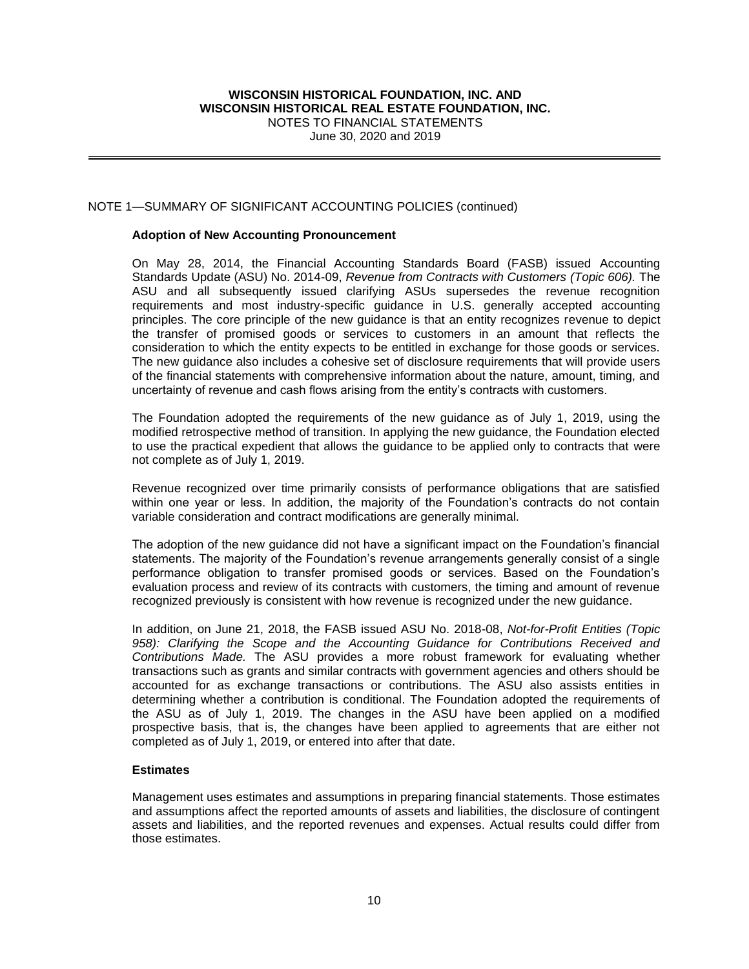June 30, 2020 and 2019

#### NOTE 1—SUMMARY OF SIGNIFICANT ACCOUNTING POLICIES (continued)

#### **Adoption of New Accounting Pronouncement**

On May 28, 2014, the Financial Accounting Standards Board (FASB) issued Accounting Standards Update (ASU) No. 2014-09, *Revenue from Contracts with Customers (Topic 606).* The ASU and all subsequently issued clarifying ASUs supersedes the revenue recognition requirements and most industry-specific guidance in U.S. generally accepted accounting principles. The core principle of the new guidance is that an entity recognizes revenue to depict the transfer of promised goods or services to customers in an amount that reflects the consideration to which the entity expects to be entitled in exchange for those goods or services. The new guidance also includes a cohesive set of disclosure requirements that will provide users of the financial statements with comprehensive information about the nature, amount, timing, and uncertainty of revenue and cash flows arising from the entity's contracts with customers.

The Foundation adopted the requirements of the new guidance as of July 1, 2019, using the modified retrospective method of transition. In applying the new guidance, the Foundation elected to use the practical expedient that allows the guidance to be applied only to contracts that were not complete as of July 1, 2019.

Revenue recognized over time primarily consists of performance obligations that are satisfied within one year or less. In addition, the majority of the Foundation's contracts do not contain variable consideration and contract modifications are generally minimal.

The adoption of the new guidance did not have a significant impact on the Foundation's financial statements. The majority of the Foundation's revenue arrangements generally consist of a single performance obligation to transfer promised goods or services. Based on the Foundation's evaluation process and review of its contracts with customers, the timing and amount of revenue recognized previously is consistent with how revenue is recognized under the new guidance.

In addition, on June 21, 2018, the FASB issued ASU No. 2018-08, *Not-for-Profit Entities (Topic 958): Clarifying the Scope and the Accounting Guidance for Contributions Received and Contributions Made.* The ASU provides a more robust framework for evaluating whether transactions such as grants and similar contracts with government agencies and others should be accounted for as exchange transactions or contributions. The ASU also assists entities in determining whether a contribution is conditional. The Foundation adopted the requirements of the ASU as of July 1, 2019. The changes in the ASU have been applied on a modified prospective basis, that is, the changes have been applied to agreements that are either not completed as of July 1, 2019, or entered into after that date.

#### **Estimates**

Management uses estimates and assumptions in preparing financial statements. Those estimates and assumptions affect the reported amounts of assets and liabilities, the disclosure of contingent assets and liabilities, and the reported revenues and expenses. Actual results could differ from those estimates.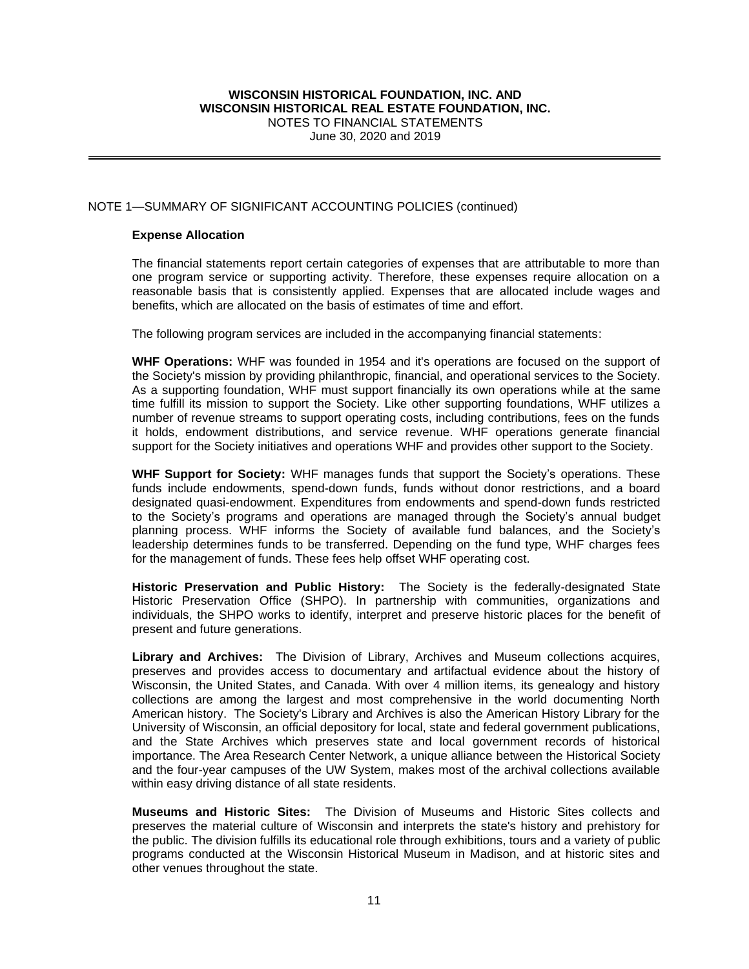#### NOTE 1—SUMMARY OF SIGNIFICANT ACCOUNTING POLICIES (continued)

#### **Expense Allocation**

The financial statements report certain categories of expenses that are attributable to more than one program service or supporting activity. Therefore, these expenses require allocation on a reasonable basis that is consistently applied. Expenses that are allocated include wages and benefits, which are allocated on the basis of estimates of time and effort.

The following program services are included in the accompanying financial statements:

**WHF Operations:** WHF was founded in 1954 and it's operations are focused on the support of the Society's mission by providing philanthropic, financial, and operational services to the Society. As a supporting foundation, WHF must support financially its own operations while at the same time fulfill its mission to support the Society. Like other supporting foundations, WHF utilizes a number of revenue streams to support operating costs, including contributions, fees on the funds it holds, endowment distributions, and service revenue. WHF operations generate financial support for the Society initiatives and operations WHF and provides other support to the Society.

**WHF Support for Society:** WHF manages funds that support the Society's operations. These funds include endowments, spend-down funds, funds without donor restrictions, and a board designated quasi-endowment. Expenditures from endowments and spend-down funds restricted to the Society's programs and operations are managed through the Society's annual budget planning process. WHF informs the Society of available fund balances, and the Society's leadership determines funds to be transferred. Depending on the fund type, WHF charges fees for the management of funds. These fees help offset WHF operating cost.

**Historic Preservation and Public History:** The Society is the federally-designated State Historic Preservation Office (SHPO). In partnership with communities, organizations and individuals, the SHPO works to identify, interpret and preserve historic places for the benefit of present and future generations.

**Library and Archives:** The Division of Library, Archives and Museum collections acquires, preserves and provides access to documentary and artifactual evidence about the history of Wisconsin, the United States, and Canada. With over 4 million items, its genealogy and history collections are among the largest and most comprehensive in the world documenting North American history. The Society's Library and Archives is also the American History Library for the University of Wisconsin, an official depository for local, state and federal government publications, and the State Archives which preserves state and local government records of historical importance. The Area Research Center Network, a unique alliance between the Historical Society and the four-year campuses of the UW System, makes most of the archival collections available within easy driving distance of all state residents.

**Museums and Historic Sites:** The Division of Museums and Historic Sites collects and preserves the material culture of Wisconsin and interprets the state's history and prehistory for the public. The division fulfills its educational role through exhibitions, tours and a variety of public programs conducted at the Wisconsin Historical Museum in Madison, and at historic sites and other venues throughout the state.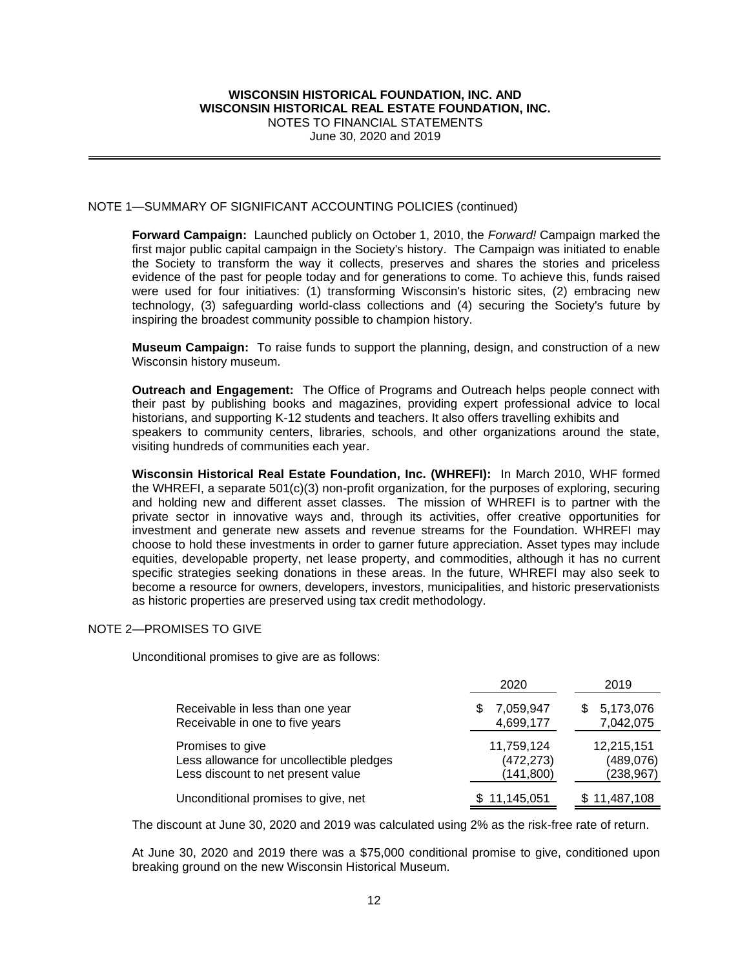June 30, 2020 and 2019

#### NOTE 1—SUMMARY OF SIGNIFICANT ACCOUNTING POLICIES (continued)

**Forward Campaign:** Launched publicly on October 1, 2010, the *Forward!* Campaign marked the first major public capital campaign in the Society's history. The Campaign was initiated to enable the Society to transform the way it collects, preserves and shares the stories and priceless evidence of the past for people today and for generations to come. To achieve this, funds raised were used for four initiatives: (1) transforming Wisconsin's historic sites, (2) embracing new technology, (3) safeguarding world-class collections and (4) securing the Society's future by inspiring the broadest community possible to champion history.

**Museum Campaign:** To raise funds to support the planning, design, and construction of a new Wisconsin history museum.

**Outreach and Engagement:** The Office of Programs and Outreach helps people connect with their past by publishing books and magazines, providing expert professional advice to local historians, and supporting K-12 students and teachers. It also offers travelling exhibits and speakers to community centers, libraries, schools, and other organizations around the state, visiting hundreds of communities each year.

**Wisconsin Historical Real Estate Foundation, Inc. (WHREFI):** In March 2010, WHF formed the WHREFI, a separate 501(c)(3) non-profit organization, for the purposes of exploring, securing and holding new and different asset classes. The mission of WHREFI is to partner with the private sector in innovative ways and, through its activities, offer creative opportunities for investment and generate new assets and revenue streams for the Foundation. WHREFI may choose to hold these investments in order to garner future appreciation. Asset types may include equities, developable property, net lease property, and commodities, although it has no current specific strategies seeking donations in these areas. In the future, WHREFI may also seek to become a resource for owners, developers, investors, municipalities, and historic preservationists as historic properties are preserved using tax credit methodology.

#### NOTE 2—PROMISES TO GIVE

Unconditional promises to give are as follows:

|                                                                                                    | 2020                                   | 2019                                  |
|----------------------------------------------------------------------------------------------------|----------------------------------------|---------------------------------------|
| Receivable in less than one year<br>Receivable in one to five years                                | 7,059,947<br>4,699,177                 | 5,173,076<br>SБ.<br>7,042,075         |
| Promises to give<br>Less allowance for uncollectible pledges<br>Less discount to net present value | 11,759,124<br>(472, 273)<br>(141, 800) | 12,215,151<br>(489,076)<br>(238, 967) |
| Unconditional promises to give, net                                                                | \$11,145,051                           | 11,487,108                            |

The discount at June 30, 2020 and 2019 was calculated using 2% as the risk-free rate of return.

At June 30, 2020 and 2019 there was a \$75,000 conditional promise to give, conditioned upon breaking ground on the new Wisconsin Historical Museum.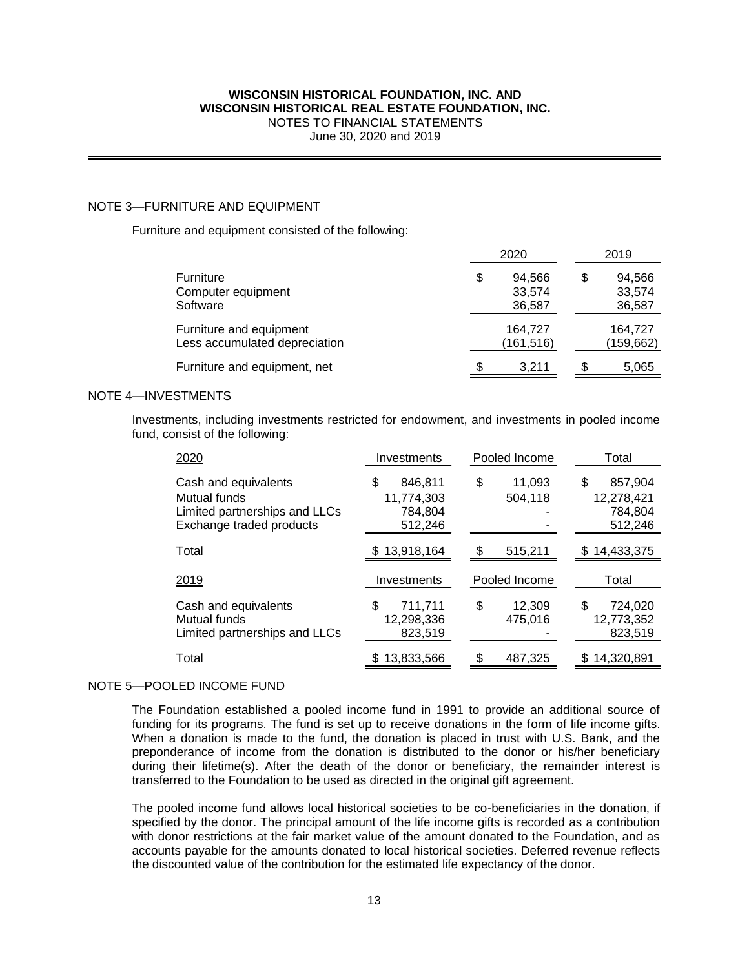June 30, 2020 and 2019

#### NOTE 3—FURNITURE AND EQUIPMENT

Furniture and equipment consisted of the following:

|                                                          | 2020 |                            |   | 2019                       |
|----------------------------------------------------------|------|----------------------------|---|----------------------------|
| Furniture<br>Computer equipment<br>Software              | \$   | 94.566<br>33,574<br>36,587 | S | 94,566<br>33,574<br>36,587 |
| Furniture and equipment<br>Less accumulated depreciation |      | 164,727<br>(161, 516)      |   | 164.727<br>(159, 662)      |
| Furniture and equipment, net                             | S.   | 3.211                      | S | 5,065                      |

#### NOTE 4—INVESTMENTS

Investments, including investments restricted for endowment, and investments in pooled income fund, consist of the following:

| 2020                                                                                              | Investments                                       | Pooled Income           | Total                                             |  |  |  |
|---------------------------------------------------------------------------------------------------|---------------------------------------------------|-------------------------|---------------------------------------------------|--|--|--|
| Cash and equivalents<br>Mutual funds<br>Limited partnerships and LLCs<br>Exchange traded products | \$<br>846,811<br>11,774,303<br>784.804<br>512,246 | \$<br>11,093<br>504,118 | \$<br>857,904<br>12,278,421<br>784,804<br>512,246 |  |  |  |
| Total                                                                                             | 13,918,164<br>S.                                  | 515,211                 | 14,433,375<br>S                                   |  |  |  |
| 2019                                                                                              | Investments                                       | Pooled Income           | Total                                             |  |  |  |
| Cash and equivalents<br>Mutual funds<br>Limited partnerships and LLCs                             | \$<br>711.711<br>12,298,336<br>823,519            | \$<br>12.309<br>475,016 | \$<br>724.020<br>12,773,352<br>823,519            |  |  |  |
| Total                                                                                             | 13,833,566                                        | 487,325                 | 14,320,891<br>S.                                  |  |  |  |

#### NOTE 5—POOLED INCOME FUND

The Foundation established a pooled income fund in 1991 to provide an additional source of funding for its programs. The fund is set up to receive donations in the form of life income gifts. When a donation is made to the fund, the donation is placed in trust with U.S. Bank, and the preponderance of income from the donation is distributed to the donor or his/her beneficiary during their lifetime(s). After the death of the donor or beneficiary, the remainder interest is transferred to the Foundation to be used as directed in the original gift agreement.

The pooled income fund allows local historical societies to be co-beneficiaries in the donation, if specified by the donor. The principal amount of the life income gifts is recorded as a contribution with donor restrictions at the fair market value of the amount donated to the Foundation, and as accounts payable for the amounts donated to local historical societies. Deferred revenue reflects the discounted value of the contribution for the estimated life expectancy of the donor.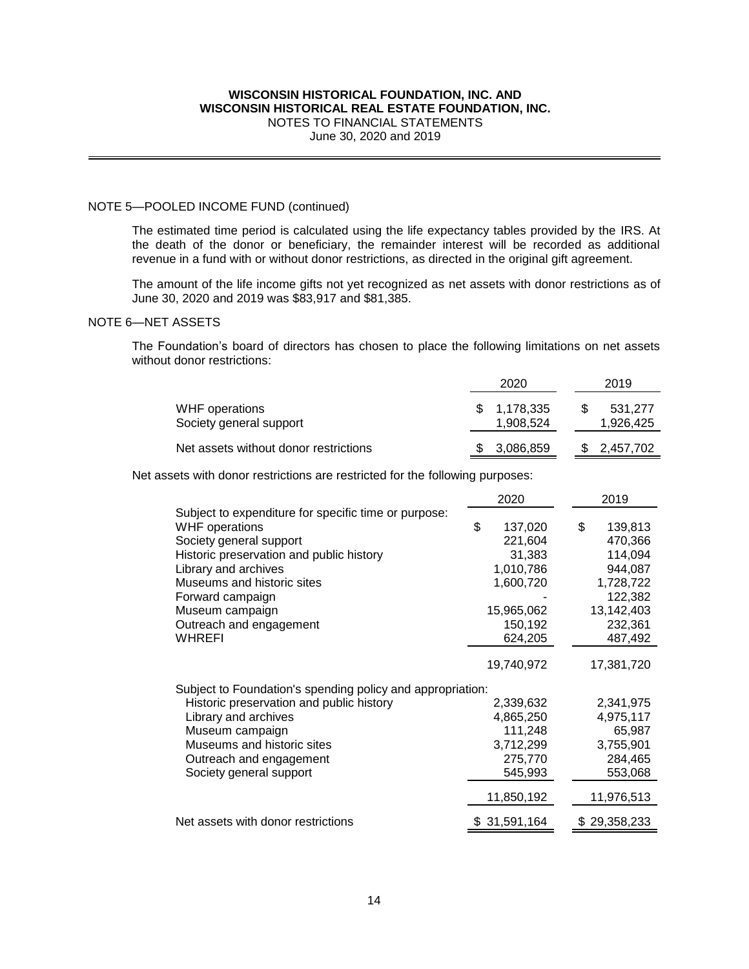#### NOTE 5—POOLED INCOME FUND (continued)

The estimated time period is calculated using the life expectancy tables provided by the IRS. At the death of the donor or beneficiary, the remainder interest will be recorded as additional revenue in a fund with or without donor restrictions, as directed in the original gift agreement.

The amount of the life income gifts not yet recognized as net assets with donor restrictions as of June 30, 2020 and 2019 was \$83,917 and \$81,385.

#### NOTE 6—NET ASSETS

The Foundation's board of directors has chosen to place the following limitations on net assets without donor restrictions:

|                                           | 2020                      | 2019                 |
|-------------------------------------------|---------------------------|----------------------|
| WHF operations<br>Society general support | \$ 1.178.335<br>1.908.524 | 531.277<br>1,926,425 |
| Net assets without donor restrictions     | 3,086,859                 | 2,457,702            |

Net assets with donor restrictions are restricted for the following purposes:

|                                                            | 2020          | 2019          |
|------------------------------------------------------------|---------------|---------------|
| Subject to expenditure for specific time or purpose:       |               |               |
| <b>WHF</b> operations                                      | \$<br>137,020 | \$<br>139,813 |
| Society general support                                    | 221,604       | 470,366       |
| Historic preservation and public history                   | 31,383        | 114,094       |
| Library and archives                                       | 1,010,786     | 944,087       |
| Museums and historic sites                                 | 1,600,720     | 1,728,722     |
| Forward campaign                                           |               | 122,382       |
| Museum campaign                                            | 15,965,062    | 13,142,403    |
| Outreach and engagement                                    | 150,192       | 232,361       |
| WHREFI                                                     | 624,205       | 487,492       |
|                                                            |               |               |
|                                                            | 19,740,972    | 17,381,720    |
| Subject to Foundation's spending policy and appropriation: |               |               |
| Historic preservation and public history                   | 2,339,632     | 2,341,975     |
| Library and archives                                       | 4,865,250     | 4,975,117     |
| Museum campaign                                            | 111,248       | 65,987        |
| Museums and historic sites                                 | 3,712,299     | 3,755,901     |
| Outreach and engagement                                    | 275,770       | 284,465       |
| Society general support                                    | 545,993       | 553,068       |
|                                                            | 11,850,192    | 11,976,513    |
| Net assets with donor restrictions                         | \$31,591,164  | \$29,358,233  |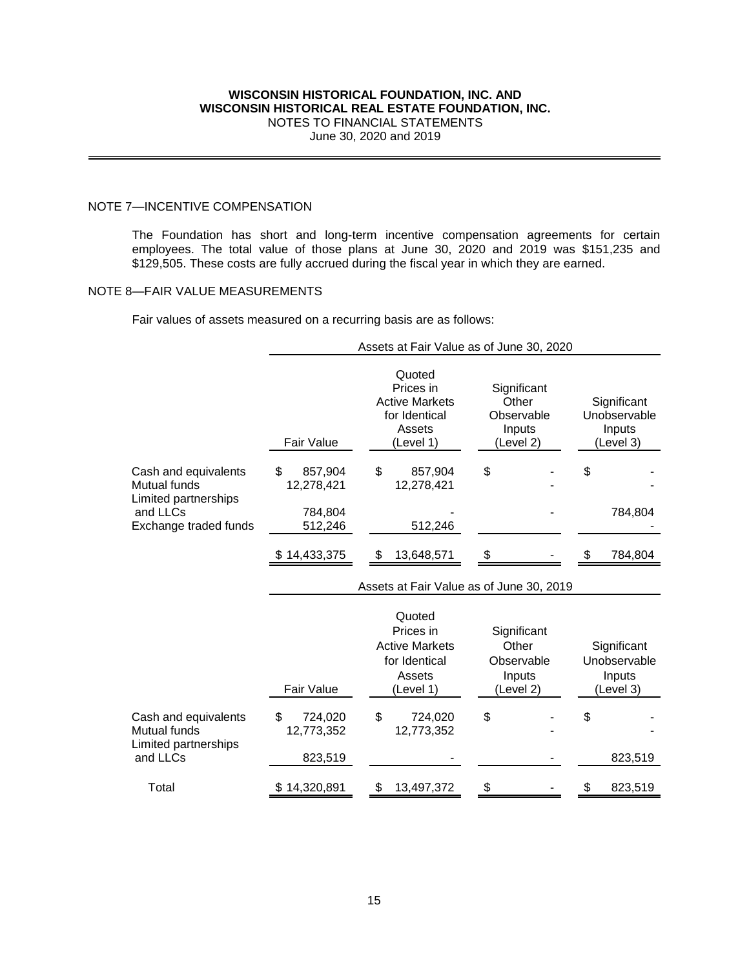#### NOTE 7—INCENTIVE COMPENSATION

The Foundation has short and long-term incentive compensation agreements for certain employees. The total value of those plans at June 30, 2020 and 2019 was \$151,235 and \$129,505. These costs are fully accrued during the fiscal year in which they are earned.

#### NOTE 8—FAIR VALUE MEASUREMENTS

Fair values of assets measured on a recurring basis are as follows:

|                                                              | Assets at Fair Value as of June 30, 2020 |  |                                                                                      |                                                                                      |    |                                                           |                                                    |         |  |  |  |  |
|--------------------------------------------------------------|------------------------------------------|--|--------------------------------------------------------------------------------------|--------------------------------------------------------------------------------------|----|-----------------------------------------------------------|----------------------------------------------------|---------|--|--|--|--|
|                                                              | <b>Fair Value</b>                        |  |                                                                                      | Quoted<br>Prices in<br><b>Active Markets</b><br>for Identical<br>Assets<br>(Level 1) |    | Significant<br>Other<br>Observable<br>Inputs<br>(Level 2) | Significant<br>Unobservable<br>Inputs<br>(Level 3) |         |  |  |  |  |
| Cash and equivalents<br>Mutual funds<br>Limited partnerships | \$<br>857,904<br>12,278,421              |  | \$                                                                                   | 857,904<br>12,278,421                                                                | \$ |                                                           | \$                                                 |         |  |  |  |  |
| and LLCs<br>Exchange traded funds                            | 784,804<br>512,246                       |  |                                                                                      | 512,246                                                                              |    |                                                           |                                                    | 784,804 |  |  |  |  |
|                                                              | \$14,433,375                             |  | \$                                                                                   | 13,648,571                                                                           | \$ |                                                           | \$                                                 | 784,804 |  |  |  |  |
|                                                              | Assets at Fair Value as of June 30, 2019 |  |                                                                                      |                                                                                      |    |                                                           |                                                    |         |  |  |  |  |
|                                                              | <b>Fair Value</b>                        |  | Quoted<br>Prices in<br><b>Active Markets</b><br>for Identical<br>Assets<br>(Level 1) |                                                                                      |    | Significant<br>Other<br>Observable<br>Inputs<br>(Level 2) | Significant<br>Unobservable<br>Inputs<br>(Level 3) |         |  |  |  |  |
| Cash and equivalents<br>Mutual funds                         | \$<br>724,020<br>12,773,352              |  | \$                                                                                   | 724,020<br>12,773,352                                                                | \$ |                                                           | \$                                                 |         |  |  |  |  |
| Limited partnerships<br>and LLCs                             | 823,519                                  |  |                                                                                      |                                                                                      |    |                                                           |                                                    | 823,519 |  |  |  |  |
| Total                                                        | 14,320,891                               |  | S                                                                                    | 13,497,372                                                                           | \$ |                                                           | \$.                                                | 823,519 |  |  |  |  |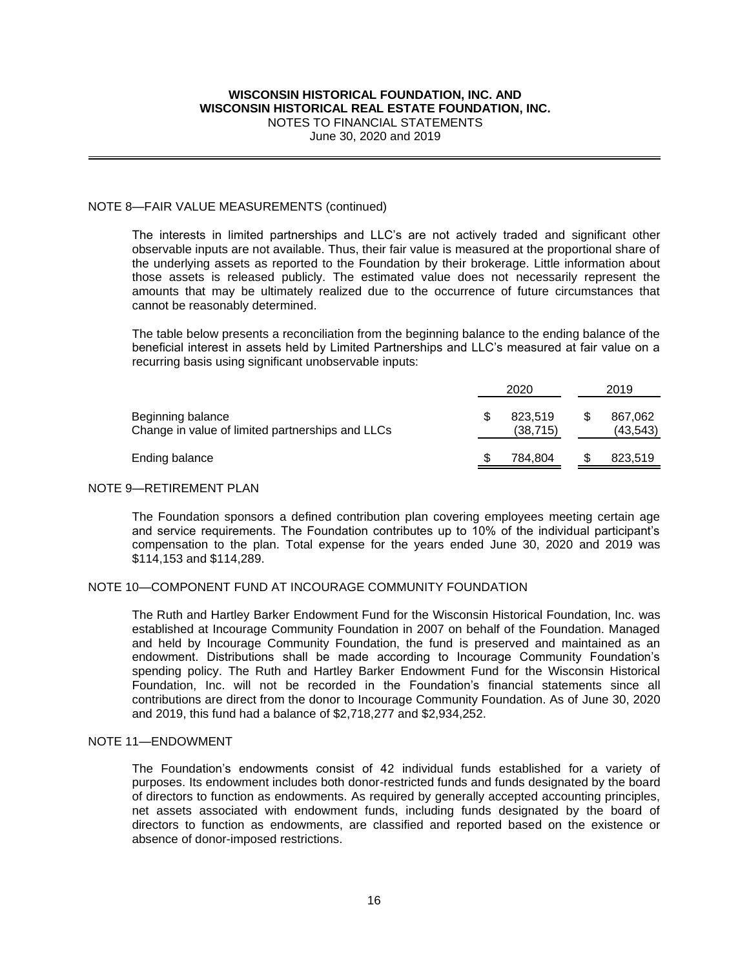June 30, 2020 and 2019

#### NOTE 8—FAIR VALUE MEASUREMENTS (continued)

The interests in limited partnerships and LLC's are not actively traded and significant other observable inputs are not available. Thus, their fair value is measured at the proportional share of the underlying assets as reported to the Foundation by their brokerage. Little information about those assets is released publicly. The estimated value does not necessarily represent the amounts that may be ultimately realized due to the occurrence of future circumstances that cannot be reasonably determined.

The table below presents a reconciliation from the beginning balance to the ending balance of the beneficial interest in assets held by Limited Partnerships and LLC's measured at fair value on a recurring basis using significant unobservable inputs:

|                                                                       | 2020                 | 2019                 |  |  |
|-----------------------------------------------------------------------|----------------------|----------------------|--|--|
| Beginning balance<br>Change in value of limited partnerships and LLCs | 823.519<br>(38, 715) | 867,062<br>(43, 543) |  |  |
| Ending balance                                                        | 784.804              | 823,519              |  |  |

#### NOTE 9—RETIREMENT PLAN

The Foundation sponsors a defined contribution plan covering employees meeting certain age and service requirements. The Foundation contributes up to 10% of the individual participant's compensation to the plan. Total expense for the years ended June 30, 2020 and 2019 was \$114,153 and \$114,289.

#### NOTE 10—COMPONENT FUND AT INCOURAGE COMMUNITY FOUNDATION

The Ruth and Hartley Barker Endowment Fund for the Wisconsin Historical Foundation, Inc. was established at Incourage Community Foundation in 2007 on behalf of the Foundation. Managed and held by Incourage Community Foundation, the fund is preserved and maintained as an endowment. Distributions shall be made according to Incourage Community Foundation's spending policy. The Ruth and Hartley Barker Endowment Fund for the Wisconsin Historical Foundation, Inc. will not be recorded in the Foundation's financial statements since all contributions are direct from the donor to Incourage Community Foundation. As of June 30, 2020 and 2019, this fund had a balance of \$2,718,277 and \$2,934,252.

#### NOTE 11—ENDOWMENT

The Foundation's endowments consist of 42 individual funds established for a variety of purposes. Its endowment includes both donor-restricted funds and funds designated by the board of directors to function as endowments. As required by generally accepted accounting principles, net assets associated with endowment funds, including funds designated by the board of directors to function as endowments, are classified and reported based on the existence or absence of donor-imposed restrictions.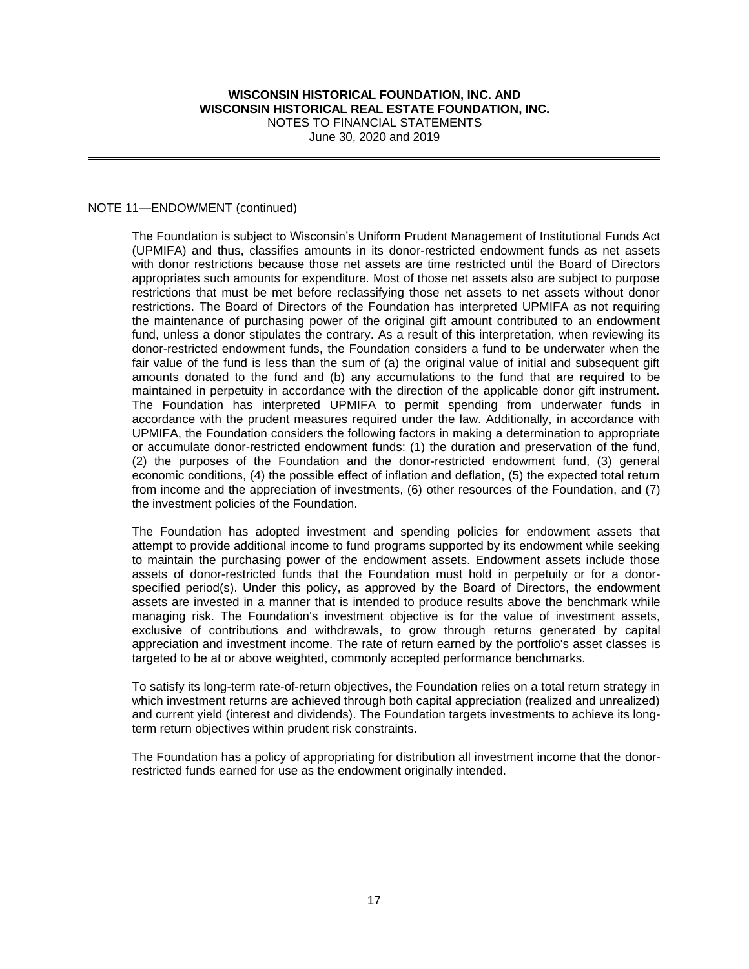June 30, 2020 and 2019

#### NOTE 11—ENDOWMENT (continued)

The Foundation is subject to Wisconsin's Uniform Prudent Management of Institutional Funds Act (UPMIFA) and thus, classifies amounts in its donor-restricted endowment funds as net assets with donor restrictions because those net assets are time restricted until the Board of Directors appropriates such amounts for expenditure. Most of those net assets also are subject to purpose restrictions that must be met before reclassifying those net assets to net assets without donor restrictions. The Board of Directors of the Foundation has interpreted UPMIFA as not requiring the maintenance of purchasing power of the original gift amount contributed to an endowment fund, unless a donor stipulates the contrary. As a result of this interpretation, when reviewing its donor-restricted endowment funds, the Foundation considers a fund to be underwater when the fair value of the fund is less than the sum of (a) the original value of initial and subsequent gift amounts donated to the fund and (b) any accumulations to the fund that are required to be maintained in perpetuity in accordance with the direction of the applicable donor gift instrument. The Foundation has interpreted UPMIFA to permit spending from underwater funds in accordance with the prudent measures required under the law. Additionally, in accordance with UPMIFA, the Foundation considers the following factors in making a determination to appropriate or accumulate donor-restricted endowment funds: (1) the duration and preservation of the fund, (2) the purposes of the Foundation and the donor-restricted endowment fund, (3) general economic conditions, (4) the possible effect of inflation and deflation, (5) the expected total return from income and the appreciation of investments, (6) other resources of the Foundation, and (7) the investment policies of the Foundation.

The Foundation has adopted investment and spending policies for endowment assets that attempt to provide additional income to fund programs supported by its endowment while seeking to maintain the purchasing power of the endowment assets. Endowment assets include those assets of donor-restricted funds that the Foundation must hold in perpetuity or for a donorspecified period(s). Under this policy, as approved by the Board of Directors, the endowment assets are invested in a manner that is intended to produce results above the benchmark while managing risk. The Foundation's investment objective is for the value of investment assets, exclusive of contributions and withdrawals, to grow through returns generated by capital appreciation and investment income. The rate of return earned by the portfolio's asset classes is targeted to be at or above weighted, commonly accepted performance benchmarks.

To satisfy its long-term rate-of-return objectives, the Foundation relies on a total return strategy in which investment returns are achieved through both capital appreciation (realized and unrealized) and current yield (interest and dividends). The Foundation targets investments to achieve its longterm return objectives within prudent risk constraints.

The Foundation has a policy of appropriating for distribution all investment income that the donorrestricted funds earned for use as the endowment originally intended.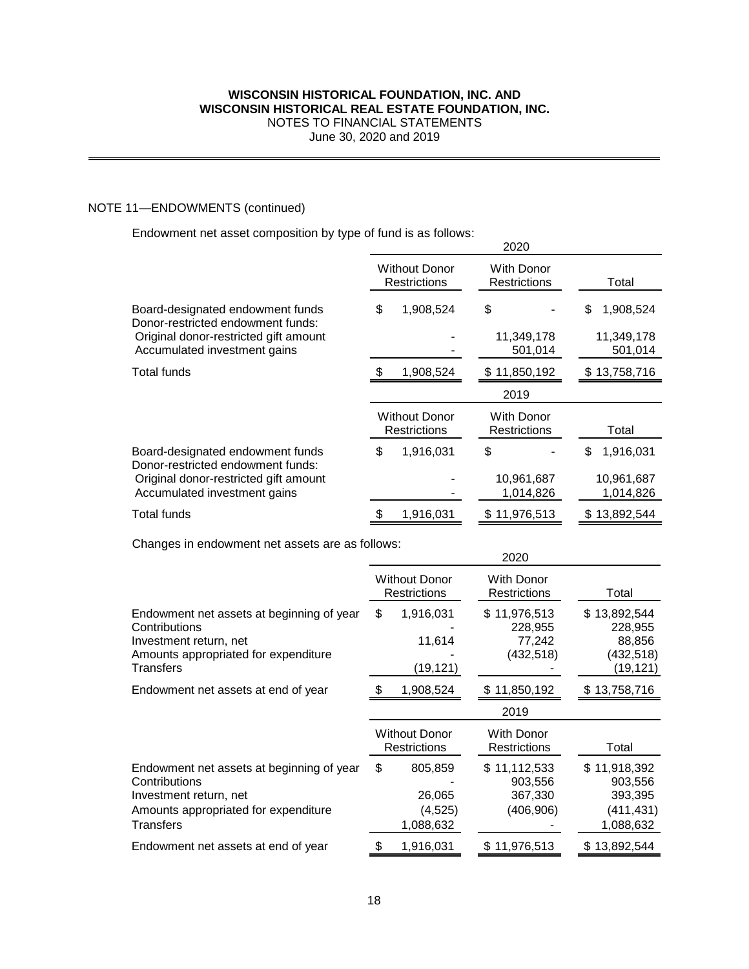June 30, 2020 and 2019

## NOTE 11—ENDOWMENTS (continued)

Endowment net asset composition by type of fund is as follows:

|                                                                                                                                           | 2020 |                                            |      |                                                  |    |                                                               |  |  |  |
|-------------------------------------------------------------------------------------------------------------------------------------------|------|--------------------------------------------|------|--------------------------------------------------|----|---------------------------------------------------------------|--|--|--|
|                                                                                                                                           |      | <b>Without Donor</b><br>Restrictions       |      | <b>With Donor</b><br>Restrictions                |    | Total                                                         |  |  |  |
| Board-designated endowment funds<br>Donor-restricted endowment funds:                                                                     | \$   | 1,908,524                                  | \$   |                                                  | S  | 1,908,524                                                     |  |  |  |
| Original donor-restricted gift amount<br>Accumulated investment gains                                                                     |      |                                            |      | 11,349,178<br>501,014                            |    | 11,349,178<br>501,014                                         |  |  |  |
| <b>Total funds</b>                                                                                                                        | \$   | 1,908,524                                  |      | \$11,850,192                                     |    | \$13,758,716                                                  |  |  |  |
|                                                                                                                                           |      |                                            | 2019 |                                                  |    |                                                               |  |  |  |
|                                                                                                                                           |      | <b>Without Donor</b><br>Restrictions       |      | <b>With Donor</b><br>Restrictions                |    | Total                                                         |  |  |  |
| Board-designated endowment funds<br>Donor-restricted endowment funds:                                                                     | \$   | 1,916,031                                  | \$   |                                                  | \$ | 1,916,031                                                     |  |  |  |
| Original donor-restricted gift amount<br>Accumulated investment gains                                                                     |      |                                            |      | 10,961,687<br>1,014,826                          |    | 10,961,687<br>1,014,826                                       |  |  |  |
| <b>Total funds</b>                                                                                                                        | \$   | 1,916,031                                  |      | \$11,976,513                                     |    | \$13,892,544                                                  |  |  |  |
| Changes in endowment net assets are as follows:                                                                                           |      |                                            | 2020 |                                                  |    |                                                               |  |  |  |
|                                                                                                                                           |      | <b>Without Donor</b><br>Restrictions       |      | With Donor<br>Restrictions                       |    | Total                                                         |  |  |  |
| Endowment net assets at beginning of year<br>Contributions<br>Investment return, net<br>Amounts appropriated for expenditure              | \$   | 1,916,031<br>11,614                        |      | \$11,976,513<br>228,955<br>77,242<br>(432, 518)  |    | \$13,892,544<br>228,955<br>88,856<br>(432, 518)               |  |  |  |
| Transfers                                                                                                                                 |      | (19, 121)                                  |      |                                                  |    | (19, 121)                                                     |  |  |  |
| Endowment net assets at end of year                                                                                                       | \$   | 1,908,524                                  |      | \$11,850,192                                     |    | \$13,758,716                                                  |  |  |  |
|                                                                                                                                           |      |                                            | 2019 |                                                  |    |                                                               |  |  |  |
|                                                                                                                                           |      | <b>Without Donor</b><br>Restrictions       |      | <b>With Donor</b><br>Restrictions                |    | Total                                                         |  |  |  |
| Endowment net assets at beginning of year<br>Contributions<br>Investment return, net<br>Amounts appropriated for expenditure<br>Transfers | \$   | 805,859<br>26,065<br>(4, 525)<br>1,088,632 |      | \$11,112,533<br>903,556<br>367,330<br>(406, 906) |    | \$11,918,392<br>903,556<br>393,395<br>(411, 431)<br>1,088,632 |  |  |  |
| Endowment net assets at end of year                                                                                                       | \$   | 1,916,031                                  |      | \$11,976,513                                     |    | \$13,892,544                                                  |  |  |  |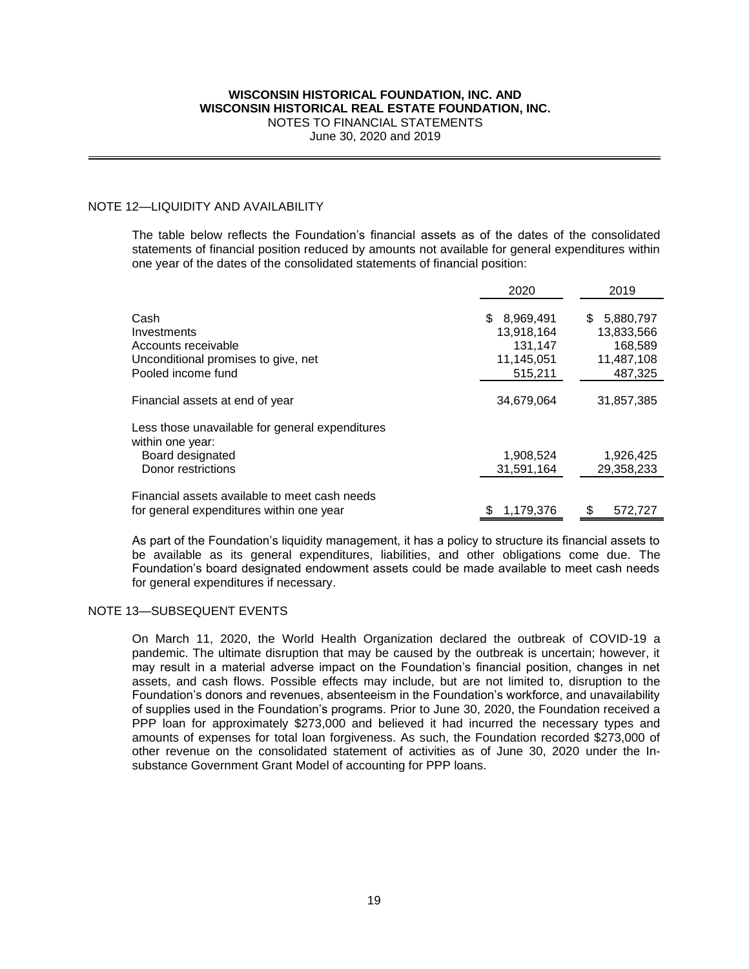#### NOTE 12—LIQUIDITY AND AVAILABILITY

The table below reflects the Foundation's financial assets as of the dates of the consolidated statements of financial position reduced by amounts not available for general expenditures within one year of the dates of the consolidated statements of financial position:

|                                                 | 2020             | 2019             |
|-------------------------------------------------|------------------|------------------|
|                                                 |                  |                  |
| Cash                                            | \$<br>8,969,491  | 5,880,797<br>\$. |
| Investments                                     | 13,918,164       | 13,833,566       |
| Accounts receivable                             | 131,147          | 168,589          |
| Unconditional promises to give, net             | 11,145,051       | 11,487,108       |
| Pooled income fund                              | 515,211          | 487,325          |
| Financial assets at end of year                 | 34,679,064       | 31,857,385       |
| Less those unavailable for general expenditures |                  |                  |
| within one year:                                |                  |                  |
| Board designated                                | 1,908,524        | 1,926,425        |
| Donor restrictions                              | 31,591,164       | 29,358,233       |
| Financial assets available to meet cash needs   |                  |                  |
| for general expenditures within one year        | 1,179,376<br>\$. | \$<br>572,727    |

As part of the Foundation's liquidity management, it has a policy to structure its financial assets to be available as its general expenditures, liabilities, and other obligations come due. The Foundation's board designated endowment assets could be made available to meet cash needs for general expenditures if necessary.

#### NOTE 13—SUBSEQUENT EVENTS

On March 11, 2020, the World Health Organization declared the outbreak of COVID-19 a pandemic. The ultimate disruption that may be caused by the outbreak is uncertain; however, it may result in a material adverse impact on the Foundation's financial position, changes in net assets, and cash flows. Possible effects may include, but are not limited to, disruption to the Foundation's donors and revenues, absenteeism in the Foundation's workforce, and unavailability of supplies used in the Foundation's programs. Prior to June 30, 2020, the Foundation received a PPP loan for approximately \$273,000 and believed it had incurred the necessary types and amounts of expenses for total loan forgiveness. As such, the Foundation recorded \$273,000 of other revenue on the consolidated statement of activities as of June 30, 2020 under the Insubstance Government Grant Model of accounting for PPP loans.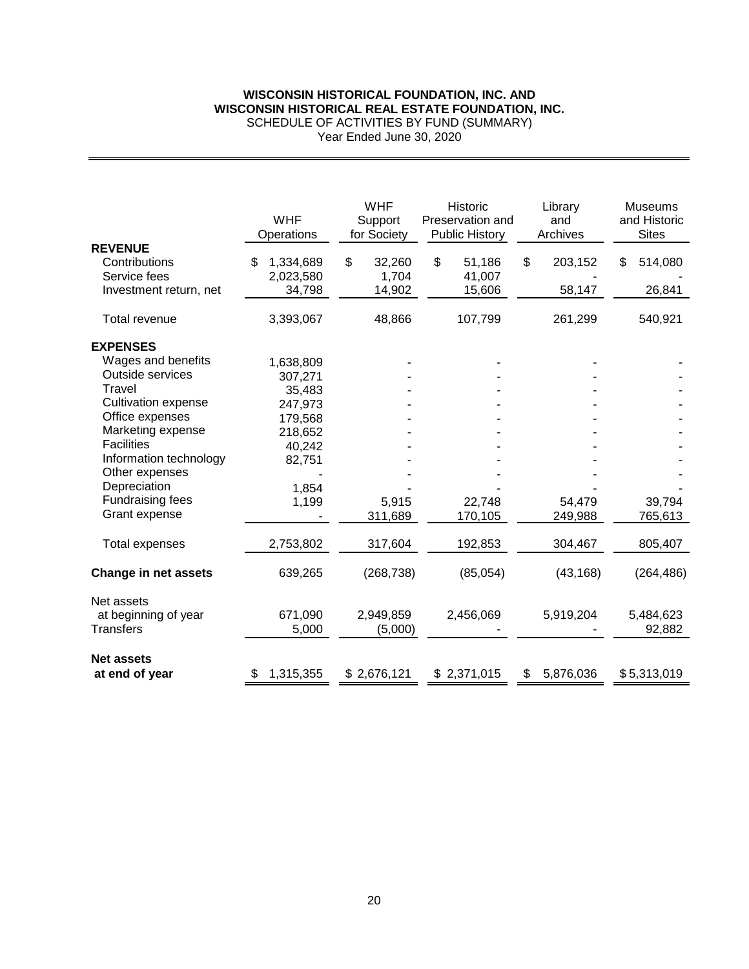## **WISCONSIN HISTORICAL FOUNDATION, INC. AND WISCONSIN HISTORICAL REAL ESTATE FOUNDATION, INC.** SCHEDULE OF ACTIVITIES BY FUND (SUMMARY)

Year Ended June 30, 2020

|                             |                 |    | <b>WHF</b>  | Historic              | Library         | <b>Museums</b> |
|-----------------------------|-----------------|----|-------------|-----------------------|-----------------|----------------|
|                             | <b>WHF</b>      |    | Support     | Preservation and      | and             | and Historic   |
|                             | Operations      |    | for Society | <b>Public History</b> | Archives        | <b>Sites</b>   |
| <b>REVENUE</b>              |                 |    |             |                       |                 |                |
| Contributions               | \$<br>1,334,689 | \$ | 32,260      | \$<br>51,186          | \$<br>203,152   | \$<br>514,080  |
| Service fees                | 2,023,580       |    | 1,704       | 41,007                |                 |                |
| Investment return, net      | 34,798          |    | 14,902      | 15,606                | 58,147          | 26,841         |
| Total revenue               | 3,393,067       |    | 48,866      | 107,799               | 261,299         | 540,921        |
| <b>EXPENSES</b>             |                 |    |             |                       |                 |                |
| Wages and benefits          | 1,638,809       |    |             |                       |                 |                |
| Outside services            | 307,271         |    |             |                       |                 |                |
| Travel                      | 35,483          |    |             |                       |                 |                |
| <b>Cultivation expense</b>  | 247,973         |    |             |                       |                 |                |
| Office expenses             | 179,568         |    |             |                       |                 |                |
| Marketing expense           | 218,652         |    |             |                       |                 |                |
| <b>Facilities</b>           | 40,242          |    |             |                       |                 |                |
| Information technology      | 82,751          |    |             |                       |                 |                |
| Other expenses              |                 |    |             |                       |                 |                |
| Depreciation                | 1,854           |    |             |                       |                 |                |
| <b>Fundraising fees</b>     | 1,199           |    | 5,915       | 22,748                | 54,479          | 39,794         |
| Grant expense               |                 |    | 311,689     | 170,105               | 249,988         | 765,613        |
| Total expenses              | 2,753,802       |    | 317,604     | 192,853               | 304,467         | 805,407        |
| <b>Change in net assets</b> | 639,265         |    | (268, 738)  | (85,054)              | (43, 168)       | (264, 486)     |
| Net assets                  |                 |    |             |                       |                 |                |
| at beginning of year        | 671,090         |    | 2,949,859   | 2,456,069             | 5,919,204       | 5,484,623      |
| <b>Transfers</b>            | 5,000           |    | (5,000)     |                       |                 | 92,882         |
|                             |                 |    |             |                       |                 |                |
| <b>Net assets</b>           |                 |    |             |                       |                 |                |
| at end of year              | 1,315,355       |    | \$2,676,121 | \$2,371,015           | \$<br>5,876,036 | \$5,313,019    |
|                             |                 |    |             |                       |                 |                |
|                             |                 |    |             |                       |                 |                |
|                             |                 |    |             |                       |                 |                |
|                             |                 |    |             |                       |                 |                |
|                             |                 |    |             |                       |                 |                |
|                             |                 |    |             |                       |                 |                |
|                             |                 |    |             |                       |                 |                |
|                             |                 |    |             |                       |                 |                |
|                             |                 |    |             |                       |                 |                |
|                             |                 |    |             |                       |                 |                |
|                             |                 |    |             |                       |                 |                |
|                             |                 |    |             |                       |                 |                |
|                             |                 | 20 |             |                       |                 |                |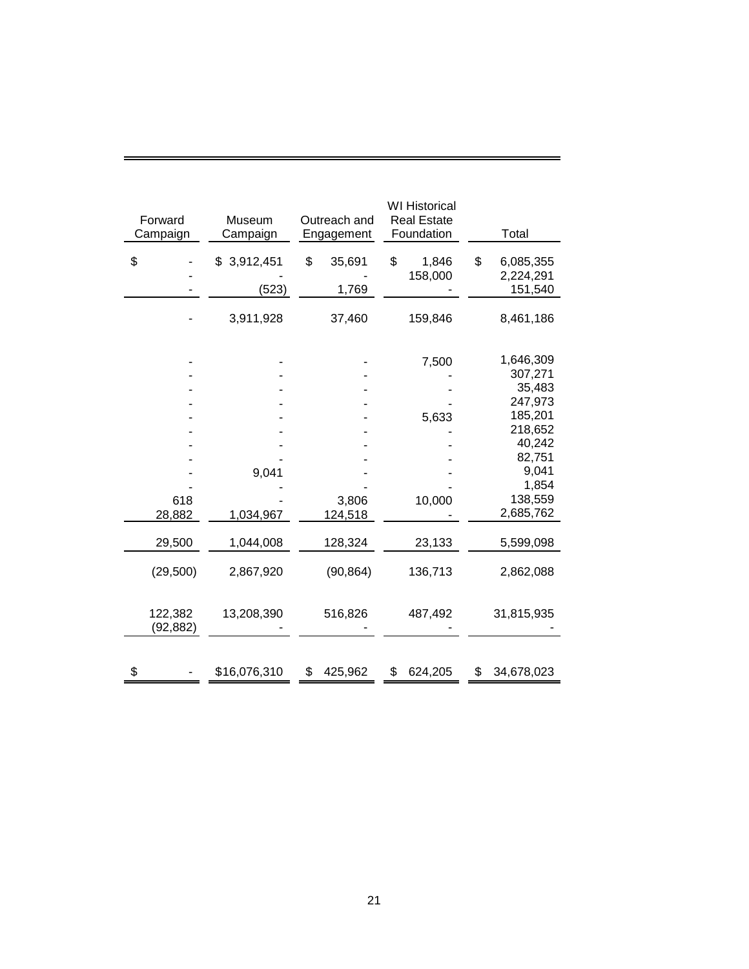| Forward<br>Campaign  | Museum<br>Campaign   | Outreach and<br>Engagement | <b>WI Historical</b><br><b>Real Estate</b><br>Foundation | Total                                                |
|----------------------|----------------------|----------------------------|----------------------------------------------------------|------------------------------------------------------|
| \$                   | \$3,912,451<br>(523) | \$<br>35,691<br>1,769      | \$<br>1,846<br>158,000                                   | \$<br>6,085,355<br>2,224,291<br>151,540              |
|                      | 3,911,928            | 37,460                     | 159,846                                                  | 8,461,186                                            |
|                      |                      |                            | 7,500<br>5,633                                           | 1,646,309<br>307,271<br>35,483<br>247,973<br>185,201 |
|                      |                      |                            |                                                          | 218,652<br>40,242                                    |
| 618                  | 9,041                | 3,806                      | 10,000                                                   | 82,751<br>9,041<br>1,854<br>138,559                  |
| 28,882               | 1,034,967            | 124,518                    |                                                          | 2,685,762                                            |
| 29,500               | 1,044,008            | 128,324                    | 23,133                                                   | 5,599,098                                            |
| (29, 500)            | 2,867,920            | (90, 864)                  | 136,713                                                  | 2,862,088                                            |
| 122,382<br>(92, 882) | 13,208,390           | 516,826                    | 487,492                                                  | 31,815,935                                           |
| \$                   | \$16,076,310         | \$<br>425,962              | \$<br>624,205                                            | \$<br>34,678,023                                     |
|                      |                      | 21                         |                                                          |                                                      |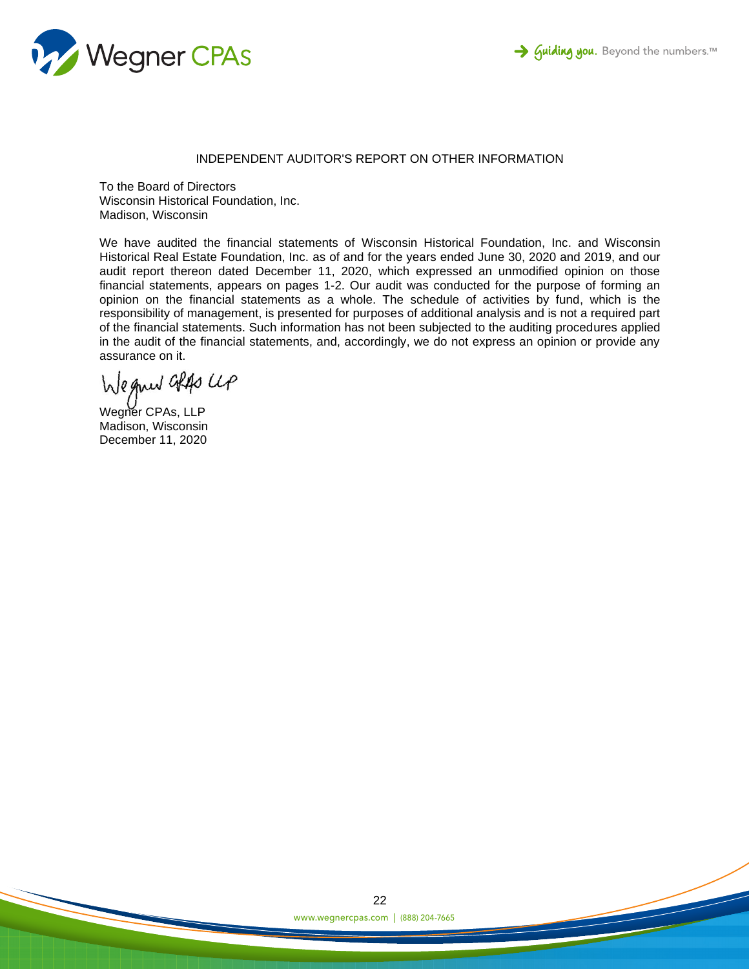



#### INDEPENDENT AUDITOR'S REPORT ON OTHER INFORMATION

To the Board of Directors Wisconsin Historical Foundation, Inc. Madison, Wisconsin

We have audited the financial statements of Wisconsin Historical Foundation, Inc. and Wisconsin Historical Real Estate Foundation, Inc. as of and for the years ended June 30, 2020 and 2019, and our audit report thereon dated December 11, 2020, which expressed an unmodified opinion on those financial statements, appears on pages 1-2. Our audit was conducted for the purpose of forming an opinion on the financial statements as a whole. The schedule of activities by fund, which is the responsibility of management, is presented for purposes of additional analysis and is not a required part of the financial statements. Such information has not been subjected to the auditing procedures applied in the audit of the financial statements, and, accordingly, we do not express an opinion or provide any assurance on it.

We guy algo up

Wegner CPAs, LLP Madison, Wisconsin December 11, 2020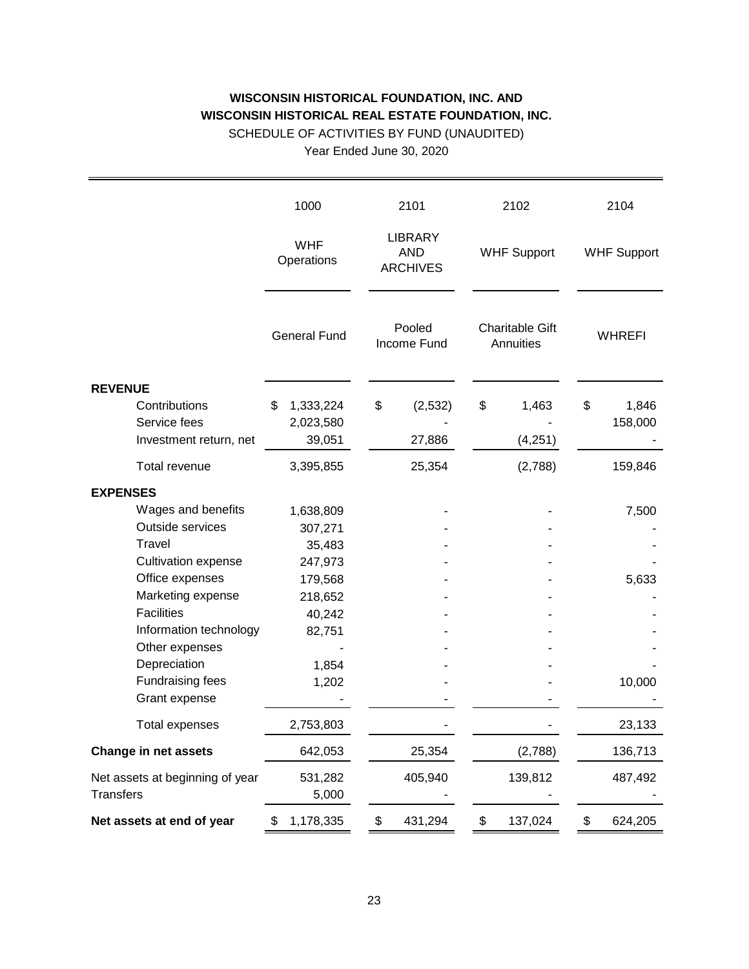# **WISCONSIN HISTORICAL FOUNDATION, INC. AND WISCONSIN HISTORICAL REAL ESTATE FOUNDATION, INC.**

SCHEDULE OF ACTIVITIES BY FUND (UNAUDITED)

Year Ended June 30, 2020

|                                 |                     | 1000                     | 2101                                            |    | 2102                                |               | 2104               |  |
|---------------------------------|---------------------|--------------------------|-------------------------------------------------|----|-------------------------------------|---------------|--------------------|--|
|                                 |                     | <b>WHF</b><br>Operations | <b>LIBRARY</b><br><b>AND</b><br><b>ARCHIVES</b> |    | <b>WHF Support</b>                  |               | <b>WHF Support</b> |  |
|                                 | <b>General Fund</b> |                          | Pooled<br>Income Fund                           |    | <b>Charitable Gift</b><br>Annuities | <b>WHREFI</b> |                    |  |
| <b>REVENUE</b>                  |                     |                          |                                                 |    |                                     |               |                    |  |
| Contributions                   | \$                  | 1,333,224                | \$<br>(2,532)                                   | \$ | 1,463                               | \$            | 1,846              |  |
| Service fees                    |                     | 2,023,580                |                                                 |    |                                     |               | 158,000            |  |
| Investment return, net          |                     | 39,051                   | 27,886                                          |    | (4, 251)                            |               |                    |  |
| Total revenue                   |                     | 3,395,855                | 25,354                                          |    | (2,788)                             |               | 159,846            |  |
| <b>EXPENSES</b>                 |                     |                          |                                                 |    |                                     |               |                    |  |
| Wages and benefits              |                     | 1,638,809                |                                                 |    |                                     |               | 7,500              |  |
| Outside services                |                     | 307,271                  |                                                 |    |                                     |               |                    |  |
| Travel                          |                     | 35,483                   |                                                 |    |                                     |               |                    |  |
| <b>Cultivation expense</b>      |                     | 247,973                  |                                                 |    |                                     |               |                    |  |
| Office expenses                 |                     | 179,568                  |                                                 |    |                                     |               | 5,633              |  |
| Marketing expense               |                     | 218,652                  |                                                 |    |                                     |               |                    |  |
| <b>Facilities</b>               |                     | 40,242                   |                                                 |    |                                     |               |                    |  |
| Information technology          |                     | 82,751                   |                                                 |    |                                     |               |                    |  |
| Other expenses                  |                     |                          |                                                 |    |                                     |               |                    |  |
| Depreciation                    |                     | 1,854                    |                                                 |    |                                     |               |                    |  |
| Fundraising fees                |                     | 1,202                    |                                                 |    |                                     |               | 10,000             |  |
| Grant expense                   |                     |                          |                                                 |    |                                     |               |                    |  |
| <b>Total expenses</b>           |                     | 2,753,803                |                                                 |    |                                     |               | 23,133             |  |
| <b>Change in net assets</b>     |                     | 642,053                  | 25,354                                          |    | (2,788)                             |               | 136,713            |  |
| Net assets at beginning of year | 531,282             |                          | 405,940                                         |    | 139,812                             |               | 487,492            |  |
| <b>Transfers</b>                |                     | 5,000                    |                                                 |    |                                     |               |                    |  |
| Net assets at end of year       | \$                  | 1,178,335                | \$<br>431,294                                   | \$ | 137,024                             | \$            | 624,205            |  |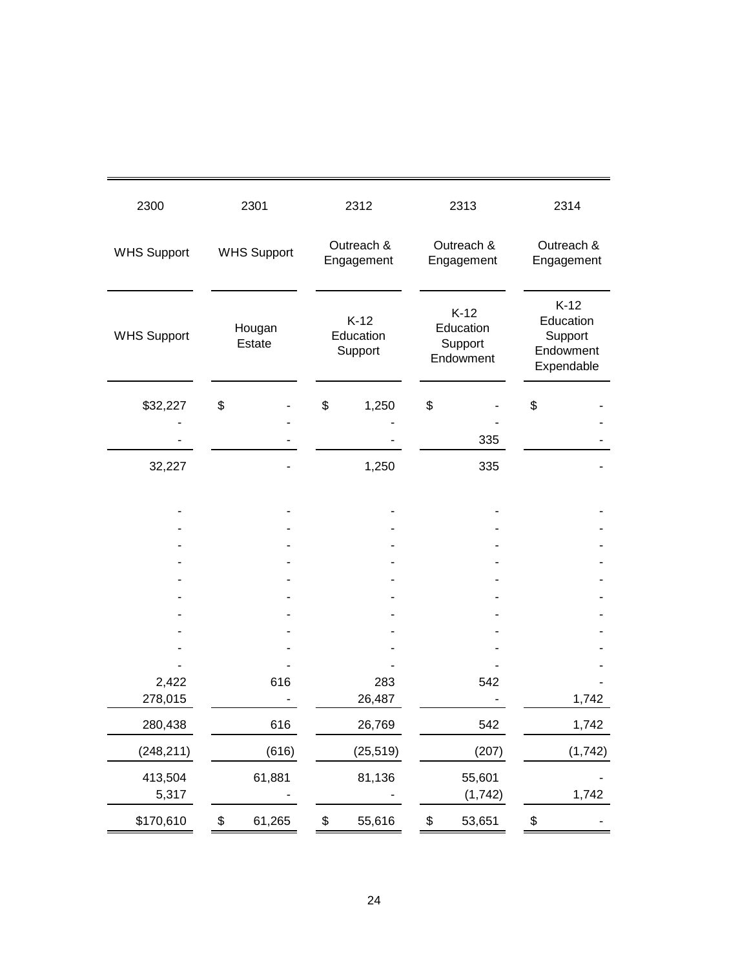| 2300               | 2301               | 2312                           | 2313                     | 2314                                                      |
|--------------------|--------------------|--------------------------------|--------------------------|-----------------------------------------------------------|
| <b>WHS Support</b> | <b>WHS Support</b> | Outreach &<br>Engagement       | Outreach &<br>Engagement | Outreach &<br>Engagement                                  |
| <b>WHS Support</b> | Hougan<br>Estate   | $K-12$<br>Education<br>Support |                          | $K-12$<br>Education<br>Support<br>Endowment<br>Expendable |
| \$32,227           | \$                 | \$<br>1,250                    | \$                       | \$                                                        |
|                    |                    |                                | 335                      |                                                           |
| 32,227             |                    | 1,250                          | 335                      |                                                           |
|                    |                    |                                |                          |                                                           |
|                    |                    |                                |                          |                                                           |
|                    |                    |                                |                          |                                                           |
|                    |                    |                                |                          |                                                           |
|                    |                    |                                |                          |                                                           |
|                    |                    |                                |                          |                                                           |
|                    |                    |                                |                          |                                                           |
| 2,422              | 616                | 283                            | 542                      |                                                           |
| 278,015            |                    | 26,487                         |                          | 1,742                                                     |
| 280,438            | 616                | 26,769                         | 542                      | 1,742                                                     |
| (248, 211)         | (616)              | (25, 519)                      | (207)                    | (1, 742)                                                  |
| 413,504            | 61,881             | 81,136                         | 55,601                   |                                                           |
| 5,317              |                    |                                | (1, 742)                 | 1,742                                                     |
| \$170,610          | \$<br>61,265       | 55,616<br>\$                   | 53,651<br>\$             | \$                                                        |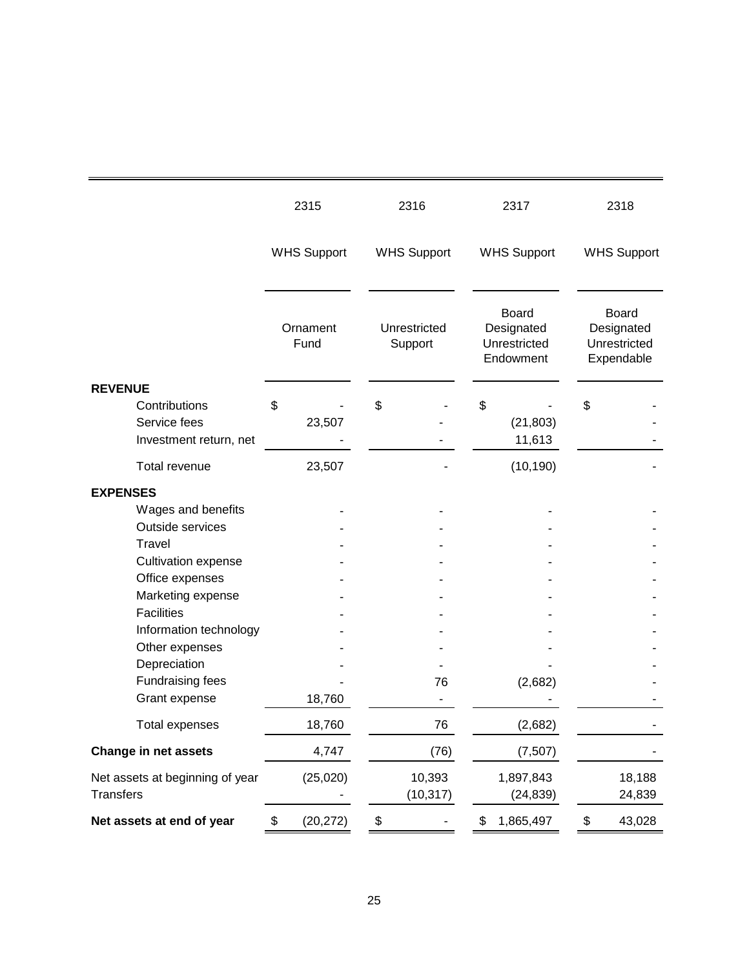|                                        |    | 2315               |    | 2316                    |                                                         | 2317                |    | 2318                                                     |
|----------------------------------------|----|--------------------|----|-------------------------|---------------------------------------------------------|---------------------|----|----------------------------------------------------------|
|                                        |    | <b>WHS Support</b> |    | <b>WHS Support</b>      | <b>WHS Support</b>                                      |                     |    | <b>WHS Support</b>                                       |
|                                        |    | Ornament<br>Fund   |    | Unrestricted<br>Support | <b>Board</b><br>Designated<br>Unrestricted<br>Endowment |                     |    | <b>Board</b><br>Designated<br>Unrestricted<br>Expendable |
| <b>REVENUE</b><br>Contributions        | \$ |                    | \$ |                         | \$                                                      |                     | \$ |                                                          |
| Service fees<br>Investment return, net |    | 23,507             |    |                         |                                                         | (21, 803)<br>11,613 |    |                                                          |
| Total revenue                          |    | 23,507             |    |                         |                                                         | (10, 190)           |    |                                                          |
| <b>EXPENSES</b>                        |    |                    |    |                         |                                                         |                     |    |                                                          |
| Wages and benefits                     |    |                    |    |                         |                                                         |                     |    |                                                          |
| <b>Outside services</b>                |    |                    |    |                         |                                                         |                     |    |                                                          |
| Travel                                 |    |                    |    |                         |                                                         |                     |    |                                                          |
| <b>Cultivation expense</b>             |    |                    |    |                         |                                                         |                     |    |                                                          |
| Office expenses                        |    |                    |    |                         |                                                         |                     |    |                                                          |
| Marketing expense                      |    |                    |    |                         |                                                         |                     |    |                                                          |
| <b>Facilities</b>                      |    |                    |    |                         |                                                         |                     |    |                                                          |
| Information technology                 |    |                    |    |                         |                                                         |                     |    |                                                          |
| Other expenses                         |    |                    |    |                         |                                                         |                     |    |                                                          |
| Depreciation                           |    |                    |    |                         |                                                         |                     |    |                                                          |
| <b>Fundraising fees</b>                |    |                    |    | 76                      |                                                         | (2,682)             |    |                                                          |
| Grant expense                          |    | 18,760             |    |                         |                                                         |                     |    |                                                          |
| <b>Total expenses</b>                  |    | 18,760             |    | 76                      |                                                         | (2,682)             |    |                                                          |
| <b>Change in net assets</b>            |    | 4,747              |    | (76)                    |                                                         | (7, 507)            |    |                                                          |
| Net assets at beginning of year        |    | (25,020)           |    | 10,393                  |                                                         | 1,897,843           |    | 18,188                                                   |
| <b>Transfers</b>                       |    |                    |    | (10, 317)               |                                                         | (24, 839)           |    | 24,839                                                   |
| Net assets at end of year              | \$ | (20, 272)          | \$ |                         | \$                                                      | 1,865,497           | \$ | 43,028                                                   |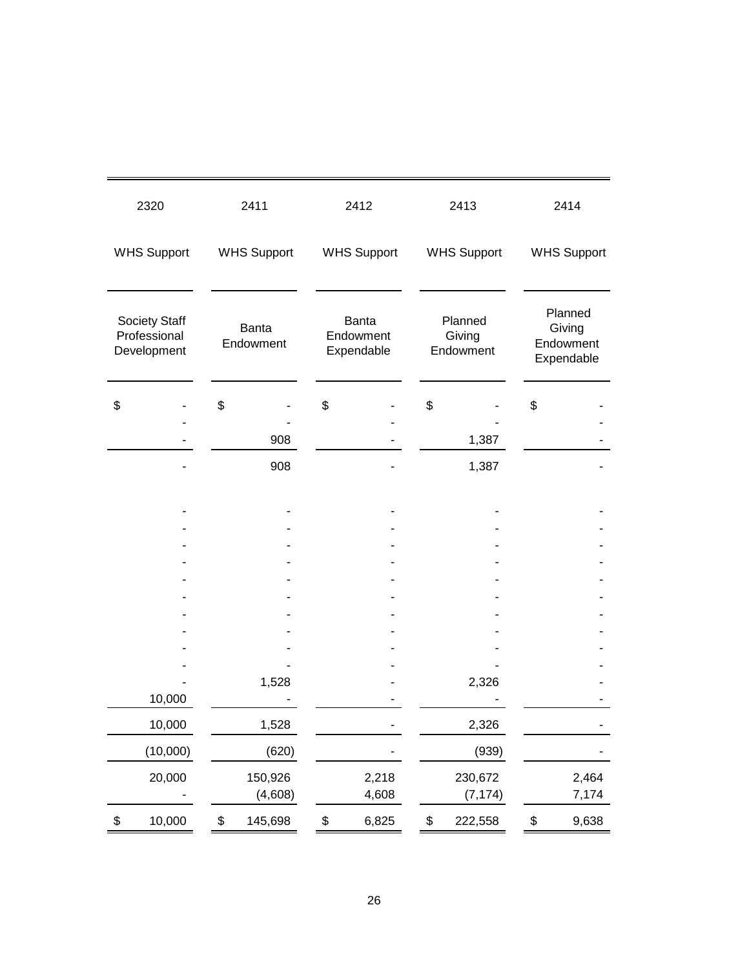| 2320                                         |    | 2411               |    | 2412                                    | 2413               |                                | 2414               |                                              |  |  |
|----------------------------------------------|----|--------------------|----|-----------------------------------------|--------------------|--------------------------------|--------------------|----------------------------------------------|--|--|
| <b>WHS Support</b>                           |    | <b>WHS Support</b> |    | <b>WHS Support</b>                      | <b>WHS Support</b> |                                | <b>WHS Support</b> |                                              |  |  |
| Society Staff<br>Professional<br>Development |    | Banta<br>Endowment |    | <b>Banta</b><br>Endowment<br>Expendable |                    | Planned<br>Giving<br>Endowment |                    | Planned<br>Giving<br>Endowment<br>Expendable |  |  |
| \$                                           | \$ |                    | \$ |                                         | \$                 | \$                             |                    |                                              |  |  |
|                                              |    | 908                |    |                                         | 1,387              |                                |                    |                                              |  |  |
|                                              |    | 908                |    |                                         | 1,387              |                                |                    |                                              |  |  |
|                                              |    |                    |    |                                         |                    |                                |                    |                                              |  |  |
|                                              |    |                    |    |                                         |                    |                                |                    |                                              |  |  |
|                                              |    |                    |    |                                         |                    |                                |                    |                                              |  |  |
|                                              |    |                    |    |                                         |                    |                                |                    |                                              |  |  |
|                                              |    |                    |    |                                         |                    |                                |                    |                                              |  |  |
|                                              |    |                    |    |                                         |                    |                                |                    |                                              |  |  |
|                                              |    |                    |    |                                         |                    |                                |                    |                                              |  |  |
|                                              |    |                    |    |                                         |                    |                                |                    |                                              |  |  |
|                                              |    |                    |    |                                         |                    |                                |                    |                                              |  |  |
|                                              |    |                    |    |                                         |                    |                                |                    |                                              |  |  |
|                                              |    | 1,528              |    |                                         | 2,326              |                                |                    |                                              |  |  |
| 10,000                                       |    |                    |    |                                         |                    |                                |                    |                                              |  |  |
| 10,000                                       |    | 1,528              |    |                                         | 2.326              |                                |                    |                                              |  |  |
| (10,000)                                     |    | (620)              |    |                                         | (939)              |                                |                    |                                              |  |  |
| 20,000                                       |    | 150,926            |    | 2,218                                   | 230,672            |                                | 2,464              |                                              |  |  |
|                                              |    | (4,608)            |    | 4,608                                   | (7, 174)           |                                | 7,174              |                                              |  |  |
| 10,000<br>\$                                 | \$ | 145,698            | \$ | 6,825                                   | \$<br>222,558      | \$                             | 9,638              |                                              |  |  |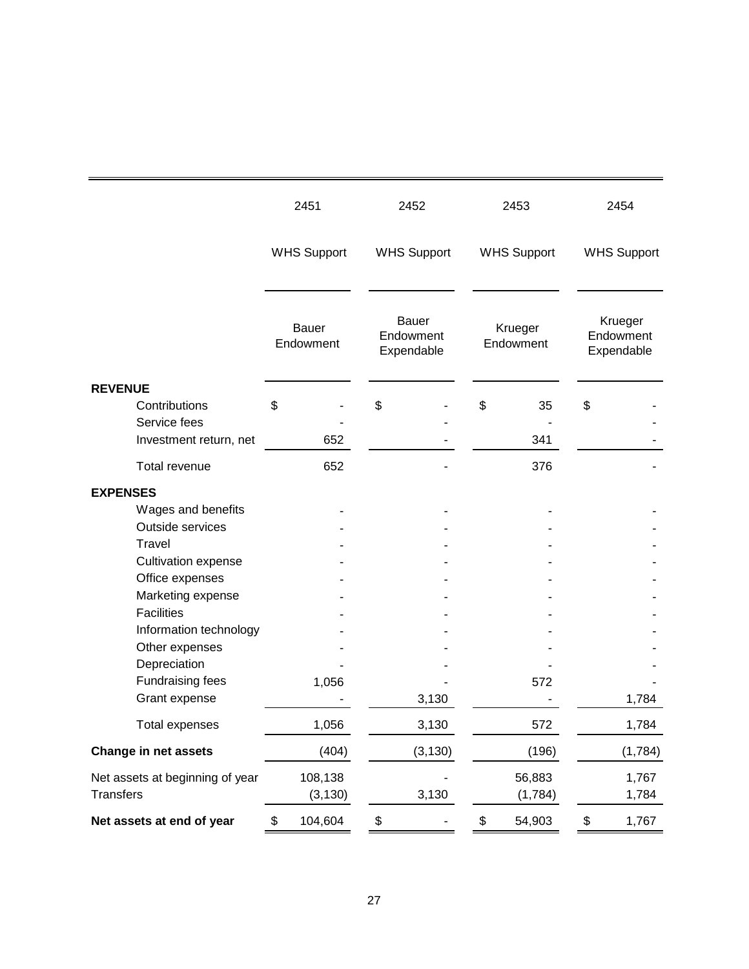|                                 |                           | 2451               |                                         | 2452               |                      | 2453               |                                    | 2454               |
|---------------------------------|---------------------------|--------------------|-----------------------------------------|--------------------|----------------------|--------------------|------------------------------------|--------------------|
|                                 |                           | <b>WHS Support</b> |                                         | <b>WHS Support</b> |                      | <b>WHS Support</b> |                                    | <b>WHS Support</b> |
|                                 | <b>Bauer</b><br>Endowment |                    | <b>Bauer</b><br>Endowment<br>Expendable |                    | Krueger<br>Endowment |                    | Krueger<br>Endowment<br>Expendable |                    |
| <b>REVENUE</b>                  |                           |                    |                                         |                    |                      |                    |                                    |                    |
| Contributions                   | \$                        |                    | \$                                      |                    | \$                   | 35                 | \$                                 |                    |
| Service fees                    |                           |                    |                                         |                    |                      |                    |                                    |                    |
| Investment return, net          |                           | 652                |                                         |                    |                      | 341                |                                    |                    |
| Total revenue                   |                           | 652                |                                         |                    |                      | 376                |                                    |                    |
| <b>EXPENSES</b>                 |                           |                    |                                         |                    |                      |                    |                                    |                    |
| Wages and benefits              |                           |                    |                                         |                    |                      |                    |                                    |                    |
| Outside services                |                           |                    |                                         |                    |                      |                    |                                    |                    |
| Travel                          |                           |                    |                                         |                    |                      |                    |                                    |                    |
| <b>Cultivation expense</b>      |                           |                    |                                         |                    |                      |                    |                                    |                    |
| Office expenses                 |                           |                    |                                         |                    |                      |                    |                                    |                    |
| Marketing expense               |                           |                    |                                         |                    |                      |                    |                                    |                    |
| <b>Facilities</b>               |                           |                    |                                         |                    |                      |                    |                                    |                    |
| Information technology          |                           |                    |                                         |                    |                      |                    |                                    |                    |
| Other expenses                  |                           |                    |                                         |                    |                      |                    |                                    |                    |
| Depreciation                    |                           |                    |                                         |                    |                      |                    |                                    |                    |
| <b>Fundraising fees</b>         |                           | 1,056              |                                         |                    |                      | 572                |                                    |                    |
| Grant expense                   |                           |                    |                                         | 3,130              |                      |                    |                                    | 1,784              |
| <b>Total expenses</b>           |                           | 1,056              |                                         | 3,130              |                      | 572                |                                    | 1,784              |
| <b>Change in net assets</b>     |                           | (404)              |                                         | (3, 130)           |                      | (196)              |                                    | (1,784)            |
| Net assets at beginning of year |                           | 108,138            |                                         |                    |                      | 56,883             |                                    | 1,767              |
| <b>Transfers</b>                |                           | (3, 130)           |                                         | 3,130              |                      | (1,784)            |                                    | 1,784              |
| Net assets at end of year       | \$                        | 104,604            | \$                                      |                    | \$                   | 54,903             | \$                                 | 1,767              |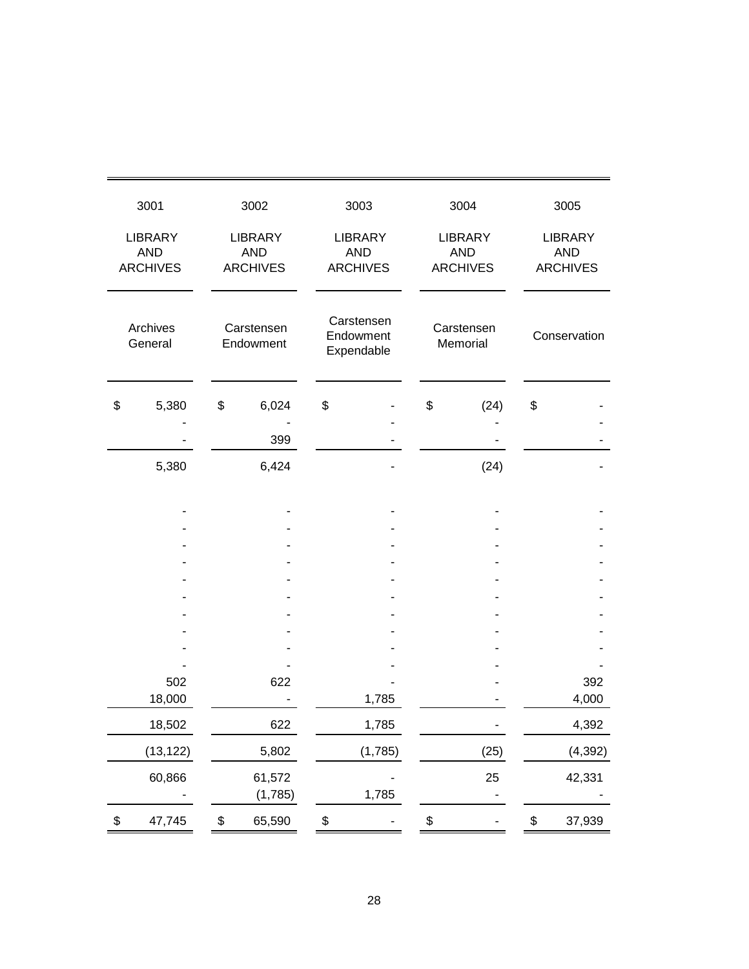| 3001                                            | 3002                                            |    | 3003                                            |                                                 | 3004                   | 3005                                            |  |
|-------------------------------------------------|-------------------------------------------------|----|-------------------------------------------------|-------------------------------------------------|------------------------|-------------------------------------------------|--|
| <b>LIBRARY</b><br><b>AND</b><br><b>ARCHIVES</b> | <b>LIBRARY</b><br><b>AND</b><br><b>ARCHIVES</b> |    | <b>LIBRARY</b><br><b>AND</b><br><b>ARCHIVES</b> | <b>LIBRARY</b><br><b>AND</b><br><b>ARCHIVES</b> |                        | <b>LIBRARY</b><br><b>AND</b><br><b>ARCHIVES</b> |  |
| Archives<br>General                             | Carstensen<br>Endowment                         |    | Carstensen<br>Endowment<br>Expendable           |                                                 | Carstensen<br>Memorial | Conservation                                    |  |
| \$<br>5,380                                     | \$<br>6,024                                     | \$ |                                                 | \$                                              | (24)                   | \$                                              |  |
|                                                 | 399                                             |    |                                                 |                                                 |                        |                                                 |  |
| 5,380                                           | 6,424                                           |    |                                                 |                                                 | (24)                   |                                                 |  |
|                                                 |                                                 |    |                                                 |                                                 |                        |                                                 |  |
|                                                 |                                                 |    |                                                 |                                                 |                        |                                                 |  |
|                                                 |                                                 |    |                                                 |                                                 |                        |                                                 |  |
|                                                 |                                                 |    |                                                 |                                                 |                        |                                                 |  |
|                                                 |                                                 |    |                                                 |                                                 |                        |                                                 |  |
|                                                 |                                                 |    |                                                 |                                                 |                        |                                                 |  |
|                                                 |                                                 |    |                                                 |                                                 |                        |                                                 |  |
|                                                 |                                                 |    |                                                 |                                                 |                        |                                                 |  |
|                                                 |                                                 |    |                                                 |                                                 |                        |                                                 |  |
| 502                                             | 622                                             |    |                                                 |                                                 |                        | 392                                             |  |
| 18,000                                          |                                                 |    | 1,785                                           |                                                 |                        | 4,000                                           |  |
| 18,502                                          | 622                                             |    | 1,785                                           |                                                 |                        | 4,392                                           |  |
| (13, 122)                                       | 5,802                                           |    | (1,785)                                         |                                                 | (25)                   | (4, 392)                                        |  |
| 60,866                                          | 61,572                                          |    |                                                 |                                                 | 25                     | 42,331                                          |  |
|                                                 | (1,785)                                         |    | 1,785                                           |                                                 |                        |                                                 |  |
| 47,745<br>\$                                    | \$<br>65,590                                    | \$ |                                                 | \$                                              |                        | \$<br>37,939                                    |  |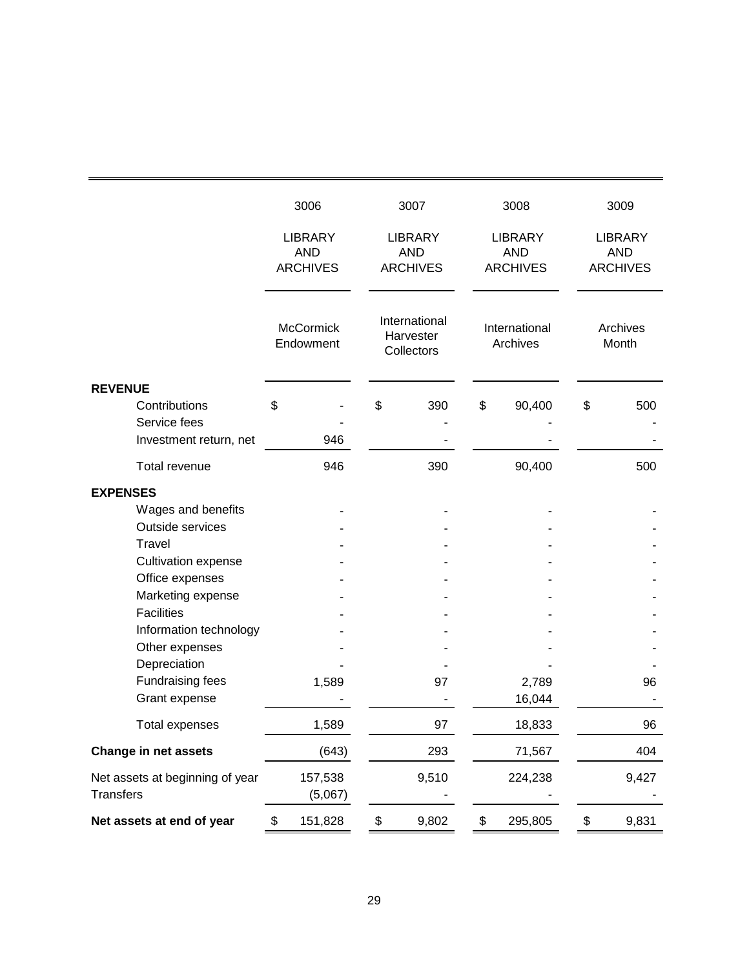|                                 | 3006                                            |                        |         | 3007                                            |                           | 3008                                            | 3009                                            |
|---------------------------------|-------------------------------------------------|------------------------|---------|-------------------------------------------------|---------------------------|-------------------------------------------------|-------------------------------------------------|
|                                 | <b>LIBRARY</b><br><b>AND</b><br><b>ARCHIVES</b> |                        |         | <b>LIBRARY</b><br><b>AND</b><br><b>ARCHIVES</b> |                           | <b>LIBRARY</b><br><b>AND</b><br><b>ARCHIVES</b> | <b>LIBRARY</b><br><b>AND</b><br><b>ARCHIVES</b> |
|                                 |                                                 | McCormick<br>Endowment |         | International<br>Harvester<br>Collectors        | International<br>Archives |                                                 | Archives<br>Month                               |
| <b>REVENUE</b>                  |                                                 |                        |         |                                                 |                           |                                                 |                                                 |
| Contributions<br>Service fees   | \$                                              |                        | \$      | 390                                             | \$                        | 90,400                                          | \$<br>500                                       |
| Investment return, net          |                                                 | 946                    |         |                                                 |                           |                                                 |                                                 |
| Total revenue                   |                                                 | 946                    |         | 390                                             |                           | 90,400                                          | 500                                             |
|                                 |                                                 |                        |         |                                                 |                           |                                                 |                                                 |
| <b>EXPENSES</b>                 |                                                 |                        |         |                                                 |                           |                                                 |                                                 |
| Wages and benefits              |                                                 |                        |         |                                                 |                           |                                                 |                                                 |
| <b>Outside services</b>         |                                                 |                        |         |                                                 |                           |                                                 |                                                 |
| Travel                          |                                                 |                        |         |                                                 |                           |                                                 |                                                 |
| <b>Cultivation expense</b>      |                                                 |                        |         |                                                 |                           |                                                 |                                                 |
| Office expenses                 |                                                 |                        |         |                                                 |                           |                                                 |                                                 |
| Marketing expense               |                                                 |                        |         |                                                 |                           |                                                 |                                                 |
| <b>Facilities</b>               |                                                 |                        |         |                                                 |                           |                                                 |                                                 |
| Information technology          |                                                 |                        |         |                                                 |                           |                                                 |                                                 |
| Other expenses<br>Depreciation  |                                                 |                        |         |                                                 |                           |                                                 |                                                 |
| <b>Fundraising fees</b>         |                                                 |                        |         |                                                 |                           | 2,789                                           |                                                 |
| Grant expense                   |                                                 | 1,589                  |         | 97                                              |                           |                                                 | 96                                              |
|                                 |                                                 |                        |         |                                                 |                           | 16,044                                          |                                                 |
| <b>Total expenses</b>           |                                                 | 1,589                  |         | 97                                              |                           | 18,833                                          | 96                                              |
| <b>Change in net assets</b>     |                                                 | (643)                  |         | 293                                             |                           | 71,567                                          | 404                                             |
| Net assets at beginning of year | 157,538<br>9,510                                |                        | 224,238 | 9,427                                           |                           |                                                 |                                                 |
| <b>Transfers</b>                |                                                 | (5,067)                |         |                                                 |                           |                                                 |                                                 |
| Net assets at end of year       | \$                                              | 151,828                | \$      | 9,802                                           | \$                        | 295,805                                         | \$<br>9,831                                     |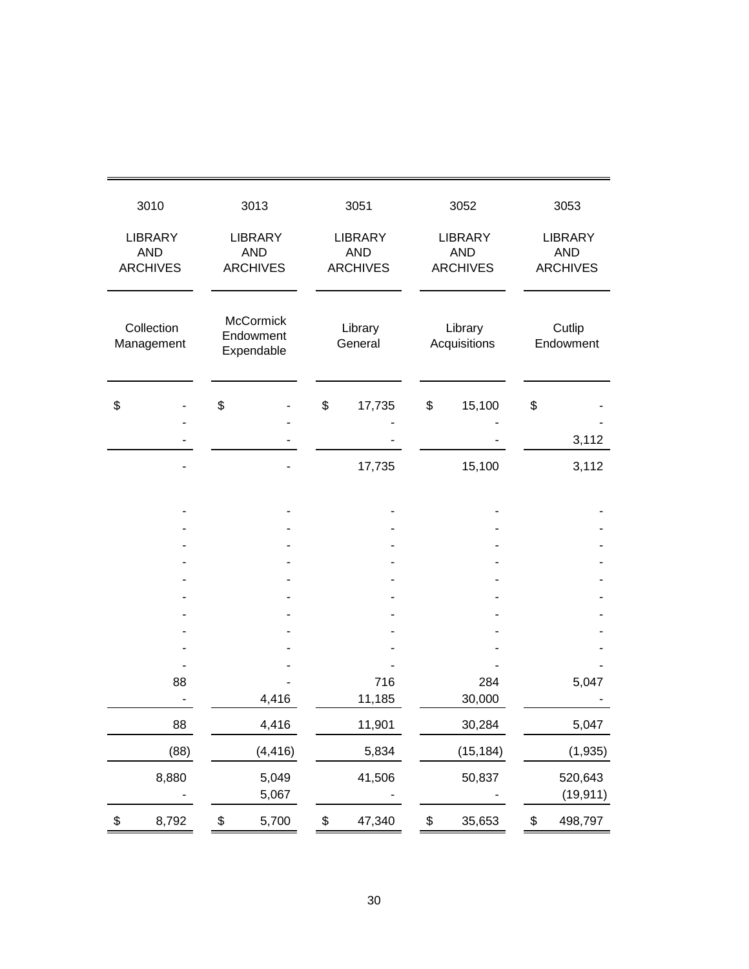| 3010                                            | 3013                                            | 3051                                            | 3052                                            | 3053                                            |
|-------------------------------------------------|-------------------------------------------------|-------------------------------------------------|-------------------------------------------------|-------------------------------------------------|
| <b>LIBRARY</b><br><b>AND</b><br><b>ARCHIVES</b> | <b>LIBRARY</b><br><b>AND</b><br><b>ARCHIVES</b> | <b>LIBRARY</b><br><b>AND</b><br><b>ARCHIVES</b> | <b>LIBRARY</b><br><b>AND</b><br><b>ARCHIVES</b> | <b>LIBRARY</b><br><b>AND</b><br><b>ARCHIVES</b> |
| Collection<br>Management                        | McCormick<br>Endowment<br>Expendable            | Library<br>General                              | Library<br>Acquisitions                         | Cutlip<br>Endowment                             |
| \$                                              | \$                                              | \$<br>17,735                                    | \$<br>15,100                                    | \$                                              |
|                                                 |                                                 |                                                 |                                                 | 3,112                                           |
|                                                 |                                                 | 17,735                                          | 15,100                                          | 3,112                                           |
|                                                 |                                                 |                                                 |                                                 |                                                 |
|                                                 |                                                 |                                                 |                                                 |                                                 |
|                                                 |                                                 |                                                 |                                                 |                                                 |
|                                                 |                                                 |                                                 |                                                 |                                                 |
|                                                 |                                                 |                                                 |                                                 |                                                 |
|                                                 |                                                 |                                                 |                                                 |                                                 |
|                                                 |                                                 |                                                 |                                                 |                                                 |
|                                                 |                                                 |                                                 |                                                 |                                                 |
|                                                 |                                                 |                                                 |                                                 |                                                 |
| 88                                              |                                                 | 716                                             | 284                                             | 5,047                                           |
|                                                 | 4,416                                           | 11,185                                          | 30,000                                          |                                                 |
| 88                                              | 4,416                                           | 11,901                                          | 30,284                                          | 5,047                                           |
| (88)                                            | (4, 416)                                        | 5,834                                           | (15, 184)                                       | (1, 935)                                        |
| 8,880                                           | 5,049                                           | 41,506                                          | 50,837                                          | 520,643                                         |
|                                                 | 5,067                                           |                                                 |                                                 | (19, 911)                                       |
| 8,792<br>\$                                     | 5,700<br>\$                                     | 47,340<br>\$                                    | \$<br>35,653                                    | 498,797<br>\$                                   |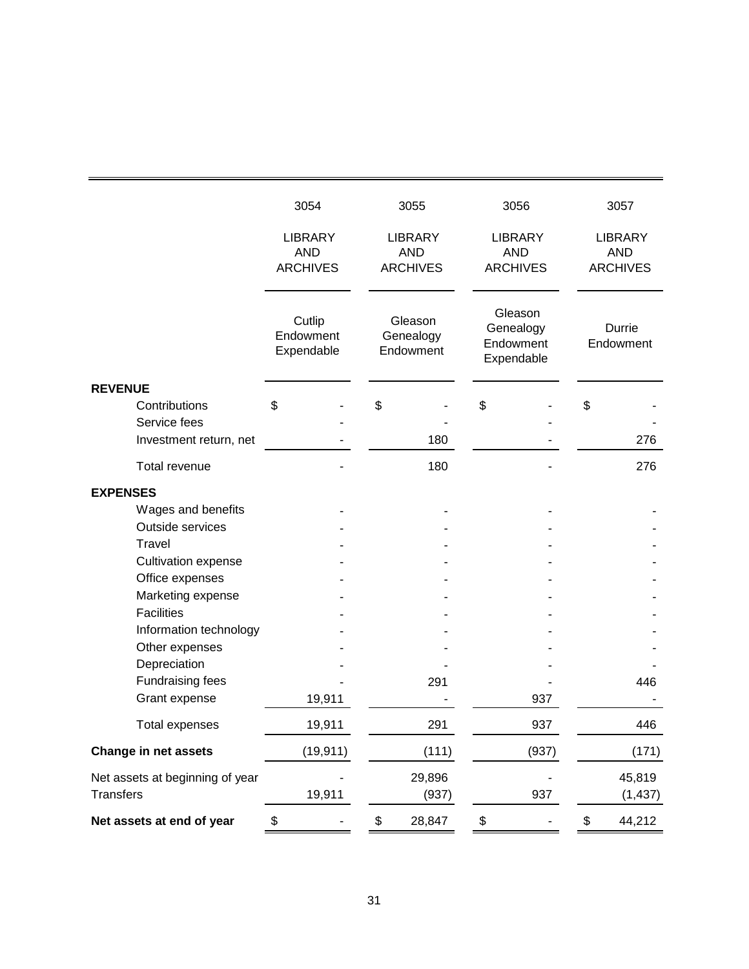|                                 |        | 3054                                            |       | 3055                                            | 3056                                            |       | 3057                                            |
|---------------------------------|--------|-------------------------------------------------|-------|-------------------------------------------------|-------------------------------------------------|-------|-------------------------------------------------|
|                                 |        | <b>LIBRARY</b><br><b>AND</b><br><b>ARCHIVES</b> |       | <b>LIBRARY</b><br><b>AND</b><br><b>ARCHIVES</b> | <b>LIBRARY</b><br><b>AND</b><br><b>ARCHIVES</b> |       | <b>LIBRARY</b><br><b>AND</b><br><b>ARCHIVES</b> |
|                                 |        | Cutlip<br>Endowment<br>Expendable               |       | Gleason<br>Genealogy<br>Endowment               | Gleason<br>Genealogy<br>Endowment<br>Expendable |       | Durrie<br>Endowment                             |
| <b>REVENUE</b>                  |        |                                                 |       |                                                 |                                                 |       |                                                 |
| Contributions                   | \$     |                                                 | \$    |                                                 | \$                                              |       | \$                                              |
| Service fees                    |        |                                                 |       |                                                 |                                                 |       |                                                 |
| Investment return, net          |        |                                                 |       | 180                                             |                                                 |       | 276                                             |
| Total revenue                   |        |                                                 |       | 180                                             |                                                 |       | 276                                             |
| <b>EXPENSES</b>                 |        |                                                 |       |                                                 |                                                 |       |                                                 |
| Wages and benefits              |        |                                                 |       |                                                 |                                                 |       |                                                 |
| <b>Outside services</b>         |        |                                                 |       |                                                 |                                                 |       |                                                 |
| Travel                          |        |                                                 |       |                                                 |                                                 |       |                                                 |
| <b>Cultivation expense</b>      |        |                                                 |       |                                                 |                                                 |       |                                                 |
| Office expenses                 |        |                                                 |       |                                                 |                                                 |       |                                                 |
| Marketing expense               |        |                                                 |       |                                                 |                                                 |       |                                                 |
| <b>Facilities</b>               |        |                                                 |       |                                                 |                                                 |       |                                                 |
| Information technology          |        |                                                 |       |                                                 |                                                 |       |                                                 |
| Other expenses                  |        |                                                 |       |                                                 |                                                 |       |                                                 |
| Depreciation                    |        |                                                 |       |                                                 |                                                 |       |                                                 |
| Fundraising fees                |        |                                                 |       | 291                                             |                                                 |       | 446                                             |
| Grant expense                   |        | 19,911                                          |       |                                                 |                                                 | 937   |                                                 |
| <b>Total expenses</b>           |        | 19,911                                          |       | 291                                             |                                                 | 937   | 446                                             |
| <b>Change in net assets</b>     |        | (19, 911)                                       |       | (111)                                           |                                                 | (937) | (171)                                           |
| Net assets at beginning of year |        |                                                 |       | 29,896                                          |                                                 |       | 45,819                                          |
| <b>Transfers</b>                | 19,911 |                                                 | (937) |                                                 | 937                                             |       | (1, 437)                                        |
| Net assets at end of year       | \$     |                                                 | \$    | 28,847                                          | \$                                              |       | \$<br>44,212                                    |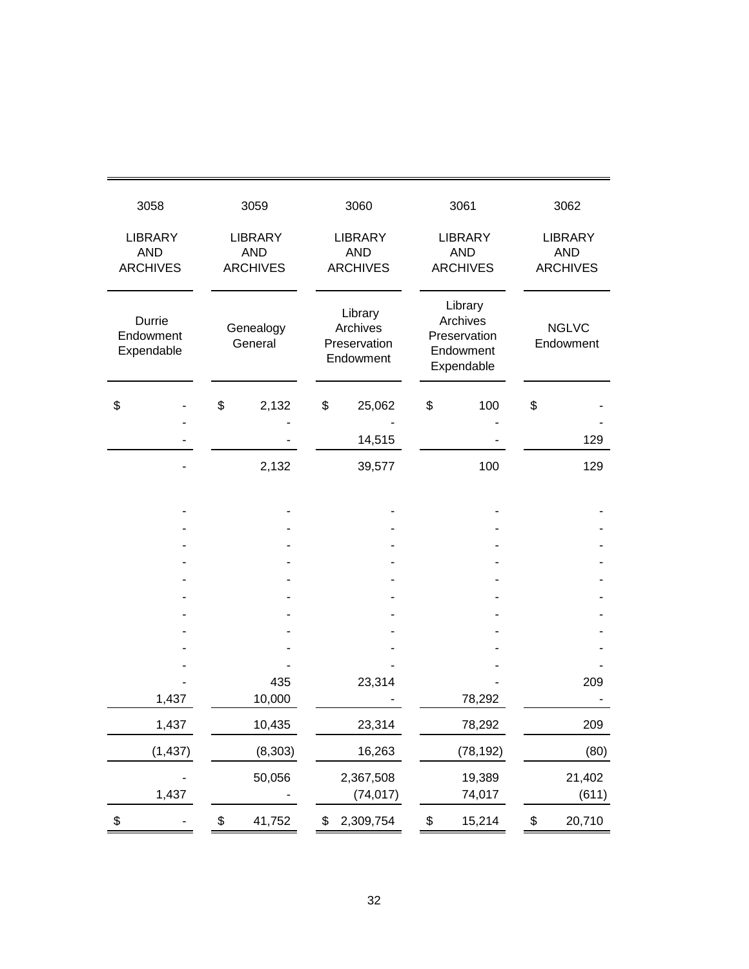| 3058                                            | 3059                                            |           | 3060                                             | 3061   |                                                 |           |        | 3062                                            |  |  |  |  |                                                                |  |  |                           |
|-------------------------------------------------|-------------------------------------------------|-----------|--------------------------------------------------|--------|-------------------------------------------------|-----------|--------|-------------------------------------------------|--|--|--|--|----------------------------------------------------------------|--|--|---------------------------|
| <b>LIBRARY</b><br><b>AND</b><br><b>ARCHIVES</b> | <b>LIBRARY</b><br><b>AND</b><br><b>ARCHIVES</b> |           | <b>LIBRARY</b><br><b>AND</b><br><b>ARCHIVES</b>  |        | <b>LIBRARY</b><br><b>AND</b><br><b>ARCHIVES</b> |           |        | <b>LIBRARY</b><br><b>AND</b><br><b>ARCHIVES</b> |  |  |  |  |                                                                |  |  |                           |
| Durrie<br>Endowment<br>Expendable               | Genealogy<br>General                            |           | Library<br>Archives<br>Preservation<br>Endowment |        |                                                 |           |        |                                                 |  |  |  |  | Library<br>Archives<br>Preservation<br>Endowment<br>Expendable |  |  | <b>NGLVC</b><br>Endowment |
| \$                                              | \$<br>2,132                                     | \$        | 25,062                                           |        | \$                                              | 100       | \$     |                                                 |  |  |  |  |                                                                |  |  |                           |
|                                                 |                                                 |           | 14,515                                           |        |                                                 |           |        | 129                                             |  |  |  |  |                                                                |  |  |                           |
|                                                 | 2,132                                           |           | 39,577                                           |        |                                                 | 100       |        | 129                                             |  |  |  |  |                                                                |  |  |                           |
|                                                 |                                                 |           |                                                  |        |                                                 |           |        |                                                 |  |  |  |  |                                                                |  |  |                           |
|                                                 |                                                 |           |                                                  |        |                                                 |           |        |                                                 |  |  |  |  |                                                                |  |  |                           |
|                                                 |                                                 |           |                                                  |        |                                                 |           |        |                                                 |  |  |  |  |                                                                |  |  |                           |
|                                                 |                                                 |           |                                                  |        |                                                 |           |        |                                                 |  |  |  |  |                                                                |  |  |                           |
|                                                 |                                                 |           |                                                  |        |                                                 |           |        |                                                 |  |  |  |  |                                                                |  |  |                           |
|                                                 |                                                 |           |                                                  |        |                                                 |           |        |                                                 |  |  |  |  |                                                                |  |  |                           |
|                                                 |                                                 |           |                                                  |        |                                                 |           |        |                                                 |  |  |  |  |                                                                |  |  |                           |
|                                                 |                                                 |           |                                                  |        |                                                 |           |        |                                                 |  |  |  |  |                                                                |  |  |                           |
|                                                 |                                                 |           |                                                  |        |                                                 |           |        |                                                 |  |  |  |  |                                                                |  |  |                           |
|                                                 |                                                 |           |                                                  |        |                                                 |           |        |                                                 |  |  |  |  |                                                                |  |  |                           |
| 1,437                                           | 435<br>10,000                                   |           | 23,314                                           |        |                                                 | 78,292    |        | 209                                             |  |  |  |  |                                                                |  |  |                           |
|                                                 |                                                 |           |                                                  |        |                                                 |           |        |                                                 |  |  |  |  |                                                                |  |  |                           |
| 1,437                                           | 10,435                                          | 23,314    |                                                  |        |                                                 | 78,292    |        | 209                                             |  |  |  |  |                                                                |  |  |                           |
| (1, 437)                                        | (8, 303)                                        |           | 16,263                                           |        |                                                 | (78, 192) |        | (80)                                            |  |  |  |  |                                                                |  |  |                           |
|                                                 | 50,056                                          | 2,367,508 |                                                  | 19,389 |                                                 |           | 21,402 |                                                 |  |  |  |  |                                                                |  |  |                           |
| 1,437                                           |                                                 |           | (74, 017)                                        |        |                                                 | 74,017    |        | (611)                                           |  |  |  |  |                                                                |  |  |                           |
| \$                                              | \$<br>41,752                                    | \$        | 2,309,754                                        |        | \$                                              | 15,214    | \$     | 20,710                                          |  |  |  |  |                                                                |  |  |                           |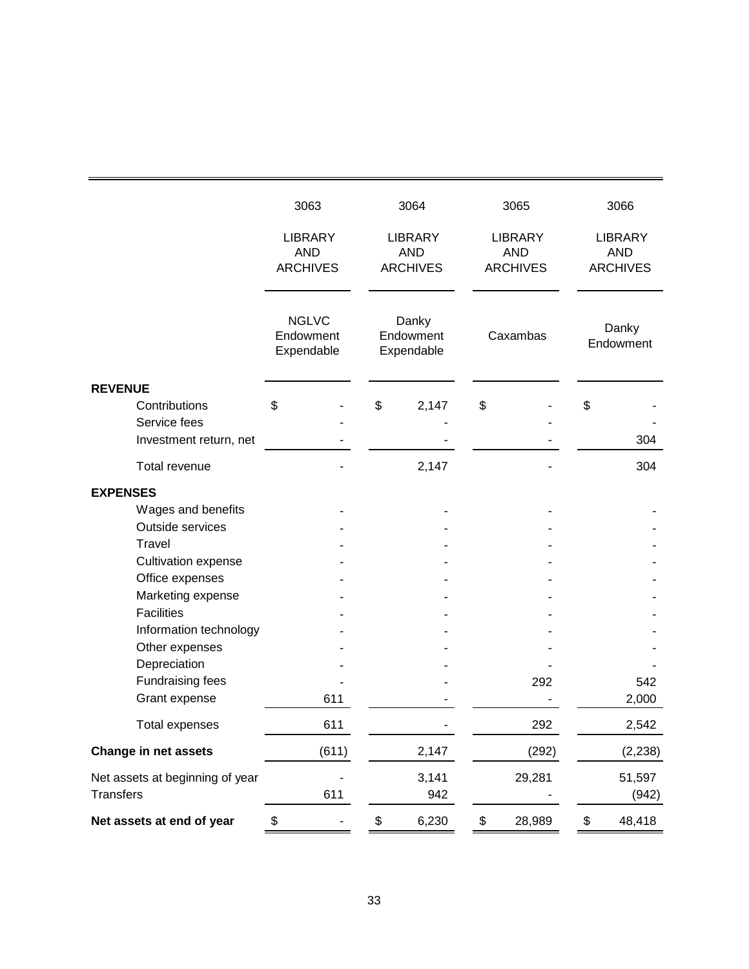|                                 | 3063                                            |    | 3064                                            | 3065                                            | 3066                                            |
|---------------------------------|-------------------------------------------------|----|-------------------------------------------------|-------------------------------------------------|-------------------------------------------------|
|                                 | <b>LIBRARY</b><br><b>AND</b><br><b>ARCHIVES</b> |    | <b>LIBRARY</b><br><b>AND</b><br><b>ARCHIVES</b> | <b>LIBRARY</b><br><b>AND</b><br><b>ARCHIVES</b> | <b>LIBRARY</b><br><b>AND</b><br><b>ARCHIVES</b> |
|                                 | <b>NGLVC</b><br>Endowment<br>Expendable         |    | Danky<br>Endowment<br>Expendable                | Caxambas                                        | Danky<br>Endowment                              |
| <b>REVENUE</b>                  |                                                 |    |                                                 |                                                 |                                                 |
| Contributions                   | \$                                              | \$ | 2,147                                           | \$                                              | \$                                              |
| Service fees                    |                                                 |    |                                                 |                                                 |                                                 |
| Investment return, net          |                                                 |    |                                                 |                                                 | 304                                             |
| Total revenue                   |                                                 |    | 2,147                                           |                                                 | 304                                             |
| <b>EXPENSES</b>                 |                                                 |    |                                                 |                                                 |                                                 |
| Wages and benefits              |                                                 |    |                                                 |                                                 |                                                 |
| <b>Outside services</b>         |                                                 |    |                                                 |                                                 |                                                 |
| Travel                          |                                                 |    |                                                 |                                                 |                                                 |
| <b>Cultivation expense</b>      |                                                 |    |                                                 |                                                 |                                                 |
| Office expenses                 |                                                 |    |                                                 |                                                 |                                                 |
| Marketing expense               |                                                 |    |                                                 |                                                 |                                                 |
| <b>Facilities</b>               |                                                 |    |                                                 |                                                 |                                                 |
| Information technology          |                                                 |    |                                                 |                                                 |                                                 |
| Other expenses                  |                                                 |    |                                                 |                                                 |                                                 |
| Depreciation                    |                                                 |    |                                                 |                                                 |                                                 |
| <b>Fundraising fees</b>         |                                                 |    |                                                 | 292                                             | 542                                             |
| Grant expense                   | 611                                             |    |                                                 |                                                 | 2,000                                           |
| <b>Total expenses</b>           | 611                                             |    |                                                 | 292                                             | 2,542                                           |
| <b>Change in net assets</b>     | (611)                                           |    | 2,147                                           | (292)                                           | (2, 238)                                        |
| Net assets at beginning of year |                                                 |    | 3,141                                           | 29,281                                          | 51,597                                          |
| Transfers                       | 611                                             |    | 942                                             |                                                 | (942)                                           |
| Net assets at end of year       | \$                                              | \$ | 6,230                                           | \$<br>28,989                                    | \$<br>48,418                                    |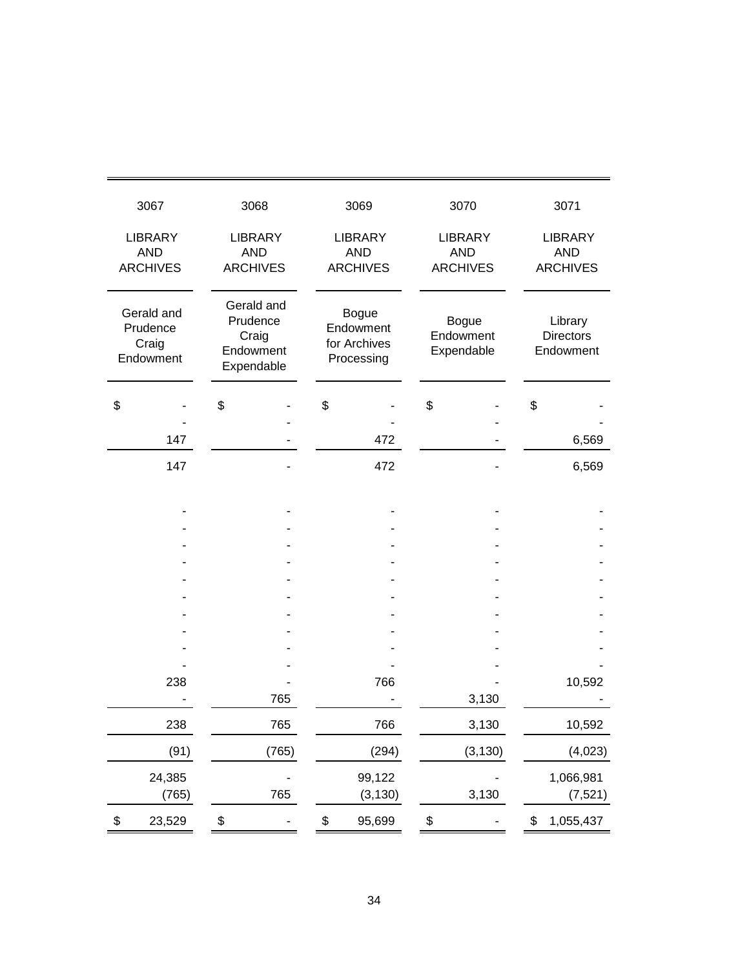| 3067                                            | 3068                                                       | 3069                                                    | 3070                                            | 3071                                            |
|-------------------------------------------------|------------------------------------------------------------|---------------------------------------------------------|-------------------------------------------------|-------------------------------------------------|
| <b>LIBRARY</b><br><b>AND</b><br><b>ARCHIVES</b> | <b>LIBRARY</b><br><b>AND</b><br><b>ARCHIVES</b>            | <b>LIBRARY</b><br><b>AND</b><br><b>ARCHIVES</b>         | <b>LIBRARY</b><br><b>AND</b><br><b>ARCHIVES</b> | <b>LIBRARY</b><br><b>AND</b><br><b>ARCHIVES</b> |
| Gerald and<br>Prudence<br>Craig<br>Endowment    | Gerald and<br>Prudence<br>Craig<br>Endowment<br>Expendable | <b>Bogue</b><br>Endowment<br>for Archives<br>Processing | <b>Bogue</b><br>Endowment<br>Expendable         | Library<br><b>Directors</b><br>Endowment        |
| \$                                              | \$                                                         | \$                                                      | \$                                              | \$                                              |
| 147                                             |                                                            | 472                                                     |                                                 | 6,569                                           |
| 147                                             |                                                            | 472                                                     |                                                 | 6,569                                           |
|                                                 |                                                            |                                                         |                                                 |                                                 |
|                                                 |                                                            |                                                         |                                                 |                                                 |
|                                                 |                                                            |                                                         |                                                 |                                                 |
|                                                 |                                                            |                                                         |                                                 |                                                 |
|                                                 |                                                            |                                                         |                                                 |                                                 |
|                                                 |                                                            |                                                         |                                                 |                                                 |
|                                                 |                                                            |                                                         |                                                 |                                                 |
|                                                 |                                                            |                                                         |                                                 |                                                 |
|                                                 |                                                            |                                                         |                                                 |                                                 |
|                                                 |                                                            |                                                         |                                                 |                                                 |
| 238                                             | 765                                                        | 766                                                     |                                                 | 10,592                                          |
|                                                 |                                                            |                                                         | 3,130                                           |                                                 |
| 238                                             | 765                                                        | 766                                                     | 3,130                                           | 10,592                                          |
| (91)                                            | (765)                                                      | (294)                                                   | (3, 130)                                        | (4,023)                                         |
| 24,385                                          |                                                            | 99,122                                                  |                                                 | 1,066,981                                       |
| (765)                                           | 765                                                        | (3, 130)                                                | 3,130                                           | (7, 521)                                        |
| \$<br>23,529                                    | \$                                                         | \$<br>95,699                                            | \$                                              | 1,055,437<br>\$                                 |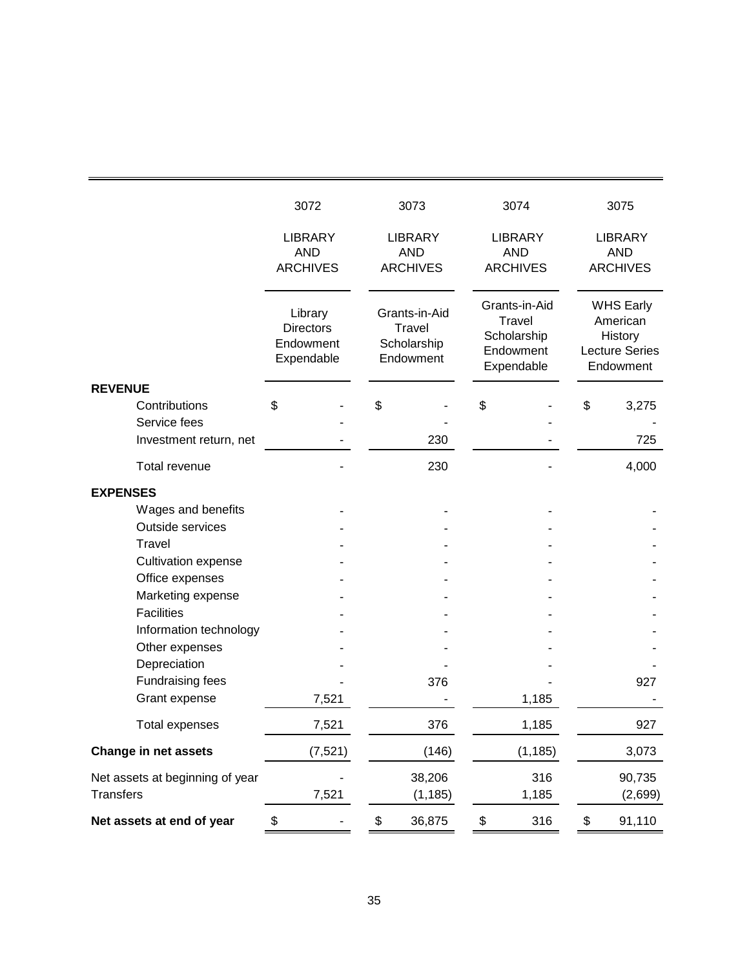|                                 | 3072<br><b>LIBRARY</b><br><b>AND</b><br><b>ARCHIVES</b><br>Library<br><b>Directors</b><br>Endowment<br>Expendable |    | 3073<br><b>LIBRARY</b><br><b>AND</b><br><b>ARCHIVES</b><br>Grants-in-Aid<br>Travel<br>Scholarship<br>Endowment | 3074<br><b>LIBRARY</b><br><b>AND</b><br><b>ARCHIVES</b><br>Grants-in-Aid<br><b>Travel</b><br>Scholarship<br>Endowment<br>Expendable |          | 3075<br><b>LIBRARY</b><br><b>AND</b><br><b>ARCHIVES</b><br><b>WHS Early</b><br>American<br>History<br><b>Lecture Series</b><br>Endowment |
|---------------------------------|-------------------------------------------------------------------------------------------------------------------|----|----------------------------------------------------------------------------------------------------------------|-------------------------------------------------------------------------------------------------------------------------------------|----------|------------------------------------------------------------------------------------------------------------------------------------------|
| <b>REVENUE</b><br>Contributions | \$                                                                                                                | \$ |                                                                                                                | \$                                                                                                                                  |          | \$<br>3,275                                                                                                                              |
| Service fees                    |                                                                                                                   |    |                                                                                                                |                                                                                                                                     |          |                                                                                                                                          |
| Investment return, net          |                                                                                                                   |    | 230                                                                                                            |                                                                                                                                     |          | 725                                                                                                                                      |
| Total revenue                   |                                                                                                                   |    | 230                                                                                                            |                                                                                                                                     |          | 4,000                                                                                                                                    |
| <b>EXPENSES</b>                 |                                                                                                                   |    |                                                                                                                |                                                                                                                                     |          |                                                                                                                                          |
| Wages and benefits              |                                                                                                                   |    |                                                                                                                |                                                                                                                                     |          |                                                                                                                                          |
| <b>Outside services</b>         |                                                                                                                   |    |                                                                                                                |                                                                                                                                     |          |                                                                                                                                          |
| Travel                          |                                                                                                                   |    |                                                                                                                |                                                                                                                                     |          |                                                                                                                                          |
| <b>Cultivation expense</b>      |                                                                                                                   |    |                                                                                                                |                                                                                                                                     |          |                                                                                                                                          |
| Office expenses                 |                                                                                                                   |    |                                                                                                                |                                                                                                                                     |          |                                                                                                                                          |
| Marketing expense               |                                                                                                                   |    |                                                                                                                |                                                                                                                                     |          |                                                                                                                                          |
| <b>Facilities</b>               |                                                                                                                   |    |                                                                                                                |                                                                                                                                     |          |                                                                                                                                          |
| Information technology          |                                                                                                                   |    |                                                                                                                |                                                                                                                                     |          |                                                                                                                                          |
| Other expenses                  |                                                                                                                   |    |                                                                                                                |                                                                                                                                     |          |                                                                                                                                          |
| Depreciation                    |                                                                                                                   |    |                                                                                                                |                                                                                                                                     |          |                                                                                                                                          |
| <b>Fundraising fees</b>         |                                                                                                                   |    | 376                                                                                                            |                                                                                                                                     |          | 927                                                                                                                                      |
| Grant expense                   | 7,521                                                                                                             |    |                                                                                                                |                                                                                                                                     | 1,185    |                                                                                                                                          |
| <b>Total expenses</b>           | 7,521                                                                                                             |    | 376                                                                                                            |                                                                                                                                     | 1,185    | 927                                                                                                                                      |
| <b>Change in net assets</b>     | (7, 521)                                                                                                          |    | (146)                                                                                                          |                                                                                                                                     | (1, 185) | 3,073                                                                                                                                    |
| Net assets at beginning of year |                                                                                                                   |    | 38,206                                                                                                         |                                                                                                                                     | 316      | 90,735                                                                                                                                   |
| <b>Transfers</b>                | 7,521                                                                                                             |    | (1, 185)                                                                                                       |                                                                                                                                     | 1,185    | (2,699)                                                                                                                                  |
| Net assets at end of year       | \$                                                                                                                | \$ | 36,875                                                                                                         | \$                                                                                                                                  | 316      | \$<br>91,110                                                                                                                             |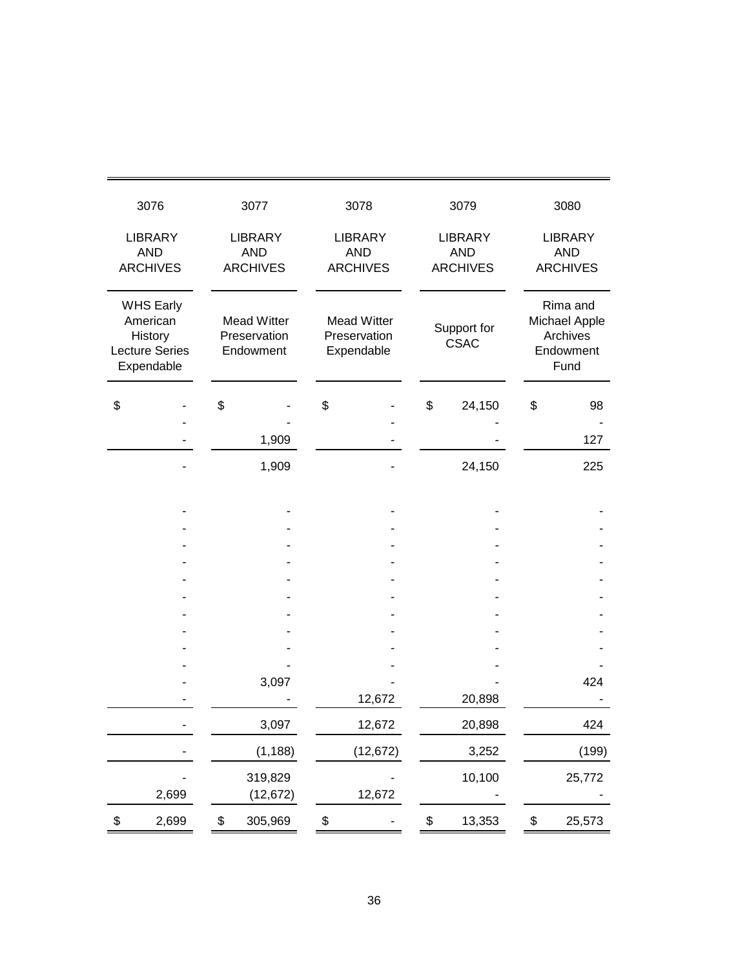| 3076                                                                           | 3077                                            | 3078                                             |    | 3079                                            |    | 3080                                                       |
|--------------------------------------------------------------------------------|-------------------------------------------------|--------------------------------------------------|----|-------------------------------------------------|----|------------------------------------------------------------|
| <b>LIBRARY</b><br><b>AND</b><br><b>ARCHIVES</b>                                | <b>LIBRARY</b><br><b>AND</b><br><b>ARCHIVES</b> | <b>LIBRARY</b><br><b>AND</b><br><b>ARCHIVES</b>  |    | <b>LIBRARY</b><br><b>AND</b><br><b>ARCHIVES</b> |    | <b>LIBRARY</b><br><b>AND</b><br><b>ARCHIVES</b>            |
| <b>WHS Early</b><br>American<br>History<br><b>Lecture Series</b><br>Expendable | <b>Mead Witter</b><br>Preservation<br>Endowment | <b>Mead Witter</b><br>Preservation<br>Expendable |    | Support for<br><b>CSAC</b>                      |    | Rima and<br>Michael Apple<br>Archives<br>Endowment<br>Fund |
| \$                                                                             | \$                                              | \$                                               | \$ | 24,150                                          | \$ | 98                                                         |
|                                                                                | 1,909                                           |                                                  |    |                                                 |    | 127                                                        |
|                                                                                | 1,909                                           |                                                  |    | 24,150                                          |    | 225                                                        |
|                                                                                |                                                 |                                                  |    |                                                 |    |                                                            |
|                                                                                |                                                 |                                                  |    |                                                 |    |                                                            |
|                                                                                |                                                 |                                                  |    |                                                 |    |                                                            |
|                                                                                |                                                 |                                                  |    |                                                 |    |                                                            |
|                                                                                |                                                 |                                                  |    |                                                 |    |                                                            |
|                                                                                |                                                 |                                                  |    |                                                 |    |                                                            |
|                                                                                |                                                 |                                                  |    |                                                 |    |                                                            |
|                                                                                |                                                 |                                                  |    |                                                 |    |                                                            |
|                                                                                |                                                 |                                                  |    |                                                 |    |                                                            |
|                                                                                |                                                 |                                                  |    |                                                 |    |                                                            |
|                                                                                | 3,097                                           | 12,672                                           |    | 20,898                                          |    | 424                                                        |
|                                                                                |                                                 |                                                  |    |                                                 |    |                                                            |
|                                                                                | 3,097                                           | 12,672                                           |    | 20,898                                          |    | 424                                                        |
|                                                                                | (1, 188)                                        | (12, 672)                                        |    | 3,252                                           |    | (199)                                                      |
|                                                                                | 319,829                                         |                                                  |    | 10,100                                          |    | 25,772                                                     |
| 2,699                                                                          | (12, 672)                                       | 12,672                                           |    |                                                 |    |                                                            |
| \$<br>2,699                                                                    | \$<br>305,969                                   | \$                                               | \$ | 13,353                                          | \$ | 25,573                                                     |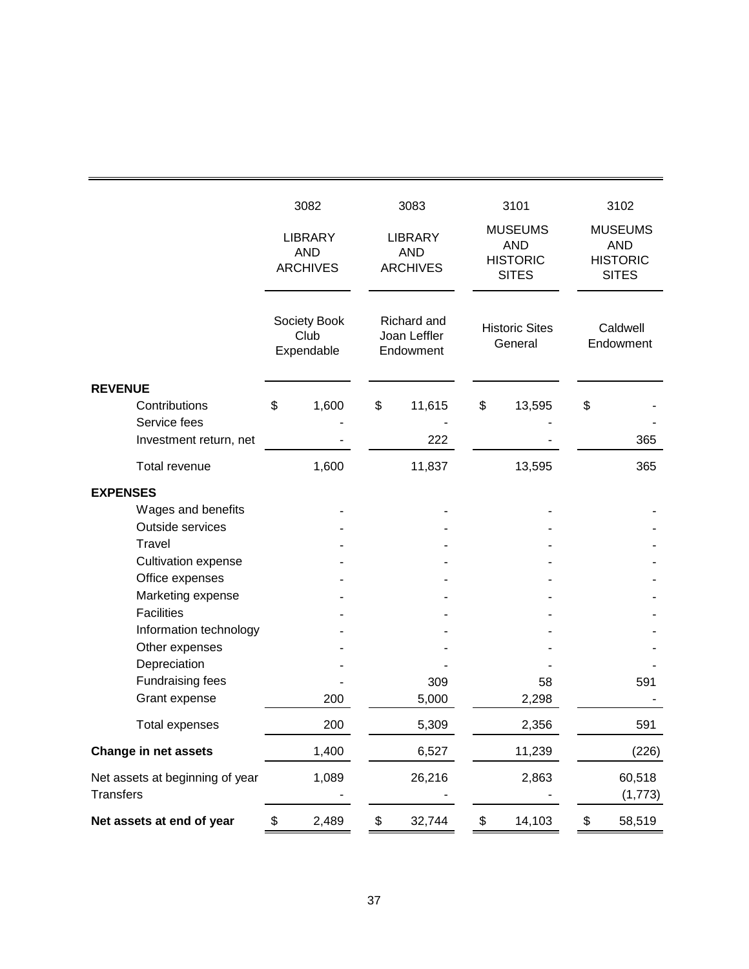|                                 | 3082<br><b>LIBRARY</b><br><b>AND</b><br><b>ARCHIVES</b><br>Society Book<br>Club<br>Expendable | 3083<br><b>LIBRARY</b><br><b>AND</b><br><b>ARCHIVES</b><br>Richard and<br>Joan Leffler<br>Endowment | 3101<br><b>MUSEUMS</b><br><b>AND</b><br><b>HISTORIC</b><br><b>SITES</b><br><b>Historic Sites</b><br>General | 3102<br><b>MUSEUMS</b><br><b>AND</b><br><b>HISTORIC</b><br><b>SITES</b><br>Caldwell<br>Endowment |
|---------------------------------|-----------------------------------------------------------------------------------------------|-----------------------------------------------------------------------------------------------------|-------------------------------------------------------------------------------------------------------------|--------------------------------------------------------------------------------------------------|
|                                 |                                                                                               |                                                                                                     |                                                                                                             |                                                                                                  |
| <b>REVENUE</b>                  |                                                                                               |                                                                                                     |                                                                                                             |                                                                                                  |
| Contributions<br>Service fees   | \$<br>1,600                                                                                   | \$<br>11,615                                                                                        | \$<br>13,595                                                                                                | \$                                                                                               |
| Investment return, net          |                                                                                               | 222                                                                                                 |                                                                                                             | 365                                                                                              |
| Total revenue                   | 1,600                                                                                         | 11,837                                                                                              | 13,595                                                                                                      | 365                                                                                              |
| <b>EXPENSES</b>                 |                                                                                               |                                                                                                     |                                                                                                             |                                                                                                  |
| Wages and benefits              |                                                                                               |                                                                                                     |                                                                                                             |                                                                                                  |
| Outside services                |                                                                                               |                                                                                                     |                                                                                                             |                                                                                                  |
| Travel                          |                                                                                               |                                                                                                     |                                                                                                             |                                                                                                  |
| <b>Cultivation expense</b>      |                                                                                               |                                                                                                     |                                                                                                             |                                                                                                  |
| Office expenses                 |                                                                                               |                                                                                                     |                                                                                                             |                                                                                                  |
| Marketing expense               |                                                                                               |                                                                                                     |                                                                                                             |                                                                                                  |
| <b>Facilities</b>               |                                                                                               |                                                                                                     |                                                                                                             |                                                                                                  |
| Information technology          |                                                                                               |                                                                                                     |                                                                                                             |                                                                                                  |
| Other expenses                  |                                                                                               |                                                                                                     |                                                                                                             |                                                                                                  |
| Depreciation                    |                                                                                               |                                                                                                     |                                                                                                             |                                                                                                  |
| Fundraising fees                |                                                                                               | 309                                                                                                 | 58                                                                                                          | 591                                                                                              |
| Grant expense                   | 200                                                                                           | 5,000                                                                                               | 2,298                                                                                                       |                                                                                                  |
| <b>Total expenses</b>           | 200                                                                                           | 5,309                                                                                               | 2,356                                                                                                       | 591                                                                                              |
| <b>Change in net assets</b>     | 1,400                                                                                         | 6,527                                                                                               | 11,239                                                                                                      | (226)                                                                                            |
| Net assets at beginning of year | 1,089                                                                                         | 26,216                                                                                              | 2,863                                                                                                       | 60,518                                                                                           |
| <b>Transfers</b>                |                                                                                               |                                                                                                     |                                                                                                             | (1, 773)                                                                                         |
| Net assets at end of year       | \$<br>2,489                                                                                   | \$<br>32,744                                                                                        | \$<br>14,103                                                                                                | \$<br>58,519                                                                                     |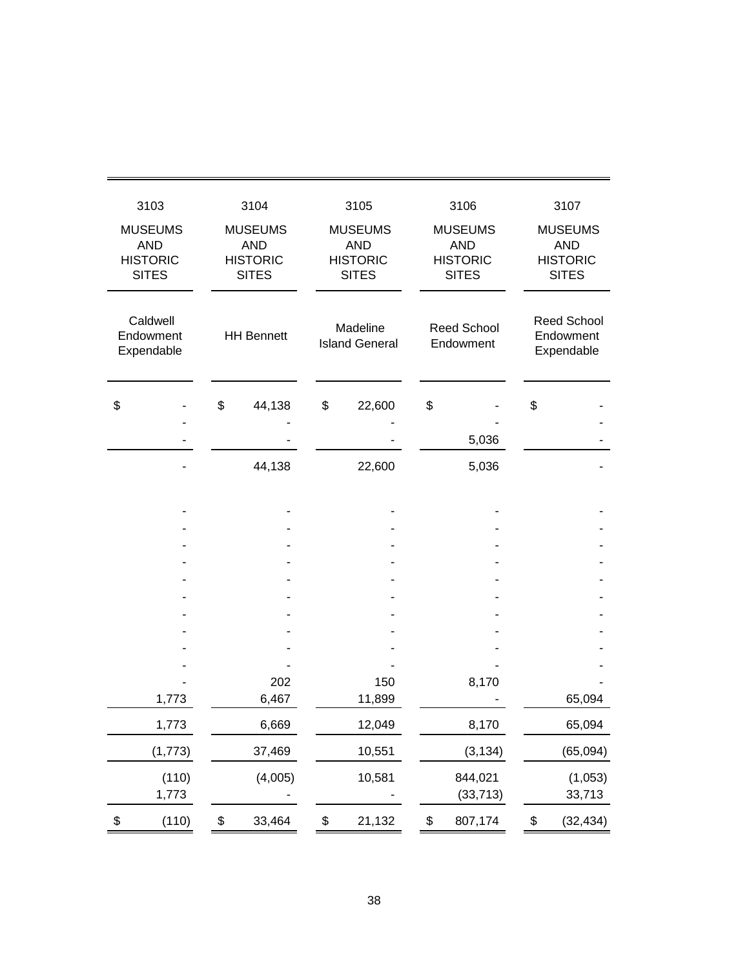| 3103<br><b>MUSEUMS</b><br><b>AND</b><br><b>HISTORIC</b><br><b>SITES</b> | 3104<br><b>MUSEUMS</b><br><b>AND</b><br><b>HISTORIC</b><br><b>SITES</b> |        | 3105<br>3106<br><b>MUSEUMS</b><br><b>MUSEUMS</b><br><b>AND</b><br><b>AND</b><br><b>HISTORIC</b><br><b>HISTORIC</b><br><b>SITES</b><br><b>SITES</b> |  |           |          | 3107<br><b>MUSEUMS</b><br><b>AND</b><br><b>HISTORIC</b><br><b>SITES</b> |                                 |  |  |                                               |
|-------------------------------------------------------------------------|-------------------------------------------------------------------------|--------|----------------------------------------------------------------------------------------------------------------------------------------------------|--|-----------|----------|-------------------------------------------------------------------------|---------------------------------|--|--|-----------------------------------------------|
| Caldwell<br>Endowment<br>Expendable                                     | <b>HH Bennett</b>                                                       |        | Madeline<br><b>Island General</b>                                                                                                                  |  |           |          |                                                                         | <b>Reed School</b><br>Endowment |  |  | <b>Reed School</b><br>Endowment<br>Expendable |
| \$                                                                      | \$<br>44,138                                                            | \$     | 22,600                                                                                                                                             |  | \$        |          |                                                                         | \$                              |  |  |                                               |
|                                                                         |                                                                         |        |                                                                                                                                                    |  |           | 5,036    |                                                                         |                                 |  |  |                                               |
|                                                                         | 44,138                                                                  |        | 22,600                                                                                                                                             |  |           | 5,036    |                                                                         |                                 |  |  |                                               |
|                                                                         |                                                                         |        |                                                                                                                                                    |  |           |          |                                                                         |                                 |  |  |                                               |
|                                                                         |                                                                         |        |                                                                                                                                                    |  |           |          |                                                                         |                                 |  |  |                                               |
|                                                                         |                                                                         |        |                                                                                                                                                    |  |           |          |                                                                         |                                 |  |  |                                               |
|                                                                         |                                                                         |        |                                                                                                                                                    |  |           |          |                                                                         |                                 |  |  |                                               |
|                                                                         |                                                                         |        |                                                                                                                                                    |  |           |          |                                                                         |                                 |  |  |                                               |
|                                                                         |                                                                         |        |                                                                                                                                                    |  |           |          |                                                                         |                                 |  |  |                                               |
|                                                                         |                                                                         |        |                                                                                                                                                    |  |           |          |                                                                         |                                 |  |  |                                               |
|                                                                         |                                                                         |        |                                                                                                                                                    |  |           |          |                                                                         |                                 |  |  |                                               |
|                                                                         |                                                                         |        |                                                                                                                                                    |  |           |          |                                                                         |                                 |  |  |                                               |
|                                                                         | 202                                                                     |        | 150                                                                                                                                                |  |           | 8,170    |                                                                         |                                 |  |  |                                               |
| 1,773                                                                   | 6,467                                                                   |        | 11,899                                                                                                                                             |  |           |          |                                                                         | 65,094                          |  |  |                                               |
| 1,773                                                                   | 6,669                                                                   |        | 12,049                                                                                                                                             |  |           | 8,170    |                                                                         | 65,094                          |  |  |                                               |
| (1,773)                                                                 | 37,469                                                                  |        | 10,551                                                                                                                                             |  |           | (3, 134) |                                                                         | (65,094)                        |  |  |                                               |
| (110)                                                                   | (4,005)                                                                 | 10,581 |                                                                                                                                                    |  | 844,021   |          |                                                                         | (1,053)                         |  |  |                                               |
| 1,773                                                                   |                                                                         |        |                                                                                                                                                    |  | (33, 713) |          |                                                                         | 33,713                          |  |  |                                               |
| \$<br>(110)                                                             | \$<br>33,464                                                            | \$     | 21,132                                                                                                                                             |  | \$        | 807,174  |                                                                         | \$<br>(32, 434)                 |  |  |                                               |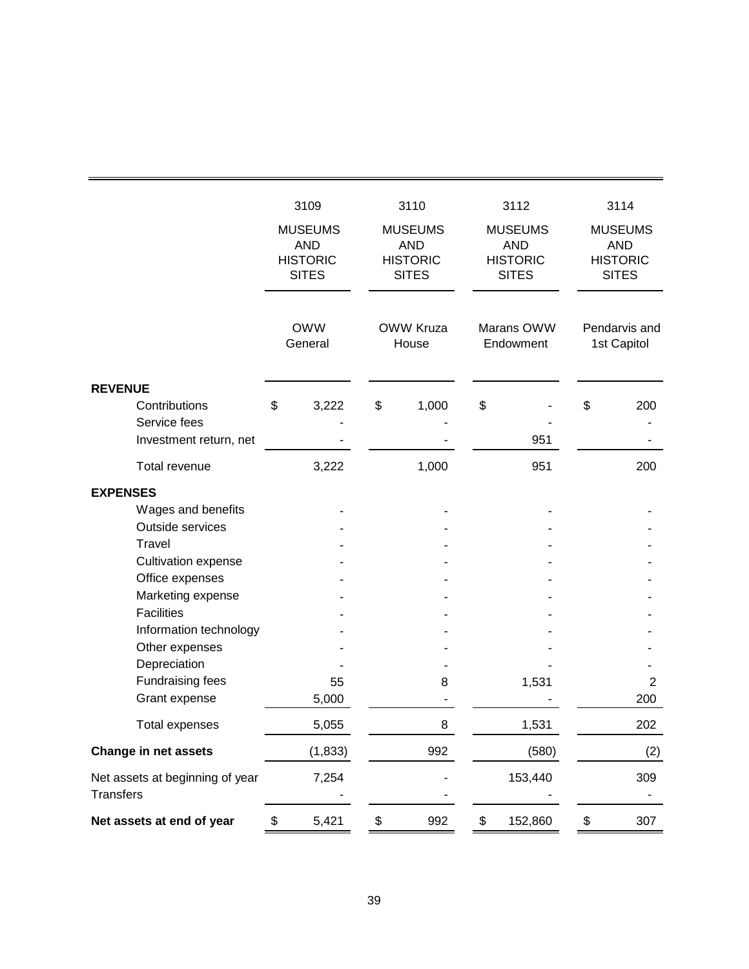|                                        | 3109<br><b>MUSEUMS</b><br><b>AND</b><br><b>HISTORIC</b><br><b>SITES</b> | 3110<br><b>MUSEUMS</b><br><b>AND</b><br><b>HISTORIC</b><br><b>SITES</b> | 3112<br><b>MUSEUMS</b><br><b>AND</b><br><b>HISTORIC</b><br><b>SITES</b> | 3114<br><b>MUSEUMS</b><br><b>AND</b><br><b>HISTORIC</b><br><b>SITES</b> |
|----------------------------------------|-------------------------------------------------------------------------|-------------------------------------------------------------------------|-------------------------------------------------------------------------|-------------------------------------------------------------------------|
|                                        | <b>OWW</b><br>General                                                   | OWW Kruza<br>House                                                      | Marans OWW<br>Endowment                                                 | Pendarvis and<br>1st Capitol                                            |
|                                        |                                                                         |                                                                         |                                                                         |                                                                         |
| <b>REVENUE</b>                         |                                                                         |                                                                         |                                                                         |                                                                         |
| Contributions                          | \$<br>3,222                                                             | \$<br>1,000                                                             | \$                                                                      | \$<br>200                                                               |
| Service fees<br>Investment return, net |                                                                         |                                                                         | 951                                                                     |                                                                         |
| Total revenue                          | 3,222                                                                   | 1,000                                                                   | 951                                                                     | 200                                                                     |
| <b>EXPENSES</b>                        |                                                                         |                                                                         |                                                                         |                                                                         |
| Wages and benefits                     |                                                                         |                                                                         |                                                                         |                                                                         |
| Outside services                       |                                                                         |                                                                         |                                                                         |                                                                         |
| Travel                                 |                                                                         |                                                                         |                                                                         |                                                                         |
| <b>Cultivation expense</b>             |                                                                         |                                                                         |                                                                         |                                                                         |
| Office expenses                        |                                                                         |                                                                         |                                                                         |                                                                         |
| Marketing expense                      |                                                                         |                                                                         |                                                                         |                                                                         |
| <b>Facilities</b>                      |                                                                         |                                                                         |                                                                         |                                                                         |
| Information technology                 |                                                                         |                                                                         |                                                                         |                                                                         |
| Other expenses                         |                                                                         |                                                                         |                                                                         |                                                                         |
| Depreciation                           |                                                                         |                                                                         |                                                                         |                                                                         |
| Fundraising fees                       | 55                                                                      | 8                                                                       | 1,531                                                                   | $\overline{2}$                                                          |
| Grant expense                          | 5,000                                                                   |                                                                         |                                                                         | 200                                                                     |
| <b>Total expenses</b>                  | 5,055                                                                   | 8                                                                       | 1,531                                                                   | 202                                                                     |
| <b>Change in net assets</b>            | (1, 833)                                                                | 992                                                                     | (580)                                                                   | (2)                                                                     |
| Net assets at beginning of year        | 7,254                                                                   |                                                                         | 153,440                                                                 | 309                                                                     |
| <b>Transfers</b>                       |                                                                         |                                                                         |                                                                         |                                                                         |
| Net assets at end of year              | \$<br>5,421                                                             | \$<br>992                                                               | \$<br>152,860                                                           | \$<br>307                                                               |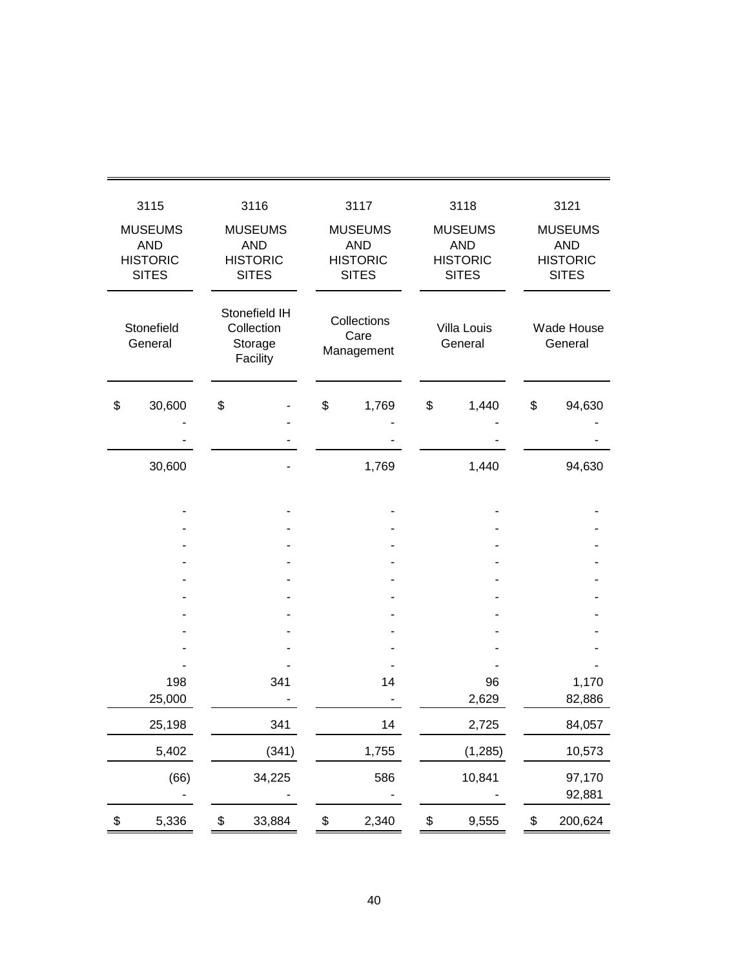| 3115<br><b>MUSEUMS</b><br><b>AND</b><br><b>HISTORIC</b><br><b>SITES</b><br>Stonefield<br>General | 3116<br><b>MUSEUMS</b><br><b>AND</b><br><b>HISTORIC</b><br><b>SITES</b><br>Stonefield IH<br>Collection<br>Storage<br>Facility | 3117<br><b>MUSEUMS</b><br><b>AND</b><br><b>HISTORIC</b><br><b>SITES</b><br>Collections<br>Care<br>Management | 3118<br><b>MUSEUMS</b><br><b>AND</b><br><b>HISTORIC</b><br><b>SITES</b><br>Villa Louis<br>General | 3121<br><b>MUSEUMS</b><br><b>AND</b><br><b>HISTORIC</b><br><b>SITES</b><br>Wade House<br>General |
|--------------------------------------------------------------------------------------------------|-------------------------------------------------------------------------------------------------------------------------------|--------------------------------------------------------------------------------------------------------------|---------------------------------------------------------------------------------------------------|--------------------------------------------------------------------------------------------------|
| \$<br>30,600                                                                                     | \$                                                                                                                            | \$<br>1,769                                                                                                  | \$<br>1,440                                                                                       | \$<br>94,630                                                                                     |
|                                                                                                  |                                                                                                                               |                                                                                                              |                                                                                                   |                                                                                                  |
| 30,600                                                                                           |                                                                                                                               | 1,769                                                                                                        | 1,440                                                                                             | 94,630                                                                                           |
|                                                                                                  |                                                                                                                               |                                                                                                              |                                                                                                   |                                                                                                  |
|                                                                                                  |                                                                                                                               |                                                                                                              |                                                                                                   |                                                                                                  |
|                                                                                                  |                                                                                                                               |                                                                                                              |                                                                                                   |                                                                                                  |
|                                                                                                  |                                                                                                                               |                                                                                                              |                                                                                                   |                                                                                                  |
|                                                                                                  |                                                                                                                               |                                                                                                              |                                                                                                   |                                                                                                  |
|                                                                                                  |                                                                                                                               |                                                                                                              |                                                                                                   |                                                                                                  |
|                                                                                                  |                                                                                                                               |                                                                                                              |                                                                                                   |                                                                                                  |
|                                                                                                  |                                                                                                                               |                                                                                                              |                                                                                                   |                                                                                                  |
|                                                                                                  |                                                                                                                               |                                                                                                              |                                                                                                   |                                                                                                  |
| 198                                                                                              | 341                                                                                                                           | 14                                                                                                           | 96                                                                                                | 1,170                                                                                            |
| 25,000                                                                                           |                                                                                                                               |                                                                                                              | 2,629                                                                                             | 82,886                                                                                           |
| 25,198                                                                                           | 341                                                                                                                           | 14                                                                                                           | 2,725                                                                                             | 84,057                                                                                           |
| 5,402                                                                                            | (341)                                                                                                                         | 1,755                                                                                                        | (1, 285)                                                                                          | 10,573                                                                                           |
| (66)                                                                                             | 34,225                                                                                                                        | 586                                                                                                          | 10,841                                                                                            | 97,170                                                                                           |
|                                                                                                  |                                                                                                                               |                                                                                                              |                                                                                                   | 92,881                                                                                           |
| 5,336<br>\$                                                                                      | \$<br>33,884                                                                                                                  | 2,340<br>\$                                                                                                  | \$<br>9,555                                                                                       | \$<br>200,624                                                                                    |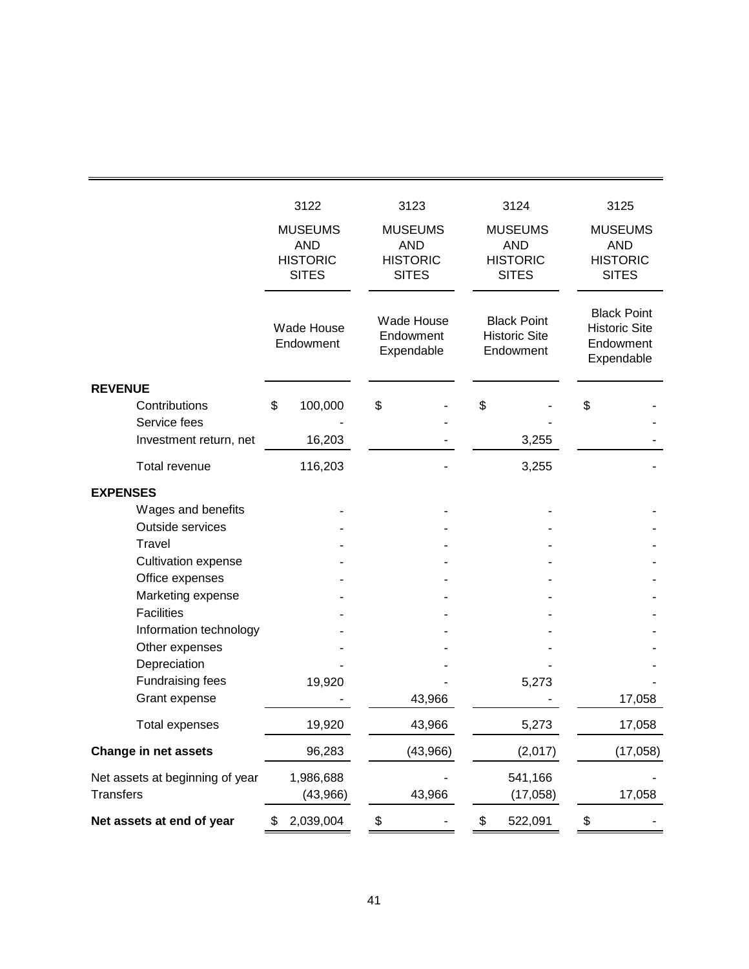| Expendable<br><b>REVENUE</b><br>100,000<br>\$<br>\$<br>Contributions<br>\$<br>\$<br>Service fees |                        | 3122<br><b>MUSEUMS</b><br><b>AND</b><br><b>HISTORIC</b><br><b>SITES</b><br><b>Wade House</b><br>Endowment |        |  | 3123<br><b>MUSEUMS</b><br><b>AND</b><br><b>HISTORIC</b><br><b>SITES</b><br>Wade House<br>Endowment<br>Expendable | 3124<br><b>MUSEUMS</b><br><b>AND</b><br><b>HISTORIC</b><br><b>SITES</b><br><b>Black Point</b><br><b>Historic Site</b><br>Endowment | 3125<br><b>MUSEUMS</b><br><b>AND</b><br><b>HISTORIC</b><br><b>SITES</b><br><b>Black Point</b><br><b>Historic Site</b><br>Endowment |          |
|--------------------------------------------------------------------------------------------------|------------------------|-----------------------------------------------------------------------------------------------------------|--------|--|------------------------------------------------------------------------------------------------------------------|------------------------------------------------------------------------------------------------------------------------------------|------------------------------------------------------------------------------------------------------------------------------------|----------|
|                                                                                                  |                        |                                                                                                           |        |  |                                                                                                                  |                                                                                                                                    |                                                                                                                                    |          |
|                                                                                                  |                        |                                                                                                           |        |  |                                                                                                                  |                                                                                                                                    |                                                                                                                                    |          |
|                                                                                                  |                        |                                                                                                           |        |  |                                                                                                                  |                                                                                                                                    |                                                                                                                                    |          |
|                                                                                                  |                        |                                                                                                           |        |  |                                                                                                                  |                                                                                                                                    |                                                                                                                                    |          |
|                                                                                                  | Investment return, net |                                                                                                           | 16,203 |  |                                                                                                                  | 3,255                                                                                                                              |                                                                                                                                    |          |
| Total revenue<br>116,203<br>3,255                                                                |                        |                                                                                                           |        |  |                                                                                                                  |                                                                                                                                    |                                                                                                                                    |          |
| <b>EXPENSES</b>                                                                                  |                        |                                                                                                           |        |  |                                                                                                                  |                                                                                                                                    |                                                                                                                                    |          |
| Wages and benefits                                                                               |                        |                                                                                                           |        |  |                                                                                                                  |                                                                                                                                    |                                                                                                                                    |          |
| <b>Outside services</b>                                                                          |                        |                                                                                                           |        |  |                                                                                                                  |                                                                                                                                    |                                                                                                                                    |          |
| Travel                                                                                           |                        |                                                                                                           |        |  |                                                                                                                  |                                                                                                                                    |                                                                                                                                    |          |
| <b>Cultivation expense</b>                                                                       |                        |                                                                                                           |        |  |                                                                                                                  |                                                                                                                                    |                                                                                                                                    |          |
| Office expenses                                                                                  |                        |                                                                                                           |        |  |                                                                                                                  |                                                                                                                                    |                                                                                                                                    |          |
| Marketing expense                                                                                |                        |                                                                                                           |        |  |                                                                                                                  |                                                                                                                                    |                                                                                                                                    |          |
| <b>Facilities</b>                                                                                |                        |                                                                                                           |        |  |                                                                                                                  |                                                                                                                                    |                                                                                                                                    |          |
| Information technology                                                                           |                        |                                                                                                           |        |  |                                                                                                                  |                                                                                                                                    |                                                                                                                                    |          |
| Other expenses                                                                                   |                        |                                                                                                           |        |  |                                                                                                                  |                                                                                                                                    |                                                                                                                                    |          |
| Depreciation                                                                                     |                        |                                                                                                           |        |  |                                                                                                                  |                                                                                                                                    |                                                                                                                                    |          |
| <b>Fundraising fees</b><br>19,920<br>5,273                                                       |                        |                                                                                                           |        |  |                                                                                                                  |                                                                                                                                    |                                                                                                                                    |          |
| Grant expense<br>43,966                                                                          |                        |                                                                                                           |        |  |                                                                                                                  |                                                                                                                                    |                                                                                                                                    | 17,058   |
| 19,920<br>43,966<br>5,273<br><b>Total expenses</b>                                               |                        |                                                                                                           |        |  |                                                                                                                  |                                                                                                                                    |                                                                                                                                    | 17,058   |
| (43,966)<br><b>Change in net assets</b><br>96,283<br>(2,017)                                     |                        |                                                                                                           |        |  |                                                                                                                  |                                                                                                                                    |                                                                                                                                    | (17,058) |
| 541,166<br>Net assets at beginning of year<br>1,986,688                                          |                        |                                                                                                           |        |  |                                                                                                                  |                                                                                                                                    |                                                                                                                                    |          |
| <b>Transfers</b><br>43,966<br>(43,966)<br>(17,058)                                               |                        |                                                                                                           |        |  |                                                                                                                  |                                                                                                                                    |                                                                                                                                    | 17,058   |
| \$<br>2,039,004<br>\$<br>\$<br>Net assets at end of year<br>\$<br>522,091                        |                        |                                                                                                           |        |  |                                                                                                                  |                                                                                                                                    |                                                                                                                                    |          |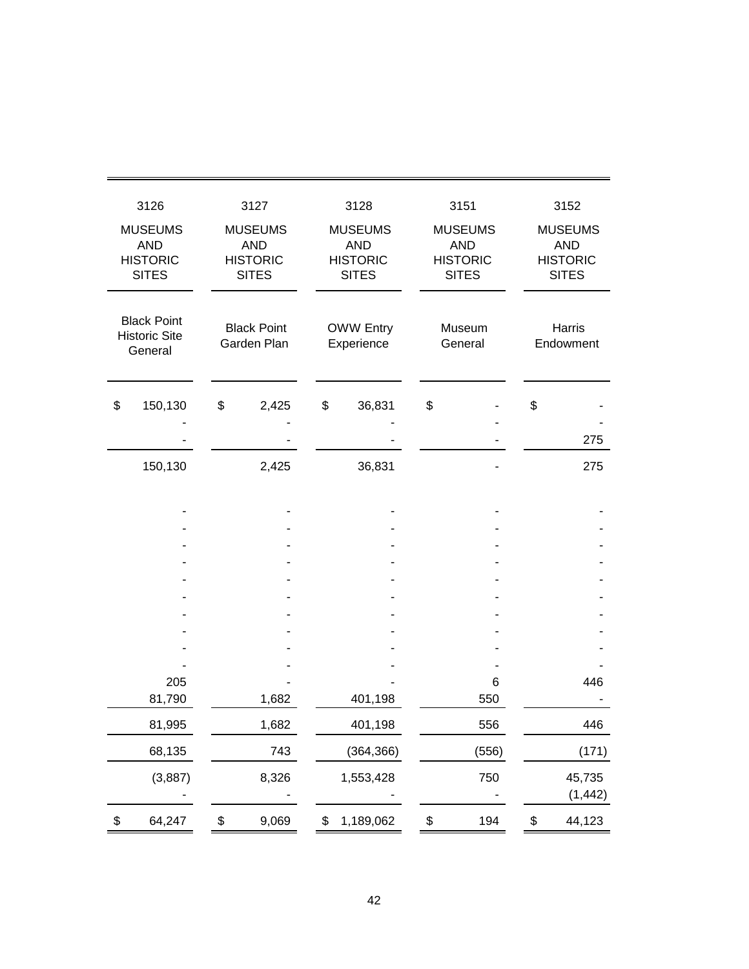| 3126<br><b>MUSEUMS</b><br><b>AND</b><br><b>HISTORIC</b><br><b>SITES</b><br><b>Black Point</b><br><b>Historic Site</b><br>General | 3127<br><b>MUSEUMS</b><br><b>AND</b><br><b>HISTORIC</b><br><b>SITES</b><br><b>Black Point</b><br>Garden Plan | 3128<br><b>MUSEUMS</b><br><b>AND</b><br><b>HISTORIC</b><br><b>SITES</b><br><b>OWW Entry</b><br>Experience | 3151<br><b>MUSEUMS</b><br><b>AND</b><br><b>HISTORIC</b><br><b>SITES</b><br>Museum<br>General | 3152<br><b>MUSEUMS</b><br><b>AND</b><br><b>HISTORIC</b><br><b>SITES</b><br>Harris<br>Endowment |
|----------------------------------------------------------------------------------------------------------------------------------|--------------------------------------------------------------------------------------------------------------|-----------------------------------------------------------------------------------------------------------|----------------------------------------------------------------------------------------------|------------------------------------------------------------------------------------------------|
| \$<br>150,130                                                                                                                    | \$<br>2,425                                                                                                  | \$<br>36,831                                                                                              | \$                                                                                           | \$                                                                                             |
|                                                                                                                                  |                                                                                                              |                                                                                                           |                                                                                              | 275                                                                                            |
| 150,130                                                                                                                          | 2,425                                                                                                        | 36,831                                                                                                    |                                                                                              | 275                                                                                            |
|                                                                                                                                  |                                                                                                              |                                                                                                           |                                                                                              |                                                                                                |
|                                                                                                                                  |                                                                                                              |                                                                                                           |                                                                                              |                                                                                                |
|                                                                                                                                  |                                                                                                              |                                                                                                           |                                                                                              |                                                                                                |
|                                                                                                                                  |                                                                                                              |                                                                                                           |                                                                                              |                                                                                                |
|                                                                                                                                  |                                                                                                              |                                                                                                           |                                                                                              |                                                                                                |
|                                                                                                                                  |                                                                                                              |                                                                                                           |                                                                                              |                                                                                                |
|                                                                                                                                  |                                                                                                              |                                                                                                           |                                                                                              |                                                                                                |
|                                                                                                                                  |                                                                                                              |                                                                                                           |                                                                                              |                                                                                                |
|                                                                                                                                  |                                                                                                              |                                                                                                           |                                                                                              |                                                                                                |
| 205                                                                                                                              |                                                                                                              |                                                                                                           | 6                                                                                            | 446                                                                                            |
| 81,790                                                                                                                           | 1,682                                                                                                        | 401,198                                                                                                   | 550                                                                                          |                                                                                                |
| 81,995                                                                                                                           | 1,682                                                                                                        | 401,198                                                                                                   | 556                                                                                          | 446                                                                                            |
| 68,135                                                                                                                           | 743                                                                                                          | (364, 366)                                                                                                | (556)                                                                                        | (171)                                                                                          |
| (3,887)                                                                                                                          | 8,326                                                                                                        | 1,553,428                                                                                                 | 750                                                                                          | 45,735                                                                                         |
|                                                                                                                                  |                                                                                                              |                                                                                                           |                                                                                              | (1, 442)                                                                                       |
| 64,247<br>\$                                                                                                                     | 9,069<br>\$                                                                                                  | 1,189,062<br>\$                                                                                           | 194<br>\$                                                                                    | 44,123<br>\$                                                                                   |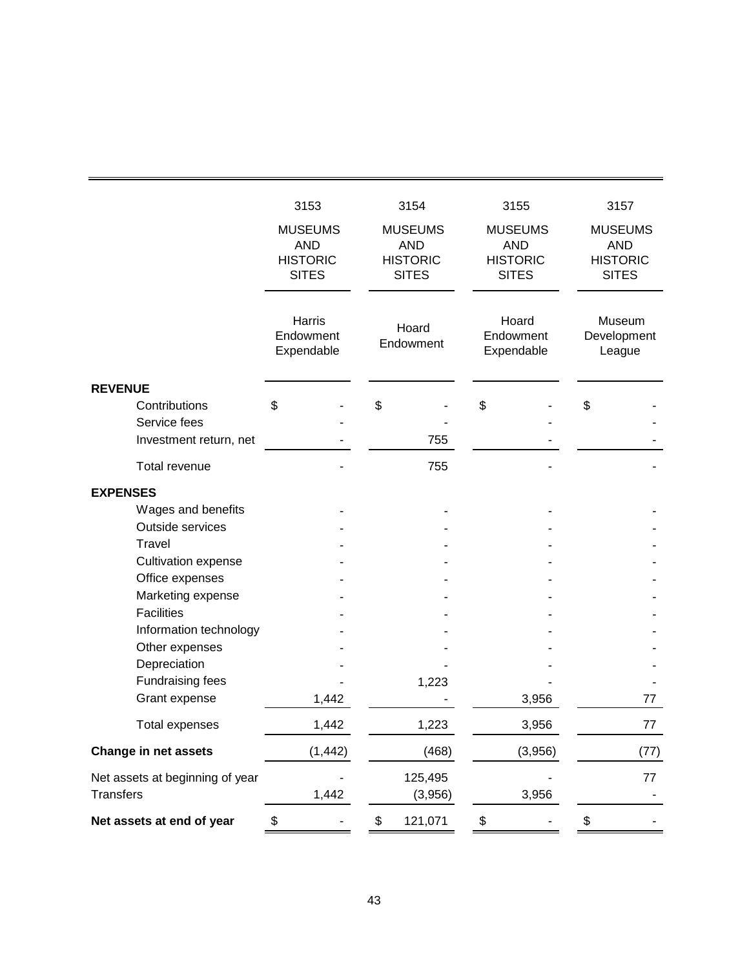|                                 | 3153                              |                                                                 |    | 3154                                                            |                                                                 | 3155    |                                                                 | 3157 |
|---------------------------------|-----------------------------------|-----------------------------------------------------------------|----|-----------------------------------------------------------------|-----------------------------------------------------------------|---------|-----------------------------------------------------------------|------|
|                                 |                                   | <b>MUSEUMS</b><br><b>AND</b><br><b>HISTORIC</b><br><b>SITES</b> |    | <b>MUSEUMS</b><br><b>AND</b><br><b>HISTORIC</b><br><b>SITES</b> | <b>MUSEUMS</b><br><b>AND</b><br><b>HISTORIC</b><br><b>SITES</b> |         | <b>MUSEUMS</b><br><b>AND</b><br><b>HISTORIC</b><br><b>SITES</b> |      |
|                                 | Harris<br>Endowment<br>Expendable |                                                                 |    | Hoard<br>Endowment                                              | Hoard<br>Endowment<br>Expendable                                |         | Museum<br>Development<br>League                                 |      |
| <b>REVENUE</b>                  |                                   |                                                                 |    |                                                                 |                                                                 |         |                                                                 |      |
| Contributions                   | \$                                |                                                                 | \$ |                                                                 | \$                                                              |         | \$                                                              |      |
| Service fees                    |                                   |                                                                 |    |                                                                 |                                                                 |         |                                                                 |      |
| Investment return, net          |                                   |                                                                 |    | 755                                                             |                                                                 |         |                                                                 |      |
| Total revenue                   |                                   |                                                                 |    | 755                                                             |                                                                 |         |                                                                 |      |
| <b>EXPENSES</b>                 |                                   |                                                                 |    |                                                                 |                                                                 |         |                                                                 |      |
| Wages and benefits              |                                   |                                                                 |    |                                                                 |                                                                 |         |                                                                 |      |
| Outside services                |                                   |                                                                 |    |                                                                 |                                                                 |         |                                                                 |      |
| Travel                          |                                   |                                                                 |    |                                                                 |                                                                 |         |                                                                 |      |
| <b>Cultivation expense</b>      |                                   |                                                                 |    |                                                                 |                                                                 |         |                                                                 |      |
| Office expenses                 |                                   |                                                                 |    |                                                                 |                                                                 |         |                                                                 |      |
| Marketing expense               |                                   |                                                                 |    |                                                                 |                                                                 |         |                                                                 |      |
| <b>Facilities</b>               |                                   |                                                                 |    |                                                                 |                                                                 |         |                                                                 |      |
| Information technology          |                                   |                                                                 |    |                                                                 |                                                                 |         |                                                                 |      |
| Other expenses                  |                                   |                                                                 |    |                                                                 |                                                                 |         |                                                                 |      |
| Depreciation                    |                                   |                                                                 |    |                                                                 |                                                                 |         |                                                                 |      |
| Fundraising fees                |                                   |                                                                 |    | 1,223                                                           |                                                                 |         |                                                                 |      |
| Grant expense                   |                                   | 1,442                                                           |    |                                                                 |                                                                 | 3,956   |                                                                 | 77   |
| <b>Total expenses</b>           |                                   | 1,442                                                           |    | 1,223                                                           |                                                                 | 3,956   |                                                                 | 77   |
| <b>Change in net assets</b>     |                                   | (1, 442)                                                        |    | (468)                                                           |                                                                 | (3,956) |                                                                 | (77) |
| Net assets at beginning of year |                                   |                                                                 |    | 125,495                                                         |                                                                 |         |                                                                 | 77   |
| <b>Transfers</b>                |                                   | 1,442                                                           |    | (3,956)                                                         |                                                                 | 3,956   |                                                                 |      |
| Net assets at end of year       | \$                                |                                                                 | \$ | 121,071                                                         | \$                                                              |         | \$                                                              |      |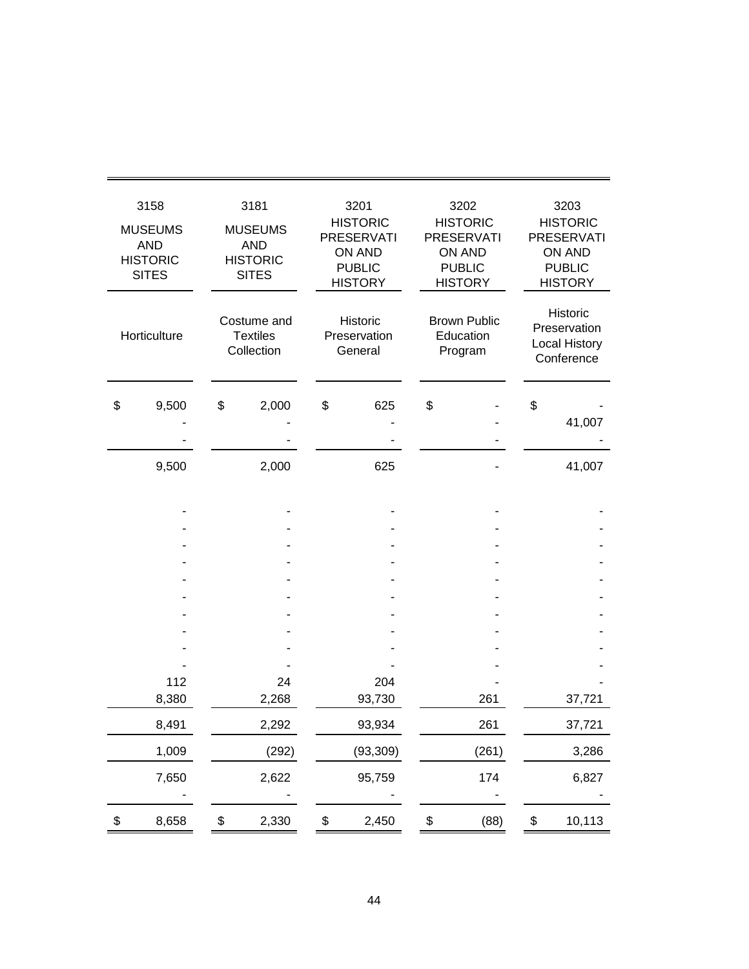| 3158<br><b>MUSEUMS</b><br><b>AND</b><br><b>HISTORIC</b><br><b>SITES</b><br>Horticulture | 3181<br><b>MUSEUMS</b><br><b>AND</b><br><b>HISTORIC</b><br><b>SITES</b><br>Costume and<br><b>Textiles</b><br>Collection | 3201<br><b>HISTORIC</b><br>PRESERVATI<br>ON AND<br><b>PUBLIC</b><br><b>HISTORY</b><br>Historic<br>Preservation<br>General | 3202<br><b>HISTORIC</b><br>PRESERVATI<br>ON AND<br><b>PUBLIC</b><br><b>HISTORY</b><br><b>Brown Public</b><br>Education<br>Program | 3203<br><b>HISTORIC</b><br><b>PRESERVATI</b><br>ON AND<br><b>PUBLIC</b><br><b>HISTORY</b><br>Historic<br>Preservation<br><b>Local History</b> |
|-----------------------------------------------------------------------------------------|-------------------------------------------------------------------------------------------------------------------------|---------------------------------------------------------------------------------------------------------------------------|-----------------------------------------------------------------------------------------------------------------------------------|-----------------------------------------------------------------------------------------------------------------------------------------------|
|                                                                                         |                                                                                                                         |                                                                                                                           |                                                                                                                                   | Conference                                                                                                                                    |
| \$<br>9,500                                                                             | \$<br>2,000                                                                                                             | \$<br>625                                                                                                                 | \$                                                                                                                                | \$<br>41,007                                                                                                                                  |
| 9,500                                                                                   | 2,000                                                                                                                   | 625                                                                                                                       |                                                                                                                                   | 41,007                                                                                                                                        |
|                                                                                         |                                                                                                                         |                                                                                                                           |                                                                                                                                   |                                                                                                                                               |
|                                                                                         |                                                                                                                         |                                                                                                                           |                                                                                                                                   |                                                                                                                                               |
|                                                                                         |                                                                                                                         |                                                                                                                           |                                                                                                                                   |                                                                                                                                               |
|                                                                                         |                                                                                                                         |                                                                                                                           |                                                                                                                                   |                                                                                                                                               |
|                                                                                         |                                                                                                                         |                                                                                                                           |                                                                                                                                   |                                                                                                                                               |
|                                                                                         |                                                                                                                         |                                                                                                                           |                                                                                                                                   |                                                                                                                                               |
|                                                                                         |                                                                                                                         |                                                                                                                           |                                                                                                                                   |                                                                                                                                               |
|                                                                                         |                                                                                                                         |                                                                                                                           |                                                                                                                                   |                                                                                                                                               |
|                                                                                         |                                                                                                                         |                                                                                                                           |                                                                                                                                   |                                                                                                                                               |
|                                                                                         |                                                                                                                         |                                                                                                                           |                                                                                                                                   |                                                                                                                                               |
| 112                                                                                     | 24                                                                                                                      | 204                                                                                                                       |                                                                                                                                   |                                                                                                                                               |
| 8,380                                                                                   | 2,268                                                                                                                   | 93,730                                                                                                                    | 261                                                                                                                               | 37,721                                                                                                                                        |
| 8,491                                                                                   | 2,292                                                                                                                   | 93,934                                                                                                                    | 261                                                                                                                               | 37,721                                                                                                                                        |
| 1,009                                                                                   | (292)                                                                                                                   | (93, 309)                                                                                                                 | (261)                                                                                                                             | 3,286                                                                                                                                         |
| 7,650                                                                                   | 2,622                                                                                                                   | 95,759                                                                                                                    | 174                                                                                                                               | 6,827                                                                                                                                         |
|                                                                                         |                                                                                                                         |                                                                                                                           |                                                                                                                                   |                                                                                                                                               |
| 8,658<br>\$                                                                             | 2,330<br>\$                                                                                                             | 2,450<br>\$                                                                                                               | (88)<br>\$                                                                                                                        | 10,113<br>\$                                                                                                                                  |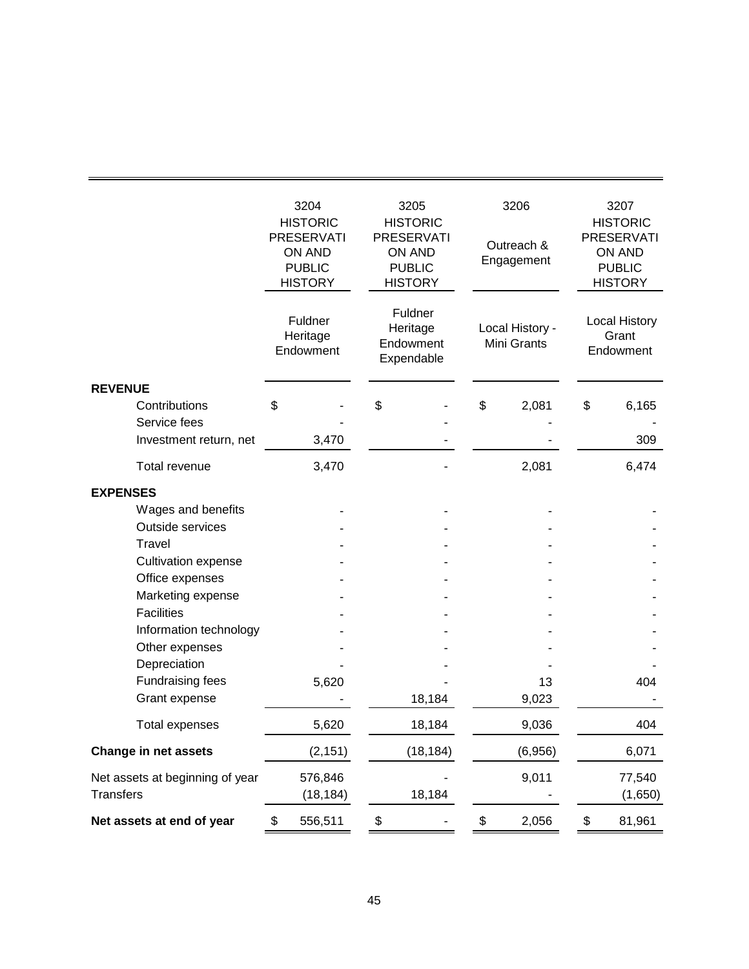|                                 |                                  | 3204<br>3205<br><b>HISTORIC</b><br><b>HISTORIC</b><br><b>PRESERVATI</b><br><b>PRESERVATI</b><br>ON AND<br>ON AND<br><b>PUBLIC</b><br><b>PUBLIC</b><br><b>HISTORY</b><br><b>HISTORY</b> |                                                |           | 3206<br>Outreach &<br>Engagement | 3207<br><b>HISTORIC</b><br><b>PRESERVATI</b><br>ON AND<br><b>PUBLIC</b><br><b>HISTORY</b> |                                     |
|---------------------------------|----------------------------------|----------------------------------------------------------------------------------------------------------------------------------------------------------------------------------------|------------------------------------------------|-----------|----------------------------------|-------------------------------------------------------------------------------------------|-------------------------------------|
|                                 | Fuldner<br>Heritage<br>Endowment |                                                                                                                                                                                        | Fuldner<br>Heritage<br>Endowment<br>Expendable |           | Local History -<br>Mini Grants   |                                                                                           | Local History<br>Grant<br>Endowment |
| <b>REVENUE</b>                  |                                  |                                                                                                                                                                                        |                                                |           |                                  |                                                                                           |                                     |
| Contributions                   | \$                               |                                                                                                                                                                                        | \$                                             |           | \$<br>2,081                      | \$                                                                                        | 6,165                               |
| Service fees                    |                                  |                                                                                                                                                                                        |                                                |           |                                  |                                                                                           |                                     |
| Investment return, net          |                                  | 3,470                                                                                                                                                                                  |                                                |           |                                  |                                                                                           | 309                                 |
| Total revenue                   |                                  | 3,470                                                                                                                                                                                  |                                                |           | 2,081                            |                                                                                           | 6,474                               |
| <b>EXPENSES</b>                 |                                  |                                                                                                                                                                                        |                                                |           |                                  |                                                                                           |                                     |
| Wages and benefits              |                                  |                                                                                                                                                                                        |                                                |           |                                  |                                                                                           |                                     |
| <b>Outside services</b>         |                                  |                                                                                                                                                                                        |                                                |           |                                  |                                                                                           |                                     |
| Travel                          |                                  |                                                                                                                                                                                        |                                                |           |                                  |                                                                                           |                                     |
| <b>Cultivation expense</b>      |                                  |                                                                                                                                                                                        |                                                |           |                                  |                                                                                           |                                     |
| Office expenses                 |                                  |                                                                                                                                                                                        |                                                |           |                                  |                                                                                           |                                     |
| Marketing expense               |                                  |                                                                                                                                                                                        |                                                |           |                                  |                                                                                           |                                     |
| <b>Facilities</b>               |                                  |                                                                                                                                                                                        |                                                |           |                                  |                                                                                           |                                     |
| Information technology          |                                  |                                                                                                                                                                                        |                                                |           |                                  |                                                                                           |                                     |
| Other expenses                  |                                  |                                                                                                                                                                                        |                                                |           |                                  |                                                                                           |                                     |
| Depreciation                    |                                  |                                                                                                                                                                                        |                                                |           |                                  |                                                                                           |                                     |
| <b>Fundraising fees</b>         |                                  | 5,620                                                                                                                                                                                  |                                                |           | 13                               |                                                                                           | 404                                 |
| Grant expense                   |                                  |                                                                                                                                                                                        |                                                | 18,184    | 9,023                            |                                                                                           |                                     |
| <b>Total expenses</b>           |                                  | 5,620                                                                                                                                                                                  |                                                | 18,184    | 9,036                            |                                                                                           | 404                                 |
| <b>Change in net assets</b>     |                                  | (2, 151)                                                                                                                                                                               |                                                | (18, 184) | (6,956)                          |                                                                                           | 6,071                               |
| Net assets at beginning of year |                                  | 576,846                                                                                                                                                                                |                                                |           | 9,011                            |                                                                                           | 77,540                              |
| <b>Transfers</b>                |                                  | (18, 184)                                                                                                                                                                              |                                                | 18,184    |                                  |                                                                                           | (1,650)                             |
| Net assets at end of year       | \$                               | 556,511                                                                                                                                                                                | $\, \, \raisebox{12pt}{$\scriptstyle \$}$      |           | \$<br>2,056                      | \$                                                                                        | 81,961                              |

۳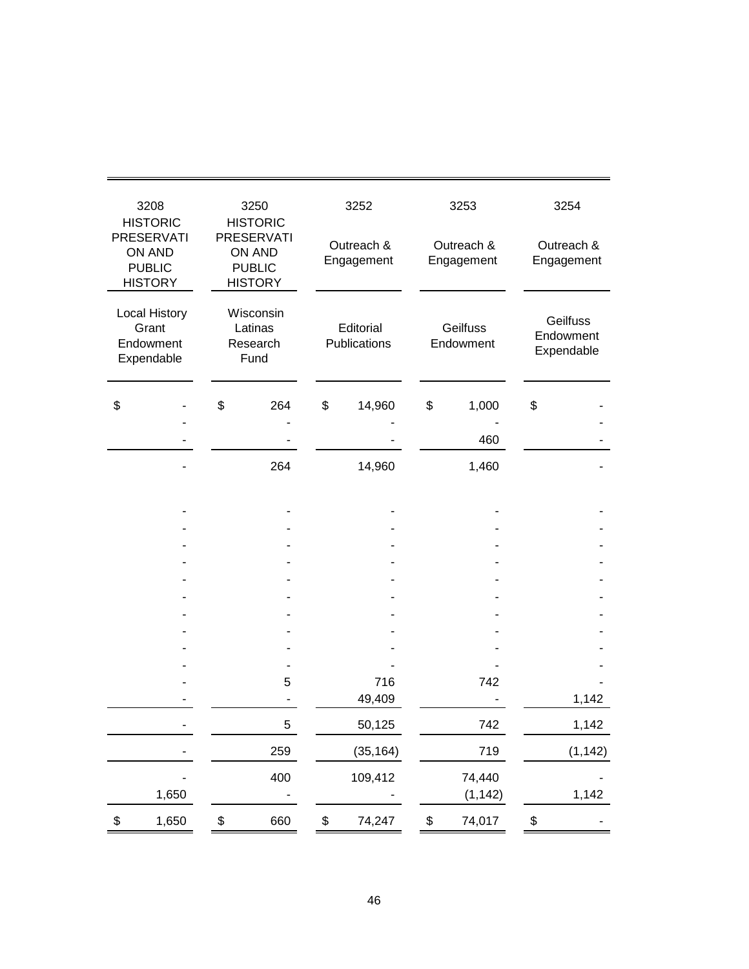| 3208<br><b>HISTORIC</b><br><b>PRESERVATI</b><br>ON AND<br><b>PUBLIC</b> |       | 3250<br><b>HISTORIC</b><br><b>PRESERVATI</b><br>ON AND<br><b>PUBLIC</b> |                           | 3252<br>Outreach &<br>Engagement | 3253<br>Outreach &<br>Engagement | 3254<br>Outreach &<br>Engagement    |
|-------------------------------------------------------------------------|-------|-------------------------------------------------------------------------|---------------------------|----------------------------------|----------------------------------|-------------------------------------|
| <b>HISTORY</b><br>Local History<br>Grant<br>Endowment<br>Expendable     |       | <b>HISTORY</b><br>Wisconsin<br>Latinas<br>Research<br>Fund              | Editorial<br>Publications |                                  | Geilfuss<br>Endowment            | Geilfuss<br>Endowment<br>Expendable |
| \$                                                                      |       | \$<br>264                                                               | \$                        | 14,960                           | \$<br>1,000                      | \$                                  |
|                                                                         |       |                                                                         |                           |                                  | 460                              |                                     |
|                                                                         |       | 264                                                                     |                           | 14,960                           | 1,460                            |                                     |
|                                                                         |       |                                                                         |                           |                                  |                                  |                                     |
|                                                                         |       |                                                                         |                           |                                  |                                  |                                     |
|                                                                         |       |                                                                         |                           |                                  |                                  |                                     |
|                                                                         |       |                                                                         |                           |                                  |                                  |                                     |
|                                                                         |       |                                                                         |                           |                                  |                                  |                                     |
|                                                                         |       |                                                                         |                           |                                  |                                  |                                     |
|                                                                         |       |                                                                         |                           |                                  |                                  |                                     |
|                                                                         |       |                                                                         |                           |                                  |                                  |                                     |
|                                                                         |       |                                                                         |                           |                                  |                                  |                                     |
|                                                                         |       |                                                                         |                           |                                  |                                  |                                     |
|                                                                         |       | 5                                                                       |                           | 716                              | 742                              |                                     |
|                                                                         |       |                                                                         |                           | 49,409                           |                                  | 1,142                               |
|                                                                         |       | 5                                                                       |                           | 50,125                           | 742                              | 1,142                               |
|                                                                         |       | 259                                                                     |                           | (35, 164)                        | 719                              | (1, 142)                            |
|                                                                         |       | 400                                                                     |                           | 109,412                          | 74,440                           |                                     |
|                                                                         | 1,650 |                                                                         |                           |                                  | (1, 142)                         | 1,142                               |
| \$                                                                      | 1,650 | \$<br>660                                                               | \$                        | 74,247                           | \$<br>74,017                     | \$                                  |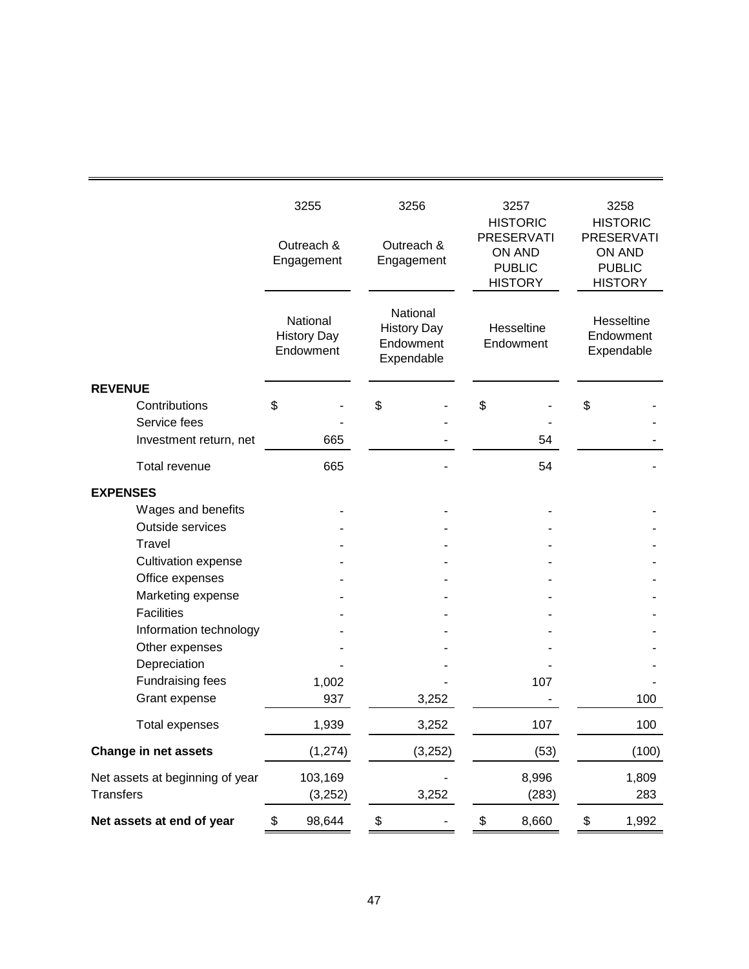|                                 |                                             | 3255<br>Outreach &<br>Engagement |                                                           | 3256<br>Outreach &<br>Engagement |                         | 3257<br><b>HISTORIC</b><br>PRESERVATI<br>ON AND<br><b>PUBLIC</b><br><b>HISTORY</b> |                                       | 3258<br><b>HISTORIC</b><br><b>PRESERVATI</b><br><b>ON AND</b><br><b>PUBLIC</b><br><b>HISTORY</b> |
|---------------------------------|---------------------------------------------|----------------------------------|-----------------------------------------------------------|----------------------------------|-------------------------|------------------------------------------------------------------------------------|---------------------------------------|--------------------------------------------------------------------------------------------------|
|                                 | National<br><b>History Day</b><br>Endowment |                                  | National<br><b>History Day</b><br>Endowment<br>Expendable |                                  | Hesseltine<br>Endowment |                                                                                    | Hesseltine<br>Endowment<br>Expendable |                                                                                                  |
| <b>REVENUE</b>                  |                                             |                                  |                                                           |                                  |                         |                                                                                    |                                       |                                                                                                  |
| Contributions                   | \$                                          |                                  | \$                                                        |                                  | \$                      |                                                                                    | \$                                    |                                                                                                  |
| Service fees                    |                                             |                                  |                                                           |                                  |                         |                                                                                    |                                       |                                                                                                  |
| Investment return, net          |                                             | 665                              |                                                           |                                  |                         | 54                                                                                 |                                       |                                                                                                  |
| Total revenue                   |                                             | 665                              |                                                           |                                  |                         | 54                                                                                 |                                       |                                                                                                  |
| <b>EXPENSES</b>                 |                                             |                                  |                                                           |                                  |                         |                                                                                    |                                       |                                                                                                  |
| Wages and benefits              |                                             |                                  |                                                           |                                  |                         |                                                                                    |                                       |                                                                                                  |
| <b>Outside services</b>         |                                             |                                  |                                                           |                                  |                         |                                                                                    |                                       |                                                                                                  |
| Travel                          |                                             |                                  |                                                           |                                  |                         |                                                                                    |                                       |                                                                                                  |
| <b>Cultivation expense</b>      |                                             |                                  |                                                           |                                  |                         |                                                                                    |                                       |                                                                                                  |
| Office expenses                 |                                             |                                  |                                                           |                                  |                         |                                                                                    |                                       |                                                                                                  |
| Marketing expense               |                                             |                                  |                                                           |                                  |                         |                                                                                    |                                       |                                                                                                  |
| <b>Facilities</b>               |                                             |                                  |                                                           |                                  |                         |                                                                                    |                                       |                                                                                                  |
| Information technology          |                                             |                                  |                                                           |                                  |                         |                                                                                    |                                       |                                                                                                  |
| Other expenses                  |                                             |                                  |                                                           |                                  |                         |                                                                                    |                                       |                                                                                                  |
| Depreciation                    |                                             |                                  |                                                           |                                  |                         |                                                                                    |                                       |                                                                                                  |
| Fundraising fees                |                                             | 1,002                            |                                                           |                                  |                         | 107                                                                                |                                       |                                                                                                  |
| Grant expense                   |                                             | 937                              |                                                           | 3,252                            |                         |                                                                                    |                                       | 100                                                                                              |
| Total expenses                  |                                             | 1,939                            |                                                           | 3,252                            |                         | 107                                                                                |                                       | 100                                                                                              |
| <b>Change in net assets</b>     |                                             | (1, 274)                         |                                                           | (3, 252)                         |                         | (53)                                                                               |                                       | (100)                                                                                            |
| Net assets at beginning of year |                                             | 103,169                          |                                                           |                                  |                         | 8,996                                                                              |                                       | 1,809                                                                                            |
| <b>Transfers</b>                |                                             | (3,252)                          |                                                           | 3,252                            |                         | (283)                                                                              |                                       | 283                                                                                              |
| Net assets at end of year       | \$                                          | 98,644                           | \$                                                        |                                  | \$                      | 8,660                                                                              | \$                                    | 1,992                                                                                            |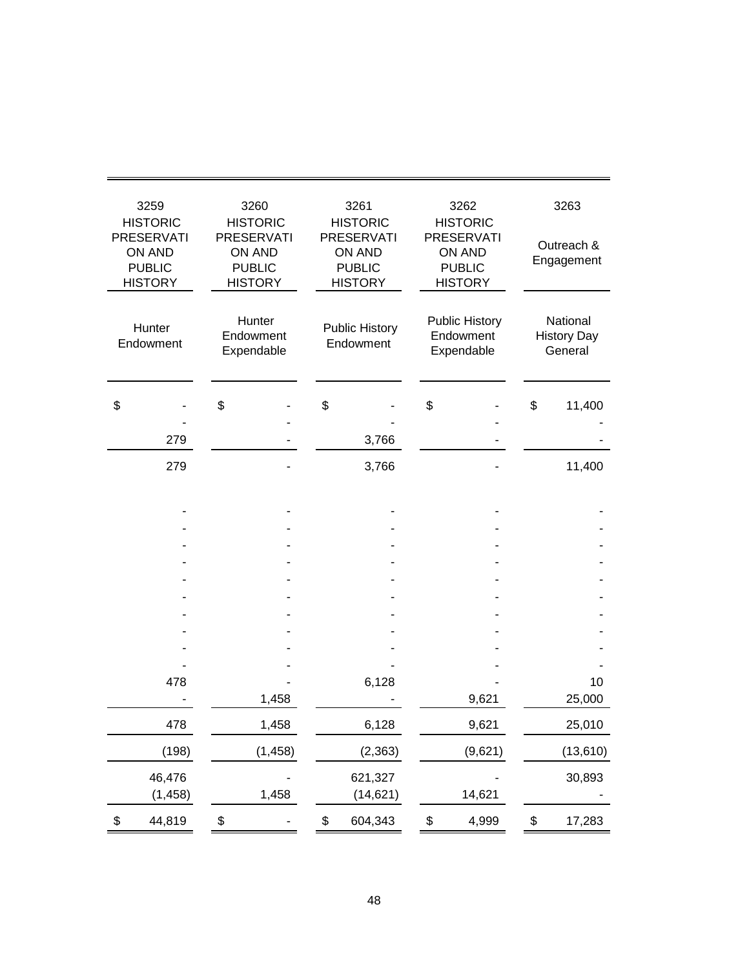| 3259<br><b>HISTORIC</b><br>PRESERVATI<br>ON AND<br><b>PUBLIC</b><br><b>HISTORY</b><br>Hunter<br>Endowment | 3260<br><b>HISTORIC</b><br><b>PRESERVATI</b><br>ON AND<br><b>PUBLIC</b><br><b>HISTORY</b><br>Hunter<br>Endowment<br>Expendable | 3261<br><b>HISTORIC</b><br>PRESERVATI<br>ON AND<br><b>PUBLIC</b><br><b>HISTORY</b><br><b>Public History</b><br>Endowment | 3262<br><b>HISTORIC</b><br><b>PRESERVATI</b><br>ON AND<br><b>PUBLIC</b><br><b>HISTORY</b><br><b>Public History</b><br>Endowment<br>Expendable | 3263<br>Outreach &<br>Engagement<br>National<br><b>History Day</b><br>General |
|-----------------------------------------------------------------------------------------------------------|--------------------------------------------------------------------------------------------------------------------------------|--------------------------------------------------------------------------------------------------------------------------|-----------------------------------------------------------------------------------------------------------------------------------------------|-------------------------------------------------------------------------------|
| \$                                                                                                        | \$                                                                                                                             | \$                                                                                                                       | \$                                                                                                                                            | 11,400<br>\$                                                                  |
| 279                                                                                                       |                                                                                                                                | 3,766                                                                                                                    |                                                                                                                                               |                                                                               |
|                                                                                                           |                                                                                                                                |                                                                                                                          |                                                                                                                                               |                                                                               |
| 279                                                                                                       |                                                                                                                                | 3,766                                                                                                                    |                                                                                                                                               | 11,400                                                                        |
|                                                                                                           |                                                                                                                                |                                                                                                                          |                                                                                                                                               |                                                                               |
|                                                                                                           |                                                                                                                                |                                                                                                                          |                                                                                                                                               |                                                                               |
|                                                                                                           |                                                                                                                                |                                                                                                                          |                                                                                                                                               |                                                                               |
|                                                                                                           |                                                                                                                                |                                                                                                                          |                                                                                                                                               |                                                                               |
|                                                                                                           |                                                                                                                                |                                                                                                                          |                                                                                                                                               |                                                                               |
|                                                                                                           |                                                                                                                                |                                                                                                                          |                                                                                                                                               |                                                                               |
|                                                                                                           |                                                                                                                                |                                                                                                                          |                                                                                                                                               |                                                                               |
|                                                                                                           |                                                                                                                                |                                                                                                                          |                                                                                                                                               |                                                                               |
|                                                                                                           |                                                                                                                                |                                                                                                                          |                                                                                                                                               |                                                                               |
|                                                                                                           |                                                                                                                                |                                                                                                                          |                                                                                                                                               |                                                                               |
| 478                                                                                                       |                                                                                                                                | 6,128                                                                                                                    |                                                                                                                                               | 10                                                                            |
|                                                                                                           | 1,458                                                                                                                          |                                                                                                                          | 9,621                                                                                                                                         | 25,000                                                                        |
| 478                                                                                                       | 1,458                                                                                                                          | 6,128                                                                                                                    | 9,621                                                                                                                                         | 25,010                                                                        |
| (198)                                                                                                     | (1, 458)                                                                                                                       | (2, 363)                                                                                                                 | (9,621)                                                                                                                                       | (13, 610)                                                                     |
| 46,476                                                                                                    |                                                                                                                                | 621,327                                                                                                                  |                                                                                                                                               | 30,893                                                                        |
| (1, 458)                                                                                                  | 1,458                                                                                                                          | (14, 621)                                                                                                                | 14,621                                                                                                                                        |                                                                               |
| 44,819<br>\$                                                                                              | \$                                                                                                                             | \$<br>604,343                                                                                                            | 4,999<br>\$                                                                                                                                   | \$<br>17,283                                                                  |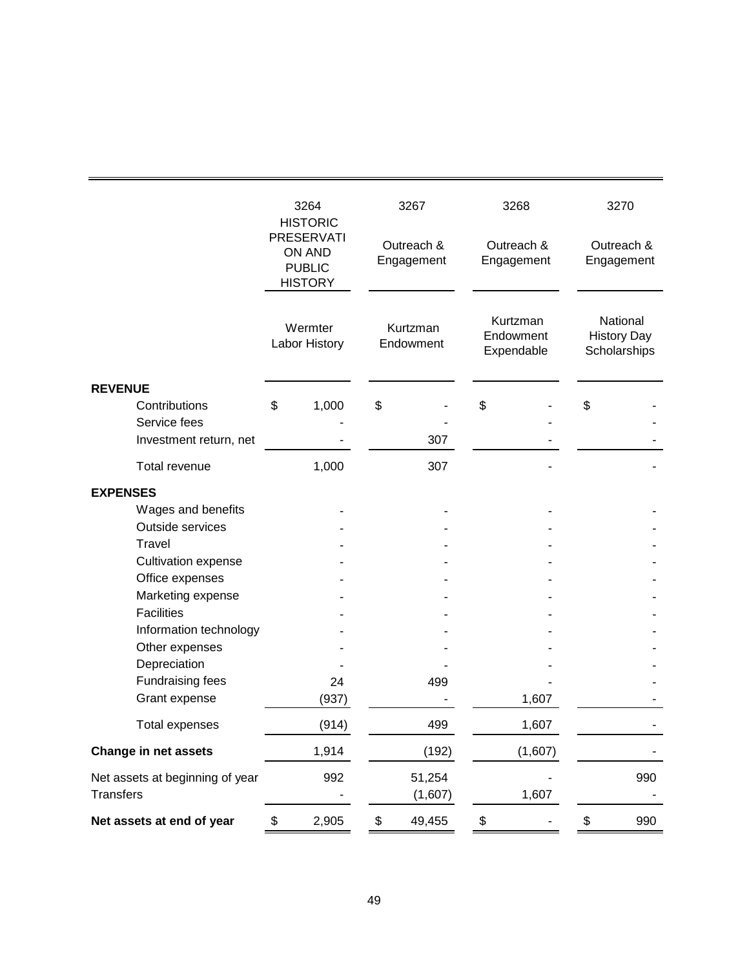|                                 |                          | 3264<br><b>HISTORIC</b><br>PRESERVATI<br>ON AND<br><b>PUBLIC</b><br><b>HISTORY</b> |                       | 3267<br>Outreach &<br>Engagement | 3268<br>Outreach &<br>Engagement    |         | 3270<br>Outreach &<br>Engagement               |
|---------------------------------|--------------------------|------------------------------------------------------------------------------------|-----------------------|----------------------------------|-------------------------------------|---------|------------------------------------------------|
|                                 | Wermter<br>Labor History |                                                                                    | Kurtzman<br>Endowment |                                  | Kurtzman<br>Endowment<br>Expendable |         | National<br><b>History Day</b><br>Scholarships |
| <b>REVENUE</b>                  |                          |                                                                                    |                       |                                  |                                     |         |                                                |
| Contributions                   | \$                       | 1,000                                                                              | \$                    |                                  | \$                                  |         | \$                                             |
| Service fees                    |                          |                                                                                    |                       |                                  |                                     |         |                                                |
| Investment return, net          |                          |                                                                                    |                       | 307                              |                                     |         |                                                |
| Total revenue                   |                          | 1,000                                                                              |                       | 307                              |                                     |         |                                                |
| <b>EXPENSES</b>                 |                          |                                                                                    |                       |                                  |                                     |         |                                                |
| Wages and benefits              |                          |                                                                                    |                       |                                  |                                     |         |                                                |
| <b>Outside services</b>         |                          |                                                                                    |                       |                                  |                                     |         |                                                |
| Travel                          |                          |                                                                                    |                       |                                  |                                     |         |                                                |
| <b>Cultivation expense</b>      |                          |                                                                                    |                       |                                  |                                     |         |                                                |
| Office expenses                 |                          |                                                                                    |                       |                                  |                                     |         |                                                |
| Marketing expense               |                          |                                                                                    |                       |                                  |                                     |         |                                                |
| <b>Facilities</b>               |                          |                                                                                    |                       |                                  |                                     |         |                                                |
| Information technology          |                          |                                                                                    |                       |                                  |                                     |         |                                                |
| Other expenses                  |                          |                                                                                    |                       |                                  |                                     |         |                                                |
| Depreciation                    |                          |                                                                                    |                       |                                  |                                     |         |                                                |
| <b>Fundraising fees</b>         |                          | 24                                                                                 |                       | 499                              |                                     |         |                                                |
| Grant expense                   |                          | (937)                                                                              |                       |                                  |                                     | 1,607   |                                                |
| <b>Total expenses</b>           |                          | (914)                                                                              |                       | 499                              |                                     | 1,607   |                                                |
| <b>Change in net assets</b>     |                          | 1,914                                                                              |                       | (192)                            |                                     | (1,607) |                                                |
| Net assets at beginning of year |                          | 992                                                                                |                       | 51,254                           |                                     |         | 990                                            |
| <b>Transfers</b>                |                          |                                                                                    |                       | (1,607)                          |                                     | 1,607   |                                                |
| Net assets at end of year       | \$                       | 2,905                                                                              | \$                    | 49,455                           | \$                                  |         | \$<br>990                                      |

۳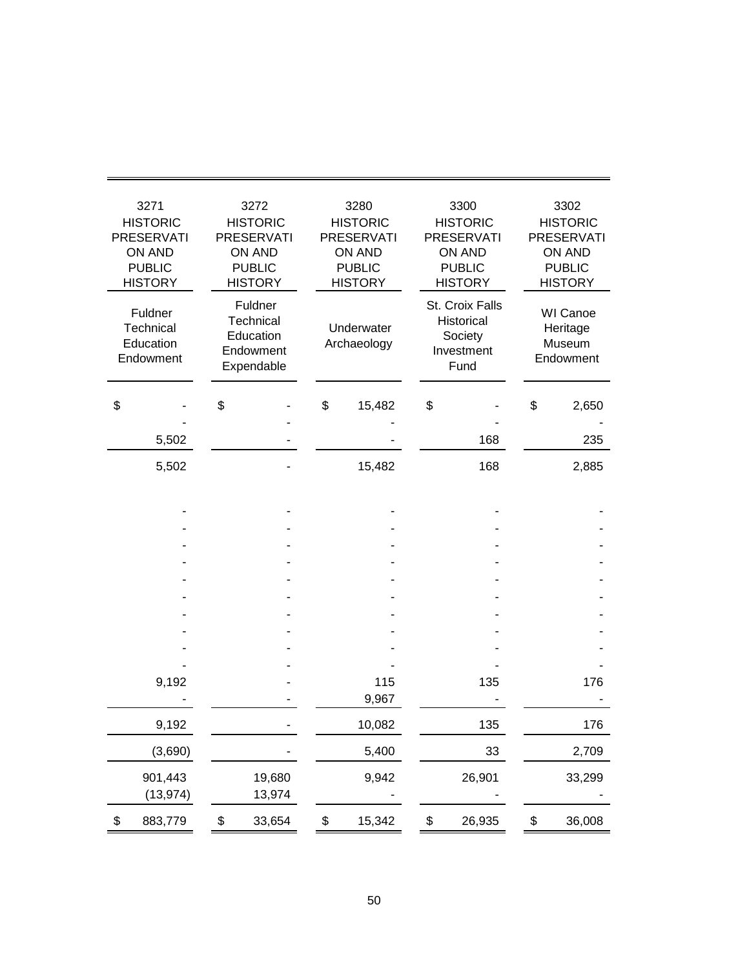| 3271<br><b>HISTORIC</b><br><b>PRESERVATI</b><br>ON AND<br><b>PUBLIC</b><br><b>HISTORY</b><br>Fuldner<br>Technical | 3272<br><b>HISTORIC</b><br><b>PRESERVATI</b><br>ON AND<br><b>PUBLIC</b><br><b>HISTORY</b><br>Fuldner<br>Technical<br>Education | 3280<br><b>HISTORIC</b><br>PRESERVATI<br>ON AND<br><b>PUBLIC</b><br><b>HISTORY</b><br>Underwater | 3300<br><b>HISTORIC</b><br><b>PRESERVATI</b><br>ON AND<br><b>PUBLIC</b><br><b>HISTORY</b><br>St. Croix Falls<br>Historical<br>Society | 3302<br><b>HISTORIC</b><br><b>PRESERVATI</b><br>ON AND<br><b>PUBLIC</b><br><b>HISTORY</b><br>WI Canoe<br>Heritage |
|-------------------------------------------------------------------------------------------------------------------|--------------------------------------------------------------------------------------------------------------------------------|--------------------------------------------------------------------------------------------------|---------------------------------------------------------------------------------------------------------------------------------------|-------------------------------------------------------------------------------------------------------------------|
| Education<br>Endowment                                                                                            | Endowment<br>Expendable                                                                                                        | Archaeology                                                                                      | Investment<br>Fund                                                                                                                    | Museum<br>Endowment                                                                                               |
| \$                                                                                                                | \$                                                                                                                             | \$<br>15,482                                                                                     | \$                                                                                                                                    | \$<br>2,650                                                                                                       |
| 5,502                                                                                                             |                                                                                                                                |                                                                                                  | 168                                                                                                                                   | 235                                                                                                               |
| 5,502                                                                                                             |                                                                                                                                | 15,482                                                                                           | 168                                                                                                                                   | 2,885                                                                                                             |
|                                                                                                                   |                                                                                                                                |                                                                                                  |                                                                                                                                       |                                                                                                                   |
|                                                                                                                   |                                                                                                                                |                                                                                                  |                                                                                                                                       |                                                                                                                   |
|                                                                                                                   |                                                                                                                                |                                                                                                  |                                                                                                                                       |                                                                                                                   |
|                                                                                                                   |                                                                                                                                |                                                                                                  |                                                                                                                                       |                                                                                                                   |
|                                                                                                                   |                                                                                                                                |                                                                                                  |                                                                                                                                       |                                                                                                                   |
|                                                                                                                   |                                                                                                                                |                                                                                                  |                                                                                                                                       |                                                                                                                   |
|                                                                                                                   |                                                                                                                                |                                                                                                  |                                                                                                                                       |                                                                                                                   |
|                                                                                                                   |                                                                                                                                |                                                                                                  |                                                                                                                                       |                                                                                                                   |
|                                                                                                                   |                                                                                                                                |                                                                                                  |                                                                                                                                       |                                                                                                                   |
| 9,192                                                                                                             |                                                                                                                                | 115                                                                                              | 135                                                                                                                                   | 176                                                                                                               |
|                                                                                                                   |                                                                                                                                | 9,967                                                                                            |                                                                                                                                       |                                                                                                                   |
| 9,192                                                                                                             |                                                                                                                                | 10,082                                                                                           | 135                                                                                                                                   | 176                                                                                                               |
| (3,690)                                                                                                           |                                                                                                                                | 5,400                                                                                            | 33                                                                                                                                    | 2,709                                                                                                             |
| 901,443                                                                                                           | 19,680                                                                                                                         | 9,942                                                                                            | 26,901                                                                                                                                | 33,299                                                                                                            |
| (13, 974)                                                                                                         | 13,974                                                                                                                         |                                                                                                  |                                                                                                                                       |                                                                                                                   |
| 883,779<br>\$                                                                                                     | 33,654<br>\$                                                                                                                   | 15,342<br>\$                                                                                     | \$<br>26,935                                                                                                                          | 36,008<br>\$                                                                                                      |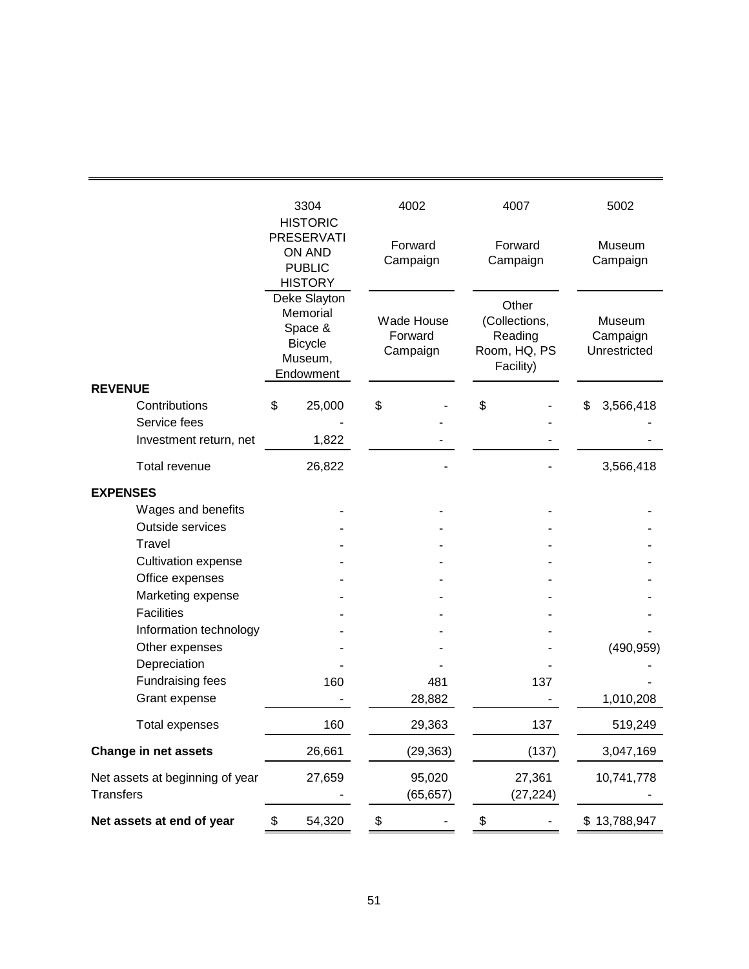|                                 | 3304                     | 4002       | 4007          |           | 5002            |
|---------------------------------|--------------------------|------------|---------------|-----------|-----------------|
|                                 | <b>HISTORIC</b>          |            |               |           |                 |
|                                 | <b>PRESERVATI</b>        | Forward    |               | Forward   | Museum          |
|                                 | ON AND                   | Campaign   | Campaign      |           | Campaign        |
|                                 | <b>PUBLIC</b>            |            |               |           |                 |
|                                 | <b>HISTORY</b>           |            |               |           |                 |
|                                 | Deke Slayton<br>Memorial |            |               | Other     |                 |
|                                 | Space &                  | Wade House | (Collections, |           | Museum          |
|                                 | <b>Bicycle</b>           | Forward    | Reading       |           | Campaign        |
|                                 | Museum,                  | Campaign   | Room, HQ, PS  |           | Unrestricted    |
|                                 | Endowment                |            | Facility)     |           |                 |
| <b>REVENUE</b>                  |                          |            |               |           |                 |
| Contributions                   | \$<br>25,000             | \$         | \$            |           | \$<br>3,566,418 |
| Service fees                    |                          |            |               |           |                 |
| Investment return, net          | 1,822                    |            |               |           |                 |
| Total revenue                   | 26,822                   |            |               |           | 3,566,418       |
| <b>EXPENSES</b>                 |                          |            |               |           |                 |
| Wages and benefits              |                          |            |               |           |                 |
| Outside services                |                          |            |               |           |                 |
| Travel                          |                          |            |               |           |                 |
| <b>Cultivation expense</b>      |                          |            |               |           |                 |
| Office expenses                 |                          |            |               |           |                 |
| Marketing expense               |                          |            |               |           |                 |
| <b>Facilities</b>               |                          |            |               |           |                 |
| Information technology          |                          |            |               |           |                 |
| Other expenses                  |                          |            |               |           | (490, 959)      |
| Depreciation                    |                          |            |               |           |                 |
| <b>Fundraising fees</b>         | 160                      | 481        |               | 137       |                 |
| Grant expense                   |                          | 28,882     |               |           | 1,010,208       |
| <b>Total expenses</b>           | 160                      | 29,363     |               | 137       | 519,249         |
| <b>Change in net assets</b>     | 26,661                   | (29, 363)  |               | (137)     | 3,047,169       |
| Net assets at beginning of year | 27,659                   | 95,020     |               | 27,361    | 10,741,778      |
| <b>Transfers</b>                |                          | (65, 657)  |               | (27, 224) |                 |
| Net assets at end of year       | \$<br>54,320             | \$         | \$            |           | \$13,788,947    |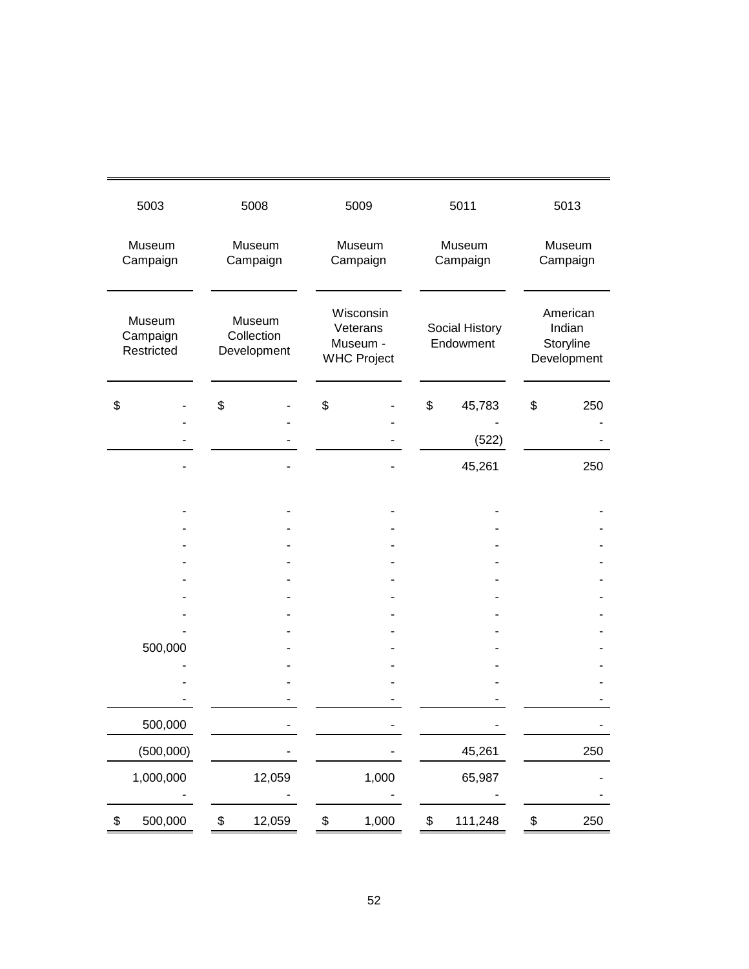| 5003                             | 5008                      |                    |    | 5009                                                    |    | 5011                        |                    | 5013                                           |  |
|----------------------------------|---------------------------|--------------------|----|---------------------------------------------------------|----|-----------------------------|--------------------|------------------------------------------------|--|
| Museum<br>Campaign               |                           | Museum<br>Campaign |    | Museum<br>Campaign                                      |    | Museum<br>Campaign          | Museum<br>Campaign |                                                |  |
| Museum<br>Campaign<br>Restricted | Collection<br>Development | Museum             |    | Wisconsin<br>Veterans<br>Museum -<br><b>WHC Project</b> |    | Social History<br>Endowment |                    | American<br>Indian<br>Storyline<br>Development |  |
| \$                               | \$                        |                    | \$ |                                                         | \$ | 45,783                      | \$                 | 250                                            |  |
|                                  |                           |                    |    |                                                         |    | (522)                       |                    |                                                |  |
|                                  |                           |                    |    |                                                         |    | 45,261                      |                    | 250                                            |  |
|                                  |                           |                    |    |                                                         |    |                             |                    |                                                |  |
|                                  |                           |                    |    |                                                         |    |                             |                    |                                                |  |
|                                  |                           |                    |    |                                                         |    |                             |                    |                                                |  |
|                                  |                           |                    |    |                                                         |    |                             |                    |                                                |  |
|                                  |                           |                    |    |                                                         |    |                             |                    |                                                |  |
|                                  |                           |                    |    |                                                         |    |                             |                    |                                                |  |
|                                  |                           |                    |    |                                                         |    |                             |                    |                                                |  |
|                                  |                           |                    |    |                                                         |    |                             |                    |                                                |  |
| 500,000                          |                           |                    |    |                                                         |    |                             |                    |                                                |  |
|                                  |                           |                    |    |                                                         |    |                             |                    |                                                |  |
|                                  |                           |                    |    |                                                         |    |                             |                    |                                                |  |
| 500,000                          |                           |                    |    |                                                         |    |                             |                    |                                                |  |
| (500,000)                        |                           |                    |    |                                                         |    | 45,261                      |                    | 250                                            |  |
| 1,000,000                        |                           | 12,059             |    | 1,000                                                   |    | 65,987                      |                    |                                                |  |
|                                  |                           |                    |    |                                                         |    |                             |                    |                                                |  |
| 500,000<br>\$                    | \$                        | 12,059             | \$ | 1,000                                                   | \$ | 111,248                     | \$                 | 250                                            |  |